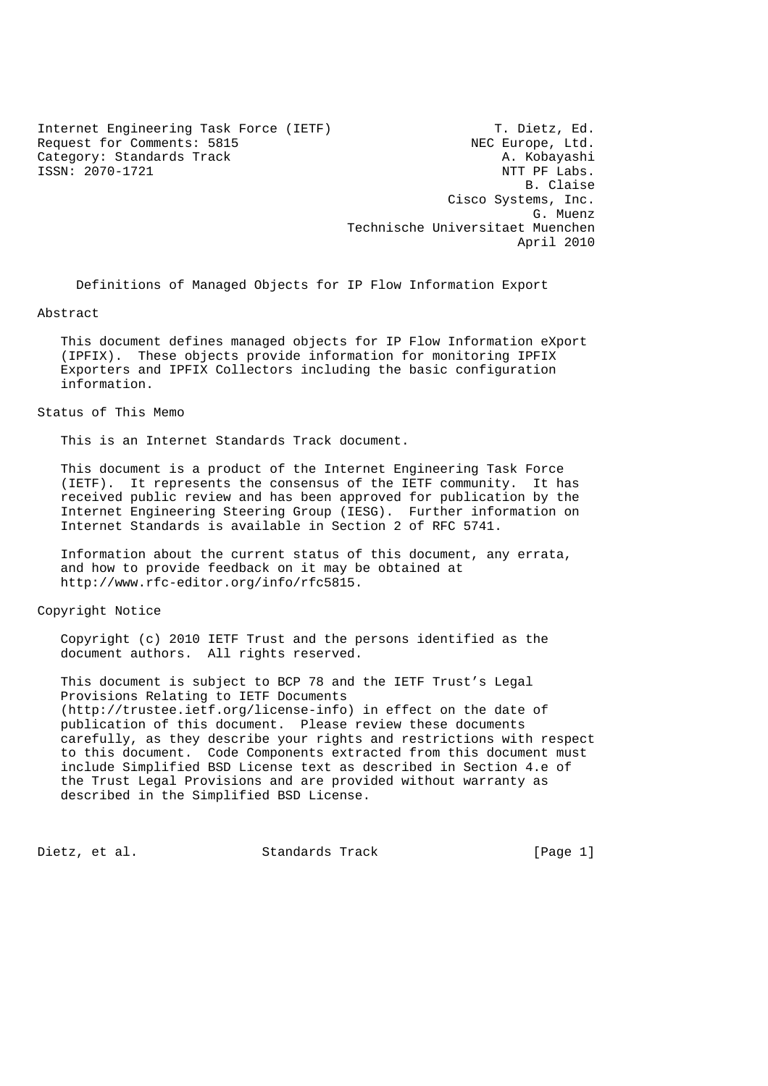Internet Engineering Task Force (IETF) T. Dietz, Ed. Request for Comments: 5815<br>
Category: Standards Track<br>
A. Kobayashi Category: Standards Track ISSN: 2070-1721 NTT PF Labs.

 B. Claise Cisco Systems, Inc. G. Muenz Technische Universitaet Muenchen April 2010

Definitions of Managed Objects for IP Flow Information Export

### Abstract

 This document defines managed objects for IP Flow Information eXport (IPFIX). These objects provide information for monitoring IPFIX Exporters and IPFIX Collectors including the basic configuration information.

### Status of This Memo

This is an Internet Standards Track document.

 This document is a product of the Internet Engineering Task Force (IETF). It represents the consensus of the IETF community. It has received public review and has been approved for publication by the Internet Engineering Steering Group (IESG). Further information on Internet Standards is available in Section 2 of RFC 5741.

 Information about the current status of this document, any errata, and how to provide feedback on it may be obtained at http://www.rfc-editor.org/info/rfc5815.

### Copyright Notice

 Copyright (c) 2010 IETF Trust and the persons identified as the document authors. All rights reserved.

 This document is subject to BCP 78 and the IETF Trust's Legal Provisions Relating to IETF Documents (http://trustee.ietf.org/license-info) in effect on the date of publication of this document. Please review these documents carefully, as they describe your rights and restrictions with respect to this document. Code Components extracted from this document must include Simplified BSD License text as described in Section 4.e of the Trust Legal Provisions and are provided without warranty as described in the Simplified BSD License.

Dietz, et al. Standards Track [Page 1]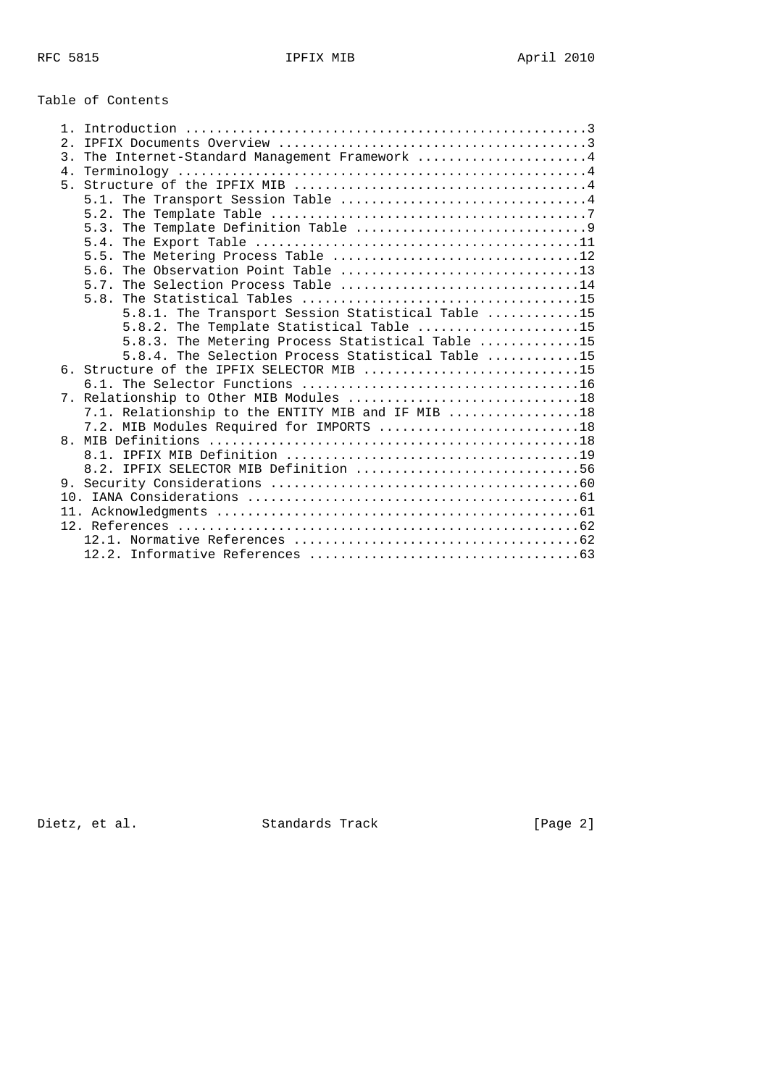# Table of Contents

| 1 <sub>1</sub> |                                                                                                  |
|----------------|--------------------------------------------------------------------------------------------------|
| 2.             |                                                                                                  |
| 3.             | The Internet-Standard Management Framework 4                                                     |
| 4 <sub>1</sub> |                                                                                                  |
| 5 <sub>1</sub> |                                                                                                  |
|                |                                                                                                  |
|                | 5.2. The Template Table $\dots\dots\dots\dots\dots\dots\dots\dots\dots\dots\dots\dots\dots\dots$ |
|                | 5.3.                                                                                             |
|                |                                                                                                  |
|                | The Metering Process Table 12<br>5.5.                                                            |
|                | 5.6.                                                                                             |
|                | 5.7. The Selection Process Table 14                                                              |
|                |                                                                                                  |
|                | 5.8.1. The Transport Session Statistical Table 15                                                |
|                | 5.8.2. The Template Statistical Table 15                                                         |
|                | 5.8.3. The Metering Process Statistical Table 15                                                 |
|                | 5.8.4. The Selection Process Statistical Table 15                                                |
|                | 6. Structure of the IPFIX SELECTOR MIB 15                                                        |
|                |                                                                                                  |
|                | 7. Relationship to Other MIB Modules 18                                                          |
|                |                                                                                                  |
|                | 7.1. Relationship to the ENTITY MIB and IF MIB 18<br>7.2. MIB Modules Required for IMPORTS 18    |
|                |                                                                                                  |
|                |                                                                                                  |
|                | 8.2. IPFIX SELECTOR MIB Definition 56                                                            |
|                |                                                                                                  |
|                |                                                                                                  |
|                |                                                                                                  |
|                |                                                                                                  |
|                |                                                                                                  |
|                |                                                                                                  |
|                |                                                                                                  |

Dietz, et al. Standards Track [Page 2]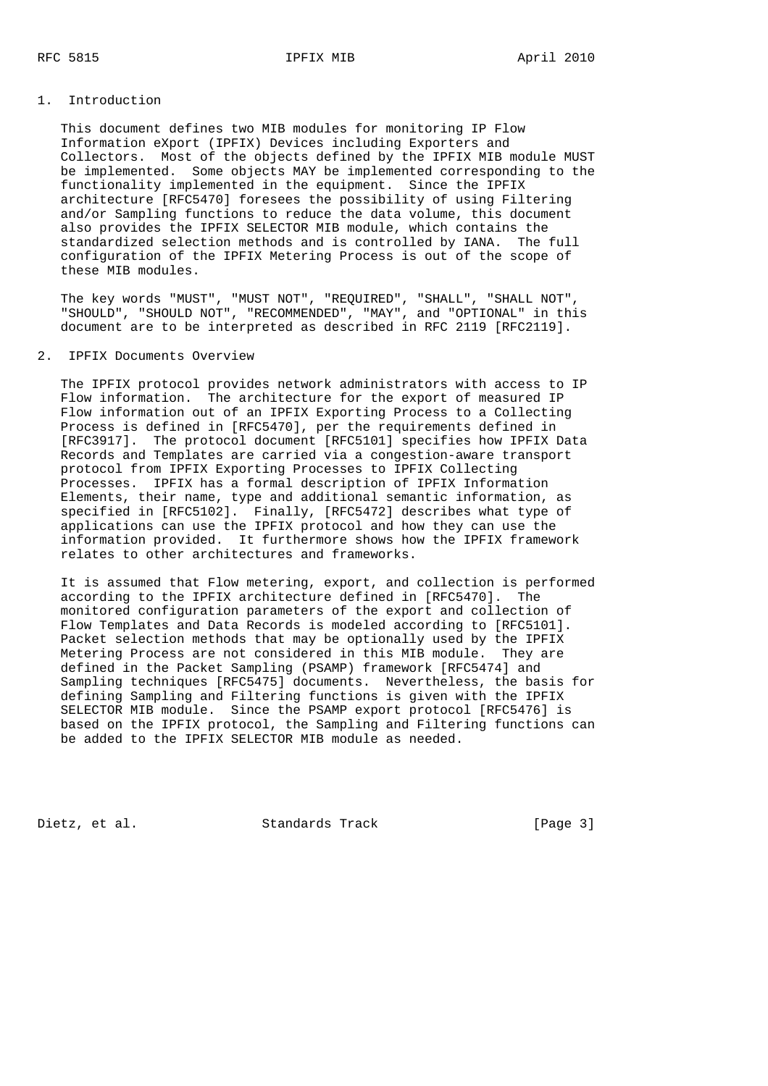### 1. Introduction

 This document defines two MIB modules for monitoring IP Flow Information eXport (IPFIX) Devices including Exporters and Collectors. Most of the objects defined by the IPFIX MIB module MUST be implemented. Some objects MAY be implemented corresponding to the functionality implemented in the equipment. Since the IPFIX architecture [RFC5470] foresees the possibility of using Filtering and/or Sampling functions to reduce the data volume, this document also provides the IPFIX SELECTOR MIB module, which contains the standardized selection methods and is controlled by IANA. The full configuration of the IPFIX Metering Process is out of the scope of these MIB modules.

 The key words "MUST", "MUST NOT", "REQUIRED", "SHALL", "SHALL NOT", "SHOULD", "SHOULD NOT", "RECOMMENDED", "MAY", and "OPTIONAL" in this document are to be interpreted as described in RFC 2119 [RFC2119].

### 2. IPFIX Documents Overview

 The IPFIX protocol provides network administrators with access to IP Flow information. The architecture for the export of measured IP Flow information out of an IPFIX Exporting Process to a Collecting Process is defined in [RFC5470], per the requirements defined in [RFC3917]. The protocol document [RFC5101] specifies how IPFIX Data Records and Templates are carried via a congestion-aware transport protocol from IPFIX Exporting Processes to IPFIX Collecting Processes. IPFIX has a formal description of IPFIX Information Elements, their name, type and additional semantic information, as specified in [RFC5102]. Finally, [RFC5472] describes what type of applications can use the IPFIX protocol and how they can use the information provided. It furthermore shows how the IPFIX framework relates to other architectures and frameworks.

 It is assumed that Flow metering, export, and collection is performed according to the IPFIX architecture defined in [RFC5470]. The monitored configuration parameters of the export and collection of Flow Templates and Data Records is modeled according to [RFC5101]. Packet selection methods that may be optionally used by the IPFIX Metering Process are not considered in this MIB module. They are defined in the Packet Sampling (PSAMP) framework [RFC5474] and Sampling techniques [RFC5475] documents. Nevertheless, the basis for defining Sampling and Filtering functions is given with the IPFIX SELECTOR MIB module. Since the PSAMP export protocol [RFC5476] is based on the IPFIX protocol, the Sampling and Filtering functions can be added to the IPFIX SELECTOR MIB module as needed.

Dietz, et al. Standards Track [Page 3]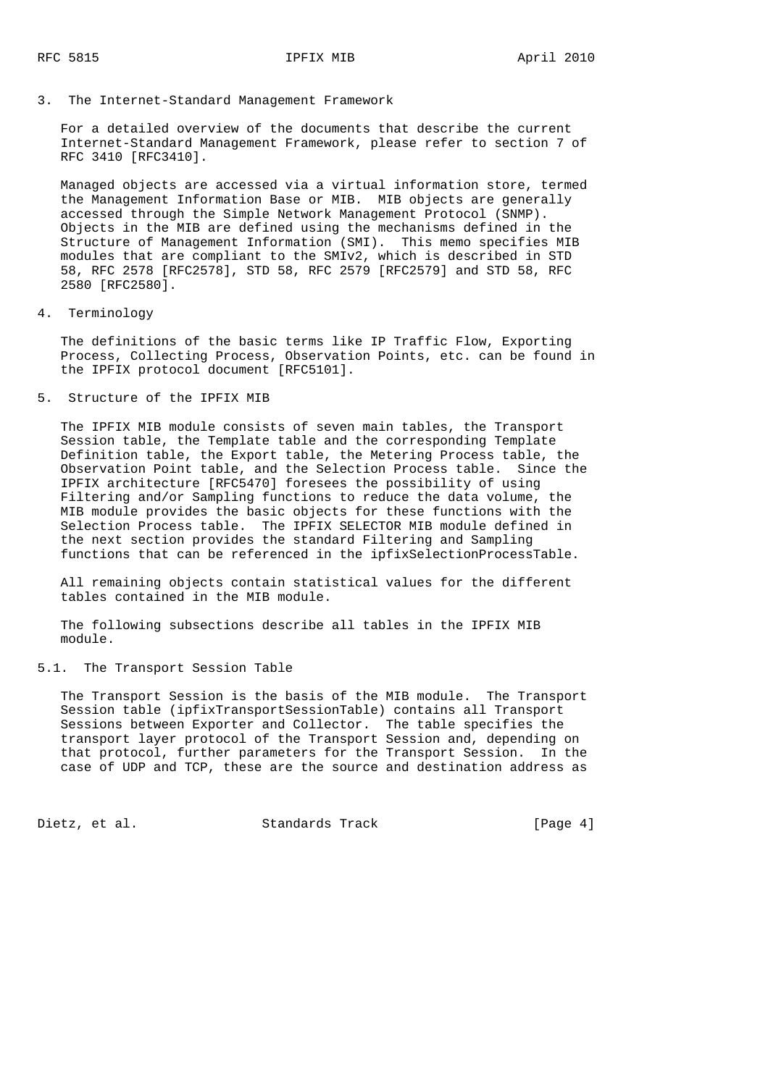3. The Internet-Standard Management Framework

 For a detailed overview of the documents that describe the current Internet-Standard Management Framework, please refer to section 7 of RFC 3410 [RFC3410].

 Managed objects are accessed via a virtual information store, termed the Management Information Base or MIB. MIB objects are generally accessed through the Simple Network Management Protocol (SNMP). Objects in the MIB are defined using the mechanisms defined in the Structure of Management Information (SMI). This memo specifies MIB modules that are compliant to the SMIv2, which is described in STD 58, RFC 2578 [RFC2578], STD 58, RFC 2579 [RFC2579] and STD 58, RFC 2580 [RFC2580].

4. Terminology

 The definitions of the basic terms like IP Traffic Flow, Exporting Process, Collecting Process, Observation Points, etc. can be found in the IPFIX protocol document [RFC5101].

5. Structure of the IPFIX MIB

 The IPFIX MIB module consists of seven main tables, the Transport Session table, the Template table and the corresponding Template Definition table, the Export table, the Metering Process table, the Observation Point table, and the Selection Process table. Since the IPFIX architecture [RFC5470] foresees the possibility of using Filtering and/or Sampling functions to reduce the data volume, the MIB module provides the basic objects for these functions with the Selection Process table. The IPFIX SELECTOR MIB module defined in the next section provides the standard Filtering and Sampling functions that can be referenced in the ipfixSelectionProcessTable.

 All remaining objects contain statistical values for the different tables contained in the MIB module.

 The following subsections describe all tables in the IPFIX MIB module.

5.1. The Transport Session Table

 The Transport Session is the basis of the MIB module. The Transport Session table (ipfixTransportSessionTable) contains all Transport Sessions between Exporter and Collector. The table specifies the transport layer protocol of the Transport Session and, depending on that protocol, further parameters for the Transport Session. In the case of UDP and TCP, these are the source and destination address as

Dietz, et al. Standards Track [Page 4]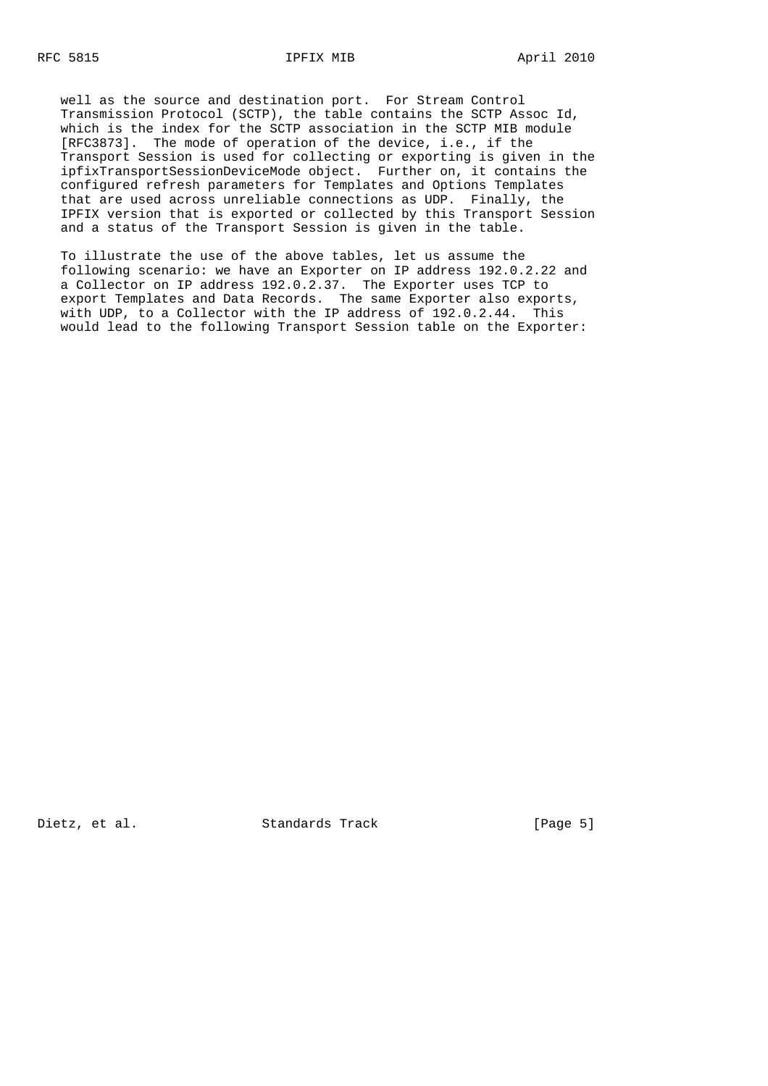well as the source and destination port. For Stream Control Transmission Protocol (SCTP), the table contains the SCTP Assoc Id, which is the index for the SCTP association in the SCTP MIB module [RFC3873]. The mode of operation of the device, i.e., if the Transport Session is used for collecting or exporting is given in the ipfixTransportSessionDeviceMode object. Further on, it contains the configured refresh parameters for Templates and Options Templates that are used across unreliable connections as UDP. Finally, the IPFIX version that is exported or collected by this Transport Session and a status of the Transport Session is given in the table.

 To illustrate the use of the above tables, let us assume the following scenario: we have an Exporter on IP address 192.0.2.22 and a Collector on IP address 192.0.2.37. The Exporter uses TCP to export Templates and Data Records. The same Exporter also exports, with UDP, to a Collector with the IP address of 192.0.2.44. This would lead to the following Transport Session table on the Exporter:

Dietz, et al. Standards Track [Page 5]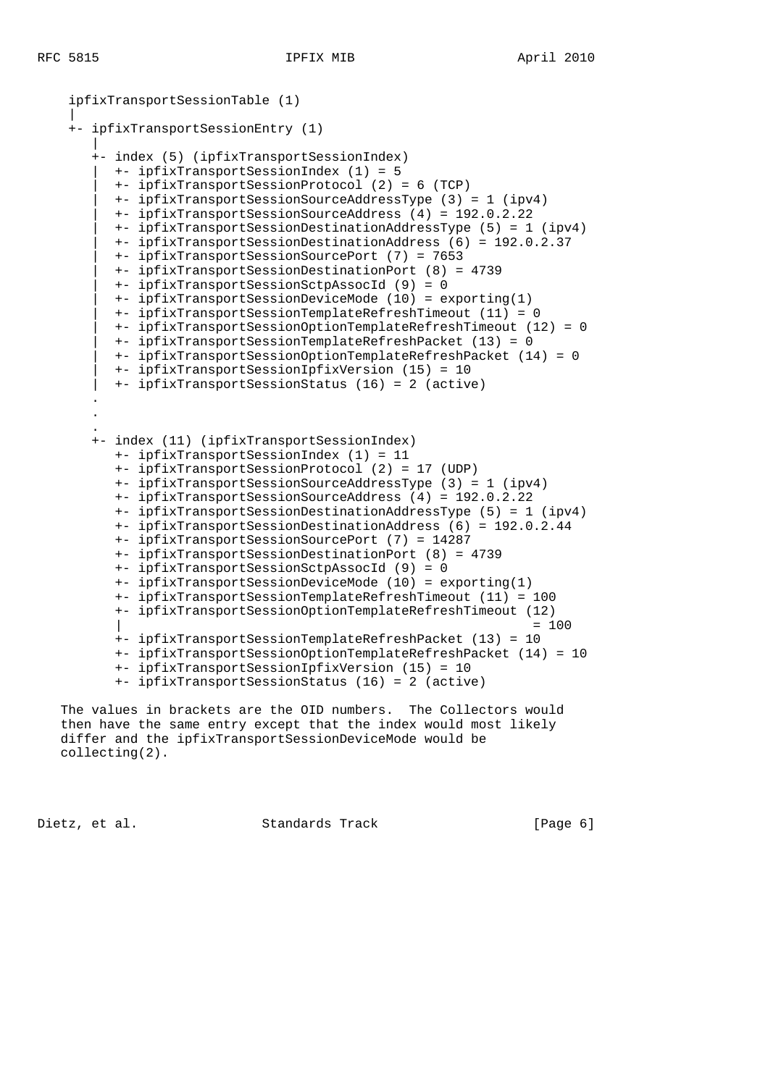```
 ipfixTransportSessionTable (1)
 |
    +- ipfixTransportSessionEntry (1)
 |
       +- index (5) (ipfixTransportSessionIndex)
          | +- ipfixTransportSessionIndex (1) = 5
          | +- ipfixTransportSessionProtocol (2) = 6 (TCP)
          | +- ipfixTransportSessionSourceAddressType (3) = 1 (ipv4)
          | +- ipfixTransportSessionSourceAddress (4) = 192.0.2.22
          | +- ipfixTransportSessionDestinationAddressType (5) = 1 (ipv4)
          | +- ipfixTransportSessionDestinationAddress (6) = 192.0.2.37
          | +- ipfixTransportSessionSourcePort (7) = 7653
          | +- ipfixTransportSessionDestinationPort (8) = 4739
          | +- ipfixTransportSessionSctpAssocId (9) = 0
          | +- ipfixTransportSessionDeviceMode (10) = exporting(1)
          | +- ipfixTransportSessionTemplateRefreshTimeout (11) = 0
          | +- ipfixTransportSessionOptionTemplateRefreshTimeout (12) = 0
          | +- ipfixTransportSessionTemplateRefreshPacket (13) = 0
          | +- ipfixTransportSessionOptionTemplateRefreshPacket (14) = 0
          | +- ipfixTransportSessionIpfixVersion (15) = 10
          | +- ipfixTransportSessionStatus (16) = 2 (active)
 .
 .
 .
       +- index (11) (ipfixTransportSessionIndex)
          +- ipfixTransportSessionIndex (1) = 11
          +- ipfixTransportSessionProtocol (2) = 17 (UDP)
          +- ipfixTransportSessionSourceAddressType (3) = 1 (ipv4)
          +- ipfixTransportSessionSourceAddress (4) = 192.0.2.22
          +- ipfixTransportSessionDestinationAddressType (5) = 1 (ipv4)
          +- ipfixTransportSessionDestinationAddress (6) = 192.0.2.44
          +- ipfixTransportSessionSourcePort (7) = 14287
          +- ipfixTransportSessionDestinationPort (8) = 4739
          +- ipfixTransportSessionSctpAssocId (9) = 0
          +- ipfixTransportSessionDeviceMode (10) = exporting(1)
          +- ipfixTransportSessionTemplateRefreshTimeout (11) = 100
          +- ipfixTransportSessionOptionTemplateRefreshTimeout (12)
\vert = 100
          +- ipfixTransportSessionTemplateRefreshPacket (13) = 10
          +- ipfixTransportSessionOptionTemplateRefreshPacket (14) = 10
          +- ipfixTransportSessionIpfixVersion (15) = 10
          +- ipfixTransportSessionStatus (16) = 2 (active)
```
 The values in brackets are the OID numbers. The Collectors would then have the same entry except that the index would most likely differ and the ipfixTransportSessionDeviceMode would be collecting(2).

Dietz, et al. Standards Track [Page 6]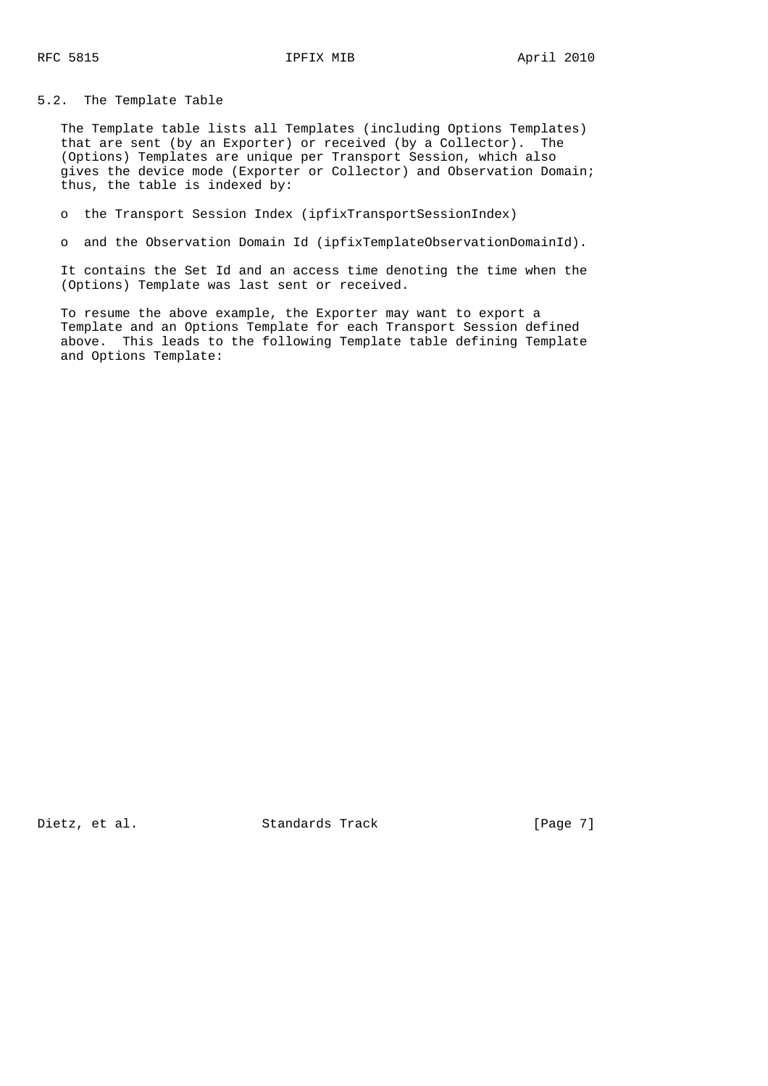5.2. The Template Table

 The Template table lists all Templates (including Options Templates) that are sent (by an Exporter) or received (by a Collector). The (Options) Templates are unique per Transport Session, which also gives the device mode (Exporter or Collector) and Observation Domain; thus, the table is indexed by:

o the Transport Session Index (ipfixTransportSessionIndex)

o and the Observation Domain Id (ipfixTemplateObservationDomainId).

 It contains the Set Id and an access time denoting the time when the (Options) Template was last sent or received.

 To resume the above example, the Exporter may want to export a Template and an Options Template for each Transport Session defined above. This leads to the following Template table defining Template and Options Template:

Dietz, et al. Standards Track [Page 7]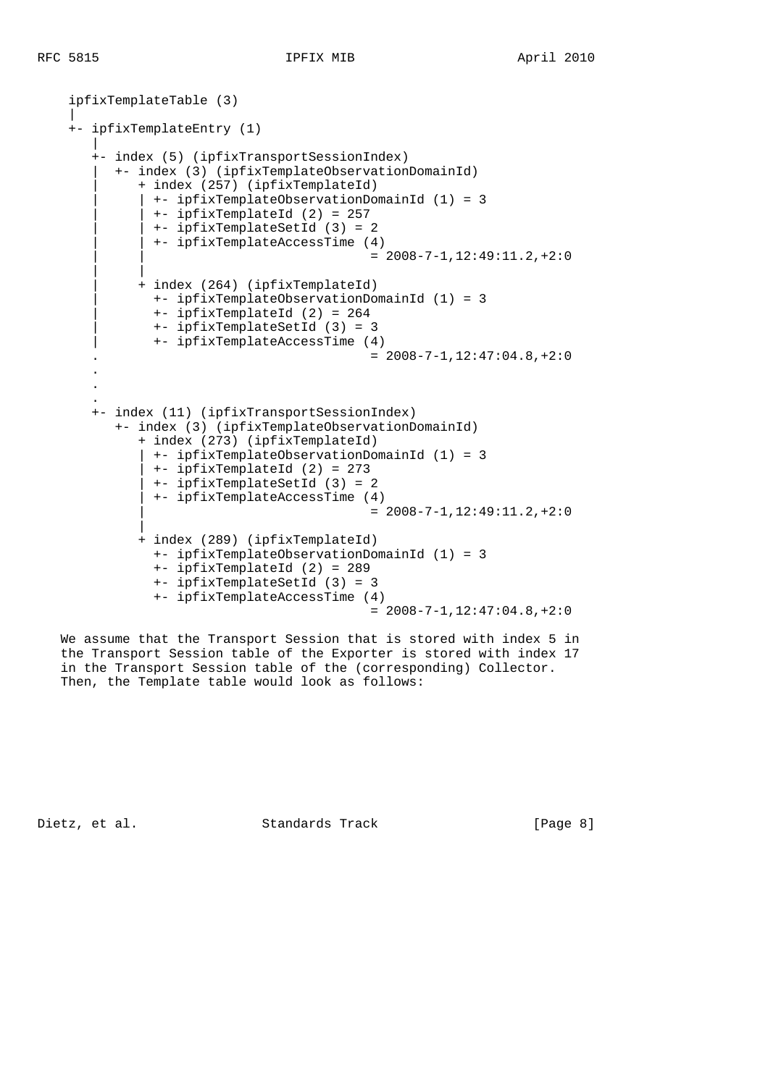|

```
 ipfixTemplateTable (3)
     +- ipfixTemplateEntry (1)
 |
        +- index (5) (ipfixTransportSessionIndex)
          | +- index (3) (ipfixTemplateObservationDomainId)
              | + index (257) (ipfixTemplateId)
               | | +- ipfixTemplateObservationDomainId (1) = 3
               | | +- ipfixTemplateId (2) = 257
               | | +- ipfixTemplateSetId (3) = 2
               | | +- ipfixTemplateAccessTime (4)
                                            = 2008 - 7 - 1,12:49:11.2,+2:0 | |
              | + index (264) (ipfixTemplateId)
                | +- ipfixTemplateObservationDomainId (1) = 3
                | +- ipfixTemplateId (2) = 264
                | +- ipfixTemplateSetId (3) = 3
                | +- ipfixTemplateAccessTime (4)
                                            = 2008 - 7 - 1, 12:47:04.8, +2:0 .
 .
 .
       +- index (11) (ipfixTransportSessionIndex)
           +- index (3) (ipfixTemplateObservationDomainId)
              + index (273) (ipfixTemplateId)
                | +- ipfixTemplateObservationDomainId (1) = 3
               | +- ipfixTemplateId (2) = 273
               | +- ipfixTemplateSetId (3) = 2
               | +- ipfixTemplateAccessTime (4)
                                            = 2008 - 7 - 1,12:49:11.2,+2:0 |
              + index (289) (ipfixTemplateId)
                +- ipfixTemplateObservationDomainId (1) = 3
                +- ipfixTemplateId (2) = 289
                +- ipfixTemplateSetId (3) = 3
                +- ipfixTemplateAccessTime (4)
                                            = 2008 - 7 - 1,12:47:04.8,+2:0
```
 We assume that the Transport Session that is stored with index 5 in the Transport Session table of the Exporter is stored with index 17 in the Transport Session table of the (corresponding) Collector. Then, the Template table would look as follows:

Dietz, et al. Standards Track [Page 8]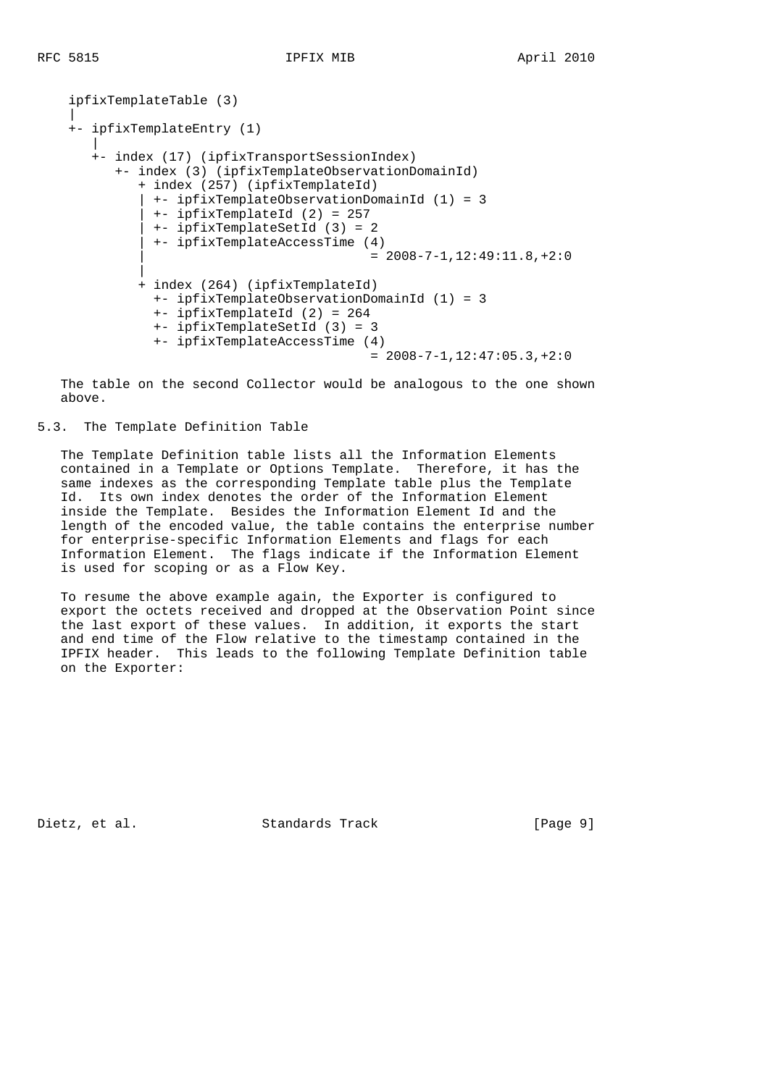```
 ipfixTemplateTable (3)
 |
     +- ipfixTemplateEntry (1)
 |
       +- index (17) (ipfixTransportSessionIndex)
           +- index (3) (ipfixTemplateObservationDomainId)
              + index (257) (ipfixTemplateId)
               | +- ipfixTemplateObservationDomainId (1) = 3
               | +- ipfixTemplateId (2) = 257
               | +- ipfixTemplateSetId (3) = 2
               | +- ipfixTemplateAccessTime (4)
                                           = 2008 - 7 - 1,12:49:11.8,+2:0 |
              + index (264) (ipfixTemplateId)
                +- ipfixTemplateObservationDomainId (1) = 3
                +- ipfixTemplateId (2) = 264
                +- ipfixTemplateSetId (3) = 3
                +- ipfixTemplateAccessTime (4)
                                           = 2008 - 7 - 1,12:47:05.3,+2:0
```
 The table on the second Collector would be analogous to the one shown above.

# 5.3. The Template Definition Table

 The Template Definition table lists all the Information Elements contained in a Template or Options Template. Therefore, it has the same indexes as the corresponding Template table plus the Template Id. Its own index denotes the order of the Information Element inside the Template. Besides the Information Element Id and the length of the encoded value, the table contains the enterprise number for enterprise-specific Information Elements and flags for each Information Element. The flags indicate if the Information Element is used for scoping or as a Flow Key.

 To resume the above example again, the Exporter is configured to export the octets received and dropped at the Observation Point since the last export of these values. In addition, it exports the start and end time of the Flow relative to the timestamp contained in the IPFIX header. This leads to the following Template Definition table on the Exporter:

Dietz, et al. Standards Track [Page 9]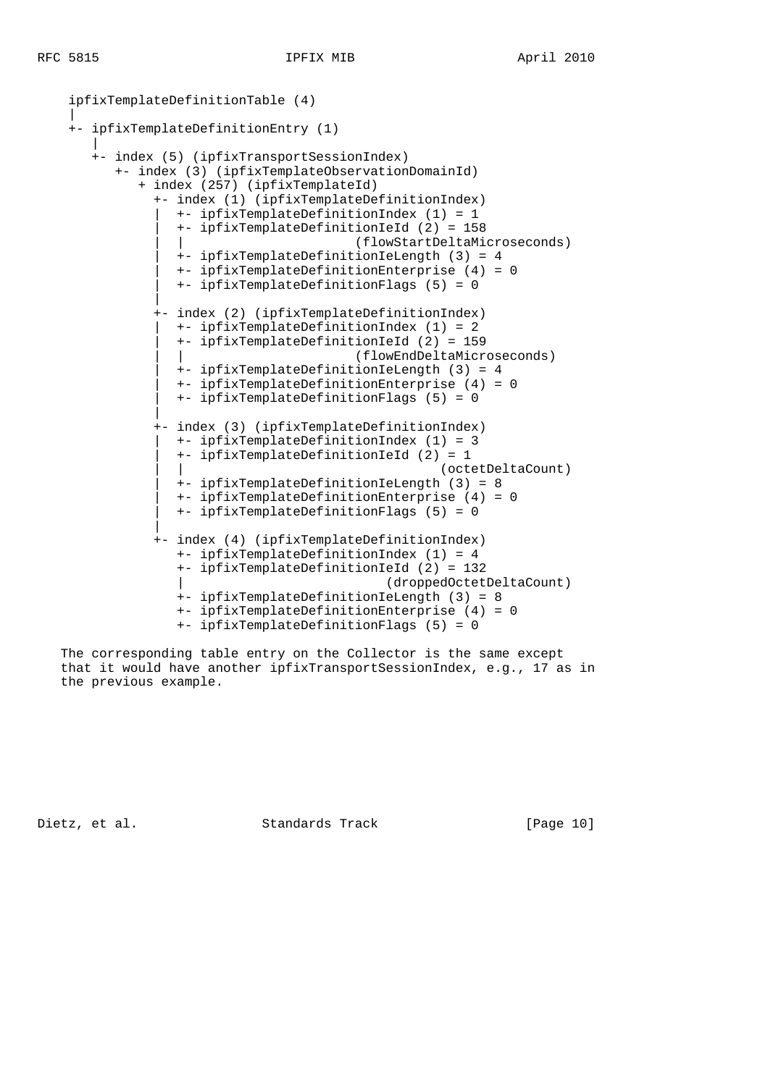|

```
 ipfixTemplateDefinitionTable (4)
     +- ipfixTemplateDefinitionEntry (1)
 |
        +- index (5) (ipfixTransportSessionIndex)
           +- index (3) (ipfixTemplateObservationDomainId)
              + index (257) (ipfixTemplateId)
                +- index (1) (ipfixTemplateDefinitionIndex)
                  | +- ipfixTemplateDefinitionIndex (1) = 1
                  | +- ipfixTemplateDefinitionIeId (2) = 158
                                          | | (flowStartDeltaMicroseconds)
                   | +- ipfixTemplateDefinitionIeLength (3) = 4
                   | +- ipfixTemplateDefinitionEnterprise (4) = 0
                   | +- ipfixTemplateDefinitionFlags (5) = 0
 |
                +- index (2) (ipfixTemplateDefinitionIndex)
                  | +- ipfixTemplateDefinitionIndex (1) = 2
                   | +- ipfixTemplateDefinitionIeId (2) = 159
                                          | | (flowEndDeltaMicroseconds)
                   | +- ipfixTemplateDefinitionIeLength (3) = 4
                   | +- ipfixTemplateDefinitionEnterprise (4) = 0
                   | +- ipfixTemplateDefinitionFlags (5) = 0
 |
                +- index (3) (ipfixTemplateDefinitionIndex)
                   | +- ipfixTemplateDefinitionIndex (1) = 3
                   | +- ipfixTemplateDefinitionIeId (2) = 1
                                                      | | (octetDeltaCount)
                   | +- ipfixTemplateDefinitionIeLength (3) = 8
                   | +- ipfixTemplateDefinitionEnterprise (4) = 0
                   | +- ipfixTemplateDefinitionFlags (5) = 0
 |
                +- index (4) (ipfixTemplateDefinitionIndex)
                   +- ipfixTemplateDefinitionIndex (1) = 4
                   +- ipfixTemplateDefinitionIeId (2) = 132
                                               | (droppedOctetDeltaCount)
                   +- ipfixTemplateDefinitionIeLength (3) = 8
                   +- ipfixTemplateDefinitionEnterprise (4) = 0
                   +- ipfixTemplateDefinitionFlags (5) = 0
```
 The corresponding table entry on the Collector is the same except that it would have another ipfixTransportSessionIndex, e.g., 17 as in the previous example.

Dietz, et al. Standards Track [Page 10]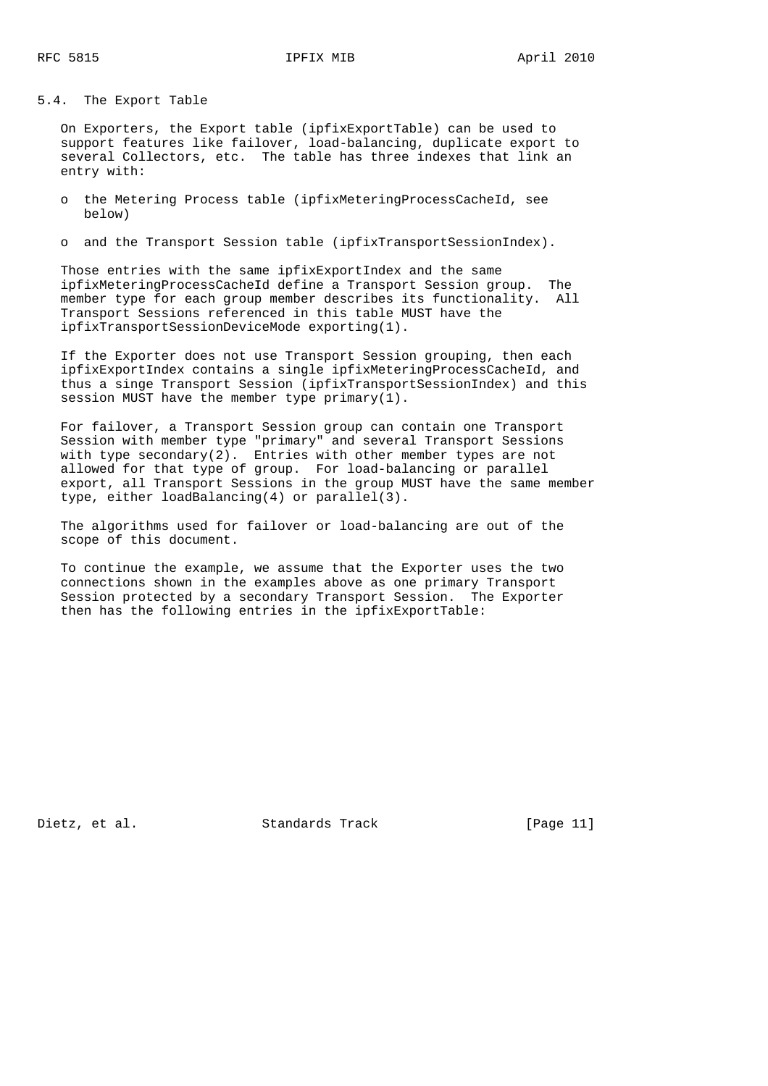5.4. The Export Table

 On Exporters, the Export table (ipfixExportTable) can be used to support features like failover, load-balancing, duplicate export to several Collectors, etc. The table has three indexes that link an entry with:

 o the Metering Process table (ipfixMeteringProcessCacheId, see below)

o and the Transport Session table (ipfixTransportSessionIndex).

 Those entries with the same ipfixExportIndex and the same ipfixMeteringProcessCacheId define a Transport Session group. The member type for each group member describes its functionality. All Transport Sessions referenced in this table MUST have the ipfixTransportSessionDeviceMode exporting(1).

 If the Exporter does not use Transport Session grouping, then each ipfixExportIndex contains a single ipfixMeteringProcessCacheId, and thus a singe Transport Session (ipfixTransportSessionIndex) and this session MUST have the member type primary(1).

 For failover, a Transport Session group can contain one Transport Session with member type "primary" and several Transport Sessions with type secondary(2). Entries with other member types are not allowed for that type of group. For load-balancing or parallel export, all Transport Sessions in the group MUST have the same member type, either loadBalancing(4) or parallel(3).

 The algorithms used for failover or load-balancing are out of the scope of this document.

 To continue the example, we assume that the Exporter uses the two connections shown in the examples above as one primary Transport Session protected by a secondary Transport Session. The Exporter then has the following entries in the ipfixExportTable:

Dietz, et al. Standards Track [Page 11]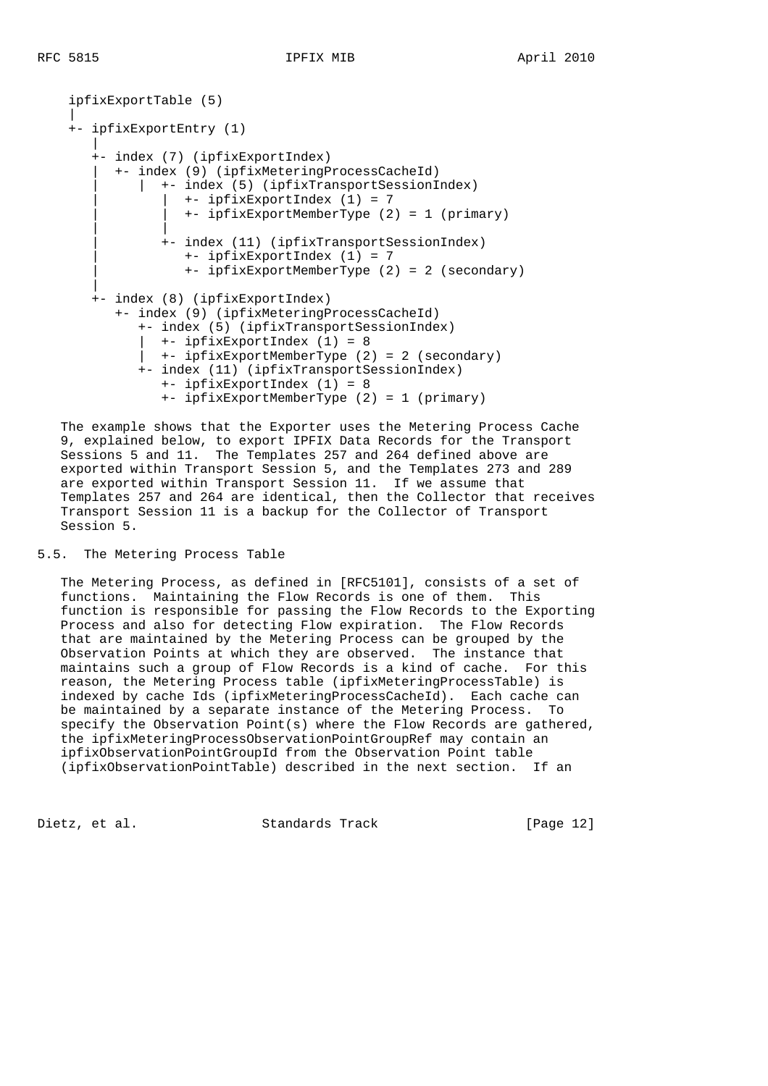```
 ipfixExportTable (5)
 |
     +- ipfixExportEntry (1)
 |
        +- index (7) (ipfixExportIndex)
          | +- index (9) (ipfixMeteringProcessCacheId)
              | | +- index (5) (ipfixTransportSessionIndex)
                   | | +- ipfixExportIndex (1) = 7
                   | | +- ipfixExportMemberType (2) = 1 (primary)
 | |
                 | +- index (11) (ipfixTransportSessionIndex)
                    | +- ipfixExportIndex (1) = 7
                    | +- ipfixExportMemberType (2) = 2 (secondary)
 |
       +- index (8) (ipfixExportIndex)
           +- index (9) (ipfixMeteringProcessCacheId)
              +- index (5) (ipfixTransportSessionIndex)
                | +- ipfixExportIndex (1) = 8
              | +- ipfixExportMemberType (2) = 2 (secondary)
              +- index (11) (ipfixTransportSessionIndex)
                 +- ipfixExportIndex (1) = 8
                 +- ipfixExportMemberType (2) = 1 (primary)
```
 The example shows that the Exporter uses the Metering Process Cache 9, explained below, to export IPFIX Data Records for the Transport Sessions 5 and 11. The Templates 257 and 264 defined above are exported within Transport Session 5, and the Templates 273 and 289 are exported within Transport Session 11. If we assume that Templates 257 and 264 are identical, then the Collector that receives Transport Session 11 is a backup for the Collector of Transport Session 5.

### 5.5. The Metering Process Table

 The Metering Process, as defined in [RFC5101], consists of a set of functions. Maintaining the Flow Records is one of them. This function is responsible for passing the Flow Records to the Exporting Process and also for detecting Flow expiration. The Flow Records that are maintained by the Metering Process can be grouped by the Observation Points at which they are observed. The instance that maintains such a group of Flow Records is a kind of cache. For this reason, the Metering Process table (ipfixMeteringProcessTable) is indexed by cache Ids (ipfixMeteringProcessCacheId). Each cache can be maintained by a separate instance of the Metering Process. To specify the Observation Point(s) where the Flow Records are gathered, the ipfixMeteringProcessObservationPointGroupRef may contain an ipfixObservationPointGroupId from the Observation Point table (ipfixObservationPointTable) described in the next section. If an

Dietz, et al. Standards Track [Page 12]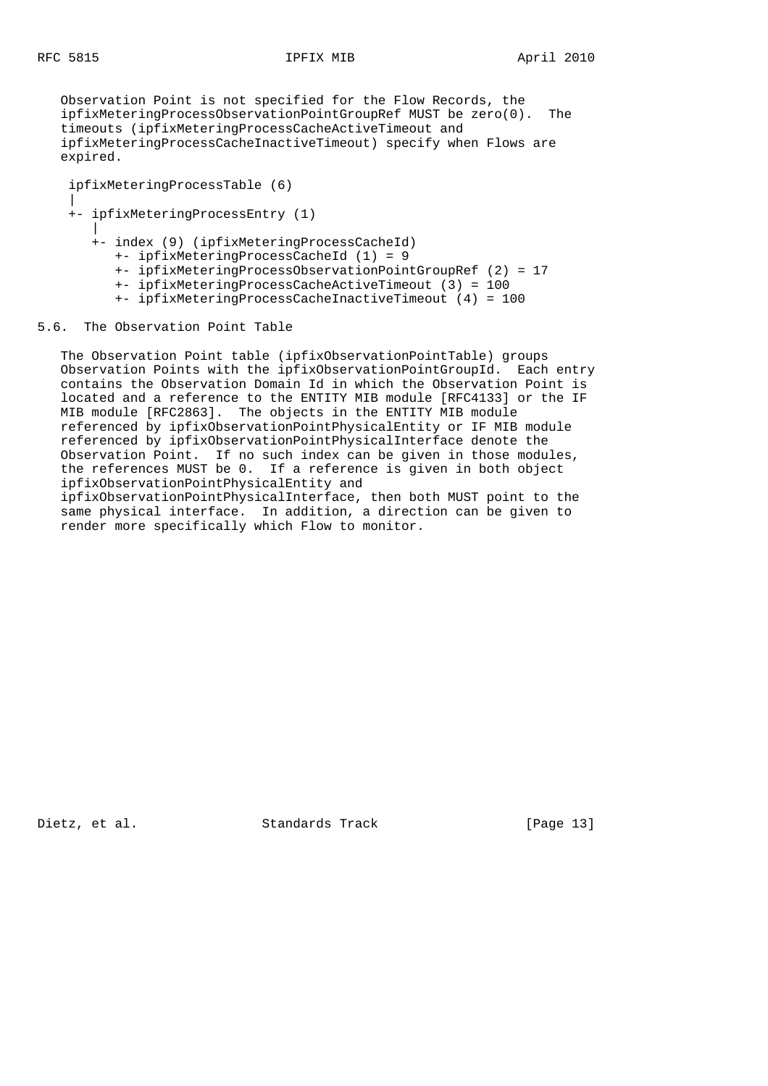Observation Point is not specified for the Flow Records, the ipfixMeteringProcessObservationPointGroupRef MUST be zero(0). The timeouts (ipfixMeteringProcessCacheActiveTimeout and ipfixMeteringProcessCacheInactiveTimeout) specify when Flows are expired.

 ipfixMeteringProcessTable (6) | +- ipfixMeteringProcessEntry (1) | +- index (9) (ipfixMeteringProcessCacheId) +- ipfixMeteringProcessCacheId (1) = 9 +- ipfixMeteringProcessObservationPointGroupRef (2) = 17 +- ipfixMeteringProcessCacheActiveTimeout (3) = 100 +- ipfixMeteringProcessCacheInactiveTimeout (4) = 100

### 5.6. The Observation Point Table

 The Observation Point table (ipfixObservationPointTable) groups Observation Points with the ipfixObservationPointGroupId. Each entry contains the Observation Domain Id in which the Observation Point is located and a reference to the ENTITY MIB module [RFC4133] or the IF MIB module [RFC2863]. The objects in the ENTITY MIB module referenced by ipfixObservationPointPhysicalEntity or IF MIB module referenced by ipfixObservationPointPhysicalInterface denote the Observation Point. If no such index can be given in those modules, the references MUST be 0. If a reference is given in both object ipfixObservationPointPhysicalEntity and ipfixObservationPointPhysicalInterface, then both MUST point to the same physical interface. In addition, a direction can be given to render more specifically which Flow to monitor.

Dietz, et al. Standards Track [Page 13]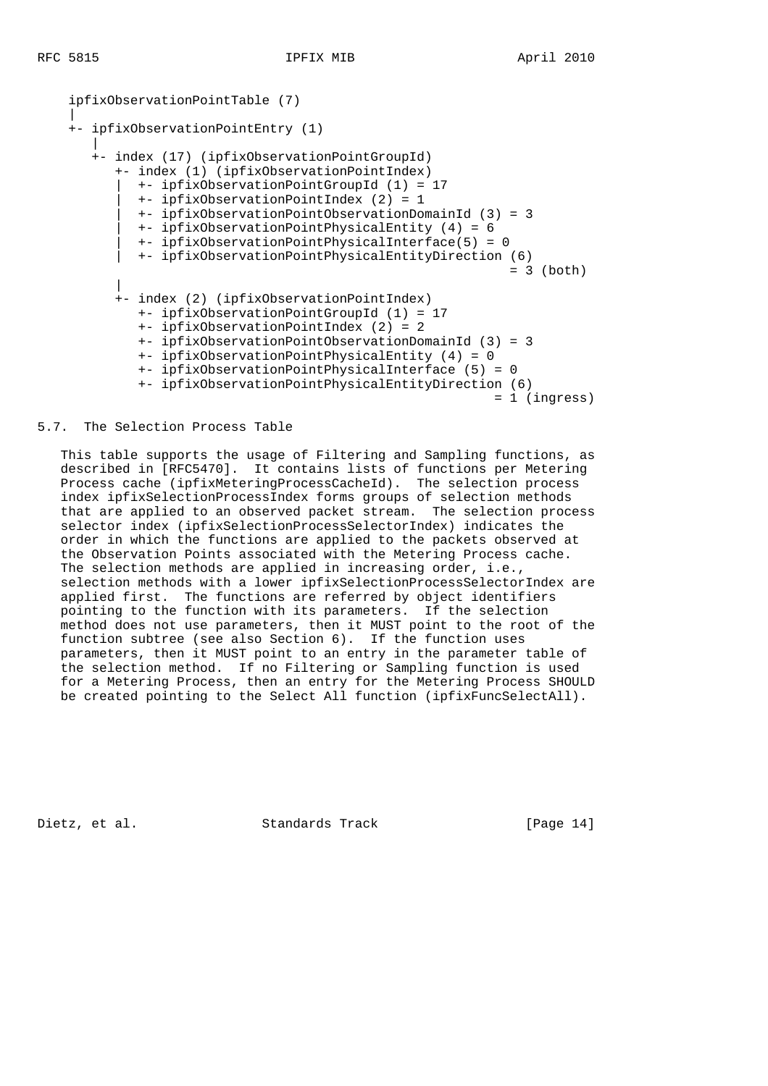```
 ipfixObservationPointTable (7)
 |
     +- ipfixObservationPointEntry (1)
 |
       +- index (17) (ipfixObservationPointGroupId)
           +- index (1) (ipfixObservationPointIndex)
             | +- ipfixObservationPointGroupId (1) = 17
             | +- ipfixObservationPointIndex (2) = 1
             | +- ipfixObservationPointObservationDomainId (3) = 3
             | +- ipfixObservationPointPhysicalEntity (4) = 6
             | +- ipfixObservationPointPhysicalInterface(5) = 0
             | +- ipfixObservationPointPhysicalEntityDirection (6)
                                                              = 3 (both)
 |
           +- index (2) (ipfixObservationPointIndex)
             +- ipfixObservationPointGroupId (1) = 17
             +- ipfixObservationPointIndex (2) = 2
             +- ipfixObservationPointObservationDomainId (3) = 3
              +- ipfixObservationPointPhysicalEntity (4) = 0
              +- ipfixObservationPointPhysicalInterface (5) = 0
              +- ipfixObservationPointPhysicalEntityDirection (6)
                                                             = 1 (ingress)
```
### 5.7. The Selection Process Table

 This table supports the usage of Filtering and Sampling functions, as described in [RFC5470]. It contains lists of functions per Metering Process cache (ipfixMeteringProcessCacheId). The selection process index ipfixSelectionProcessIndex forms groups of selection methods that are applied to an observed packet stream. The selection process selector index (ipfixSelectionProcessSelectorIndex) indicates the order in which the functions are applied to the packets observed at the Observation Points associated with the Metering Process cache. The selection methods are applied in increasing order, i.e., selection methods with a lower ipfixSelectionProcessSelectorIndex are applied first. The functions are referred by object identifiers pointing to the function with its parameters. If the selection method does not use parameters, then it MUST point to the root of the function subtree (see also Section 6). If the function uses parameters, then it MUST point to an entry in the parameter table of the selection method. If no Filtering or Sampling function is used for a Metering Process, then an entry for the Metering Process SHOULD be created pointing to the Select All function (ipfixFuncSelectAll).

Dietz, et al. Standards Track [Page 14]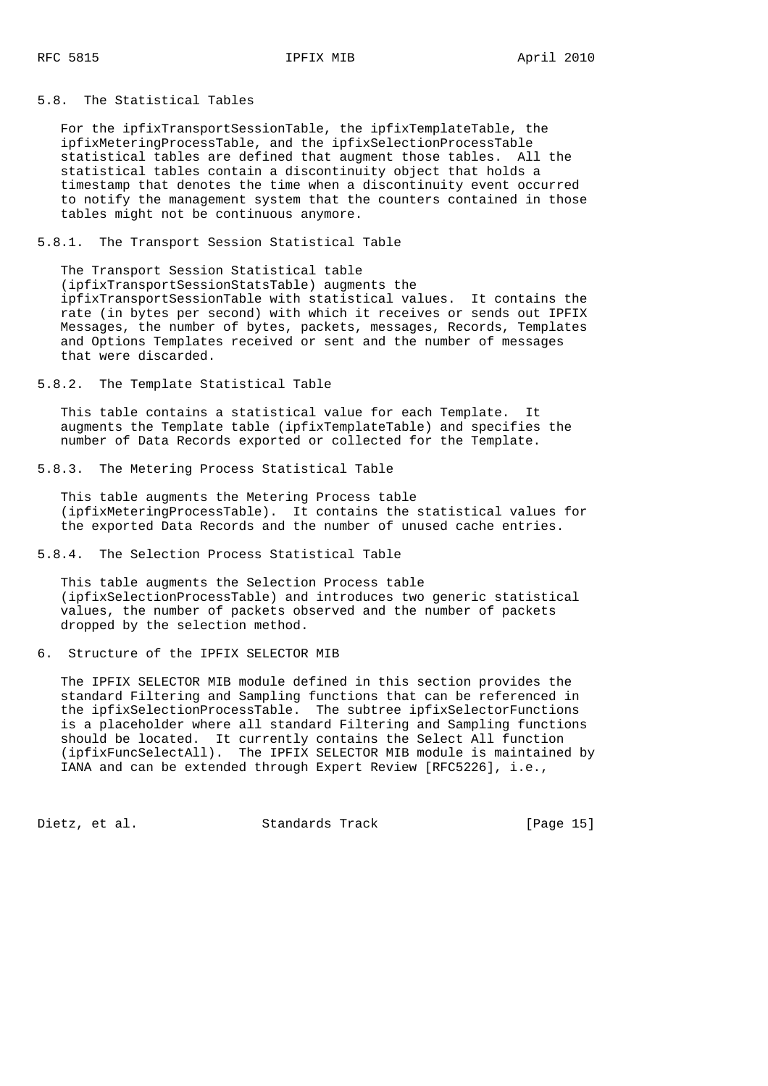5.8. The Statistical Tables

 For the ipfixTransportSessionTable, the ipfixTemplateTable, the ipfixMeteringProcessTable, and the ipfixSelectionProcessTable statistical tables are defined that augment those tables. All the statistical tables contain a discontinuity object that holds a timestamp that denotes the time when a discontinuity event occurred to notify the management system that the counters contained in those tables might not be continuous anymore.

5.8.1. The Transport Session Statistical Table

 The Transport Session Statistical table (ipfixTransportSessionStatsTable) augments the ipfixTransportSessionTable with statistical values. It contains the rate (in bytes per second) with which it receives or sends out IPFIX Messages, the number of bytes, packets, messages, Records, Templates and Options Templates received or sent and the number of messages that were discarded.

5.8.2. The Template Statistical Table

 This table contains a statistical value for each Template. It augments the Template table (ipfixTemplateTable) and specifies the number of Data Records exported or collected for the Template.

5.8.3. The Metering Process Statistical Table

 This table augments the Metering Process table (ipfixMeteringProcessTable). It contains the statistical values for the exported Data Records and the number of unused cache entries.

5.8.4. The Selection Process Statistical Table

 This table augments the Selection Process table (ipfixSelectionProcessTable) and introduces two generic statistical values, the number of packets observed and the number of packets dropped by the selection method.

6. Structure of the IPFIX SELECTOR MIB

 The IPFIX SELECTOR MIB module defined in this section provides the standard Filtering and Sampling functions that can be referenced in the ipfixSelectionProcessTable. The subtree ipfixSelectorFunctions is a placeholder where all standard Filtering and Sampling functions should be located. It currently contains the Select All function (ipfixFuncSelectAll). The IPFIX SELECTOR MIB module is maintained by IANA and can be extended through Expert Review [RFC5226], i.e.,

Dietz, et al. Standards Track [Page 15]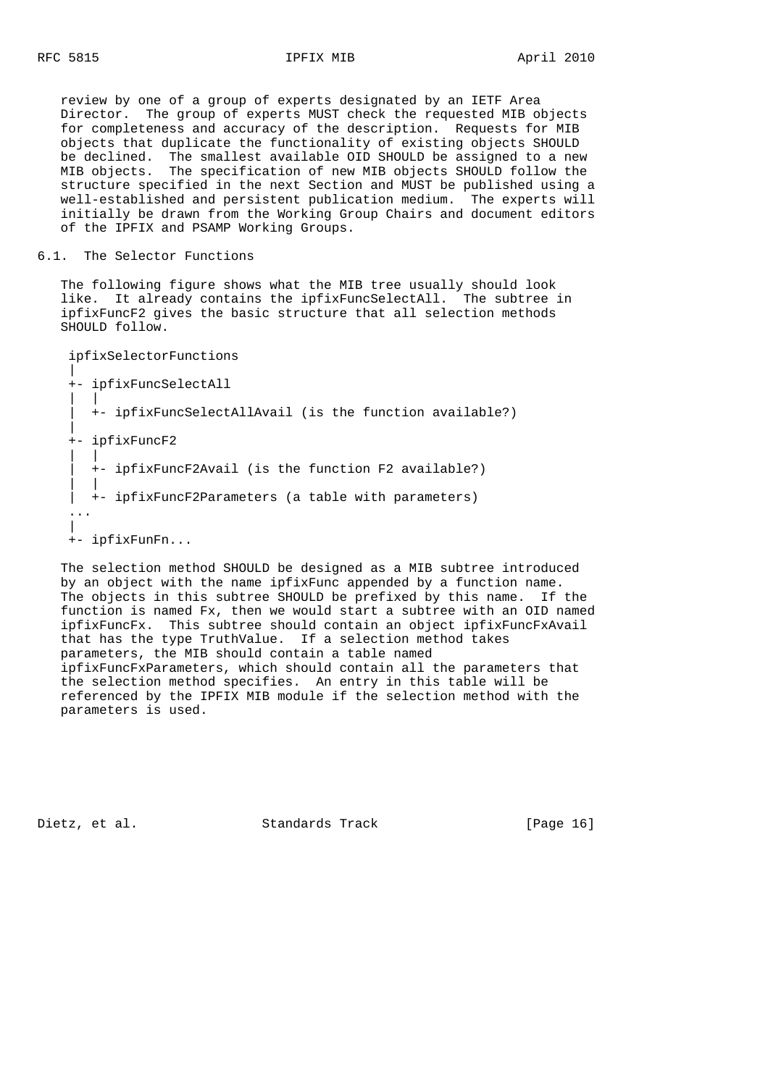review by one of a group of experts designated by an IETF Area Director. The group of experts MUST check the requested MIB objects for completeness and accuracy of the description. Requests for MIB objects that duplicate the functionality of existing objects SHOULD be declined. The smallest available OID SHOULD be assigned to a new MIB objects. The specification of new MIB objects SHOULD follow the structure specified in the next Section and MUST be published using a well-established and persistent publication medium. The experts will initially be drawn from the Working Group Chairs and document editors of the IPFIX and PSAMP Working Groups.

### 6.1. The Selector Functions

 The following figure shows what the MIB tree usually should look like. It already contains the ipfixFuncSelectAll. The subtree in ipfixFuncF2 gives the basic structure that all selection methods SHOULD follow.

```
 ipfixSelectorFunctions
|| || || || || ||
    +- ipfixFuncSelectAll
 | |
        | +- ipfixFuncSelectAllAvail (is the function available?)
 |
    +- ipfixFuncF2
 | |
        | +- ipfixFuncF2Avail (is the function F2 available?)
 | |
     | +- ipfixFuncF2Parameters (a table with parameters)
 ...
 |
    +- ipfixFunFn...
```
 The selection method SHOULD be designed as a MIB subtree introduced by an object with the name ipfixFunc appended by a function name. The objects in this subtree SHOULD be prefixed by this name. If the function is named Fx, then we would start a subtree with an OID named ipfixFuncFx. This subtree should contain an object ipfixFuncFxAvail that has the type TruthValue. If a selection method takes parameters, the MIB should contain a table named ipfixFuncFxParameters, which should contain all the parameters that the selection method specifies. An entry in this table will be referenced by the IPFIX MIB module if the selection method with the parameters is used.

Dietz, et al. Standards Track [Page 16]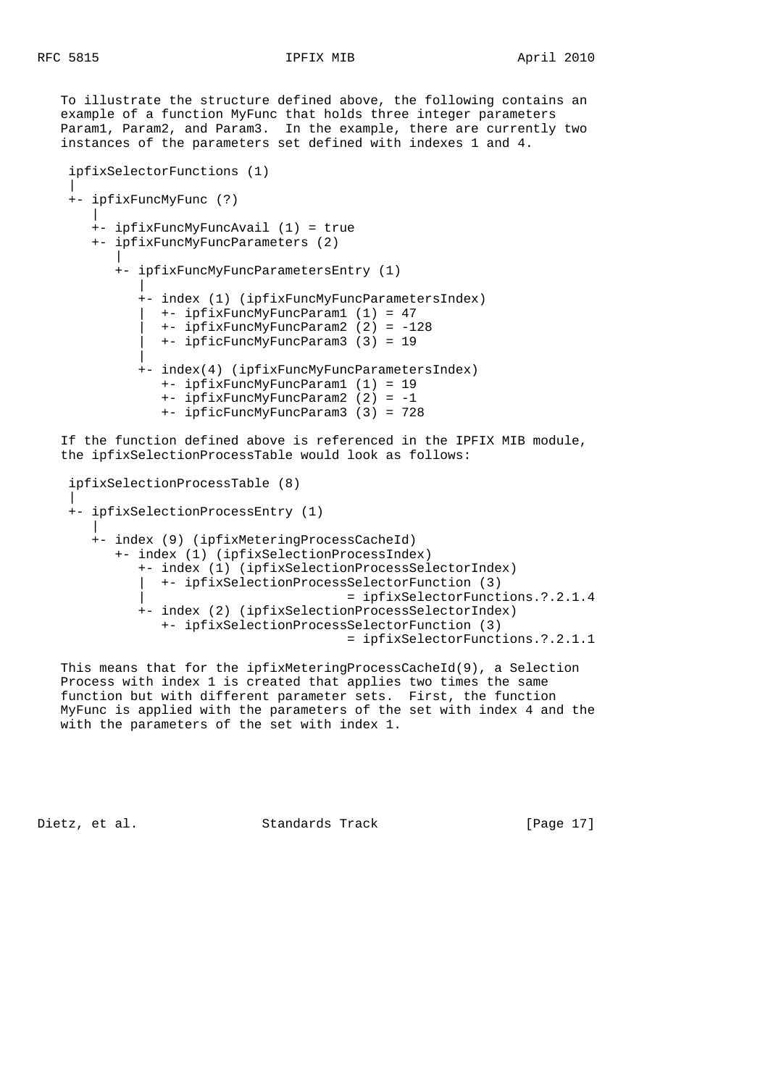To illustrate the structure defined above, the following contains an example of a function MyFunc that holds three integer parameters Param1, Param2, and Param3. In the example, there are currently two instances of the parameters set defined with indexes 1 and 4.

```
 ipfixSelectorFunctions (1)
 |
    +- ipfixFuncMyFunc (?)
 |
       +- ipfixFuncMyFuncAvail (1) = true
       +- ipfixFuncMyFuncParameters (2)
 |
          +- ipfixFuncMyFuncParametersEntry (1)
 |
             +- index (1) (ipfixFuncMyFuncParametersIndex)
               | +- ipfixFuncMyFuncParam1 (1) = 47
                | +- ipfixFuncMyFuncParam2 (2) = -128
               | +- ipficFuncMyFuncParam3 (3) = 19
 |
             +- index(4) (ipfixFuncMyFuncParametersIndex)
                +- ipfixFuncMyFuncParam1 (1) = 19
                +- ipfixFuncMyFuncParam2 (2) = -1
                +- ipficFuncMyFuncParam3 (3) = 728
```
 If the function defined above is referenced in the IPFIX MIB module, the ipfixSelectionProcessTable would look as follows:

```
 ipfixSelectionProcessTable (8)
|| || || || || ||
     +- ipfixSelectionProcessEntry (1)
 |
        +- index (9) (ipfixMeteringProcessCacheId)
           +- index (1) (ipfixSelectionProcessIndex)
              +- index (1) (ipfixSelectionProcessSelectorIndex)
                | +- ipfixSelectionProcessSelectorFunction (3)
                                          | = ipfixSelectorFunctions.?.2.1.4
              +- index (2) (ipfixSelectionProcessSelectorIndex)
                 +- ipfixSelectionProcessSelectorFunction (3)
                                           = ipfixSelectorFunctions.?.2.1.1
```
 This means that for the ipfixMeteringProcessCacheId(9), a Selection Process with index 1 is created that applies two times the same function but with different parameter sets. First, the function MyFunc is applied with the parameters of the set with index 4 and the with the parameters of the set with index 1.

Dietz, et al. Standards Track [Page 17]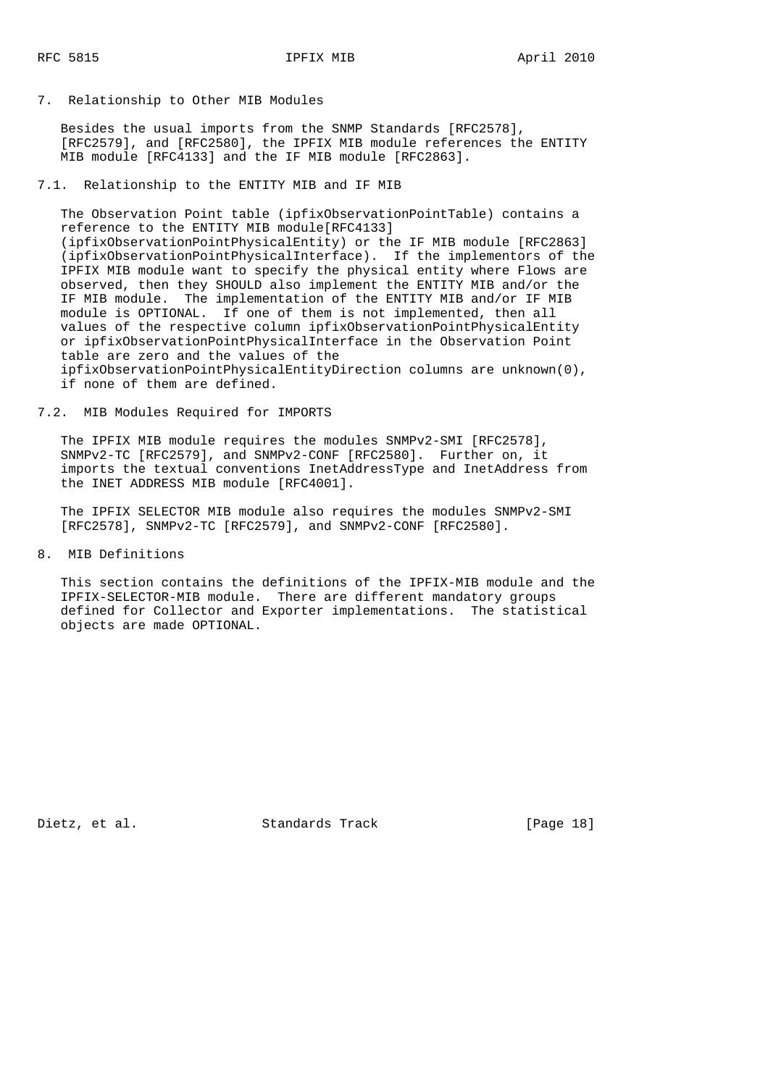7. Relationship to Other MIB Modules

 Besides the usual imports from the SNMP Standards [RFC2578], [RFC2579], and [RFC2580], the IPFIX MIB module references the ENTITY MIB module [RFC4133] and the IF MIB module [RFC2863].

7.1. Relationship to the ENTITY MIB and IF MIB

 The Observation Point table (ipfixObservationPointTable) contains a reference to the ENTITY MIB module[RFC4133] (ipfixObservationPointPhysicalEntity) or the IF MIB module [RFC2863] (ipfixObservationPointPhysicalInterface). If the implementors of the IPFIX MIB module want to specify the physical entity where Flows are observed, then they SHOULD also implement the ENTITY MIB and/or the IF MIB module. The implementation of the ENTITY MIB and/or IF MIB module is OPTIONAL. If one of them is not implemented, then all values of the respective column ipfixObservationPointPhysicalEntity or ipfixObservationPointPhysicalInterface in the Observation Point table are zero and the values of the ipfixObservationPointPhysicalEntityDirection columns are unknown(0), if none of them are defined.

### 7.2. MIB Modules Required for IMPORTS

 The IPFIX MIB module requires the modules SNMPv2-SMI [RFC2578], SNMPv2-TC [RFC2579], and SNMPv2-CONF [RFC2580]. Further on, it imports the textual conventions InetAddressType and InetAddress from the INET ADDRESS MIB module [RFC4001].

 The IPFIX SELECTOR MIB module also requires the modules SNMPv2-SMI [RFC2578], SNMPv2-TC [RFC2579], and SNMPv2-CONF [RFC2580].

8. MIB Definitions

 This section contains the definitions of the IPFIX-MIB module and the IPFIX-SELECTOR-MIB module. There are different mandatory groups defined for Collector and Exporter implementations. The statistical objects are made OPTIONAL.

Dietz, et al. Standards Track [Page 18]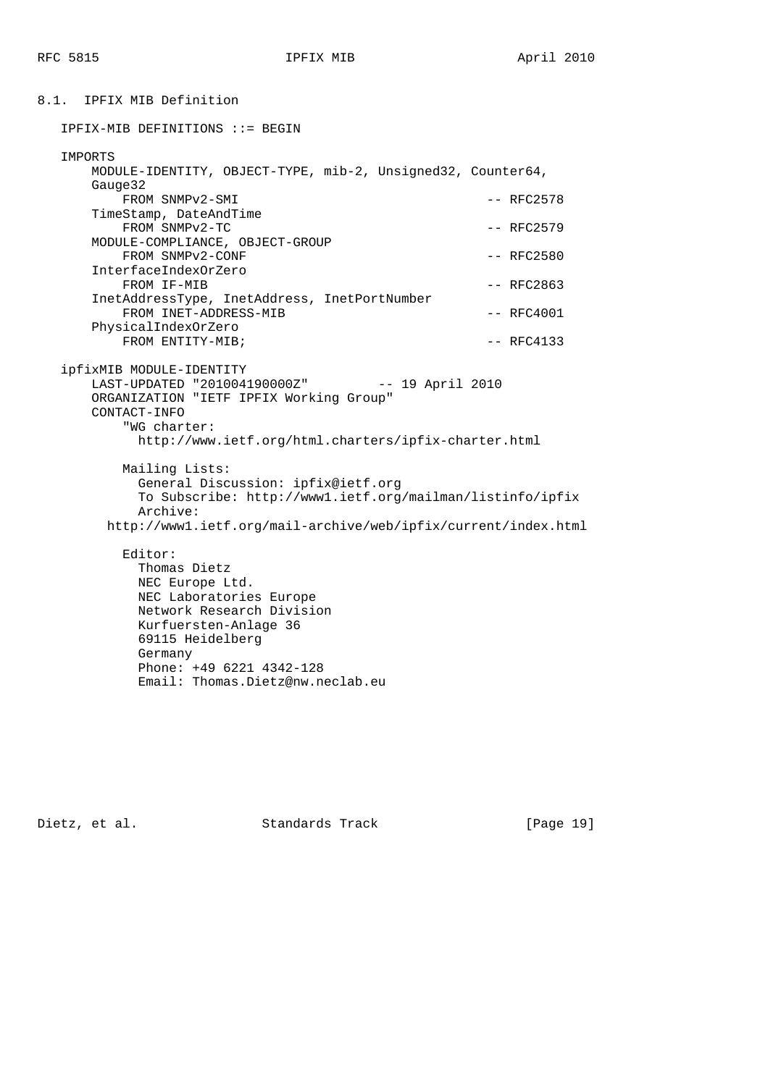8.1. IPFIX MIB Definition IPFIX-MIB DEFINITIONS ::= BEGIN IMPORTS MODULE-IDENTITY, OBJECT-TYPE, mib-2, Unsigned32, Counter64, Gauge32 FROM SNMPv2-SMI  $-$  RFC2578 TimeStamp, DateAndTime  $FROM \quad \text{SNNPv2-TC}$   $-- \quad \text{RFC2579}$  MODULE-COMPLIANCE, OBJECT-GROUP FROM SNMPv2-CONF  $-$  RFC2580 InterfaceIndexOrZero FROM IF-MIB  $-$  RFC2863 InetAddressType, InetAddress, InetPortNumber FROM INET-ADDRESS-MIB  $-$  RFC4001 PhysicalIndexOrZero FROM ENTITY-MIB;  $-$  RFC4133 ipfixMIB MODULE-IDENTITY LAST-UPDATED "201004190000Z" -- 19 April 2010 ORGANIZATION "IETF IPFIX Working Group" CONTACT-INFO "WG charter: http://www.ietf.org/html.charters/ipfix-charter.html Mailing Lists: General Discussion: ipfix@ietf.org To Subscribe: http://www1.ietf.org/mailman/listinfo/ipfix Archive: http://www1.ietf.org/mail-archive/web/ipfix/current/index.html Editor: Thomas Dietz NEC Europe Ltd. NEC Laboratories Europe Network Research Division Kurfuersten-Anlage 36 69115 Heidelberg Germany Phone: +49 6221 4342-128

Dietz, et al. Standards Track [Page 19]

Email: Thomas.Dietz@nw.neclab.eu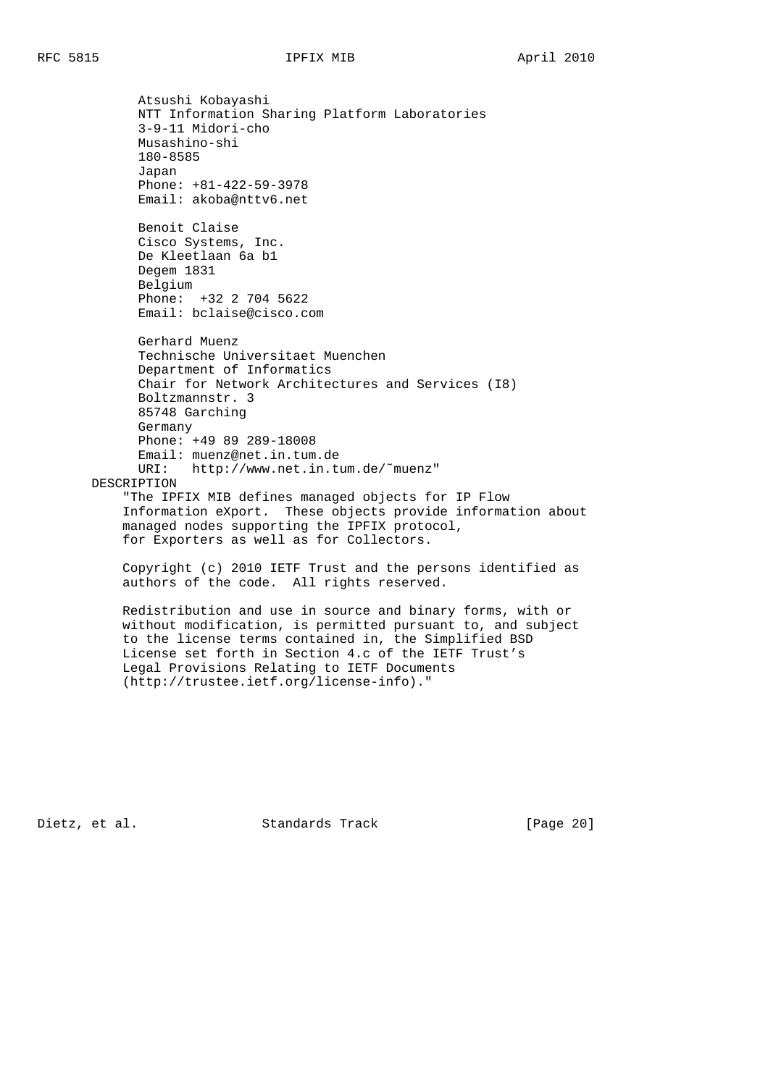Atsushi Kobayashi NTT Information Sharing Platform Laboratories 3-9-11 Midori-cho Musashino-shi 180-8585 Japan Phone: +81-422-59-3978 Email: akoba@nttv6.net Benoit Claise Cisco Systems, Inc. De Kleetlaan 6a b1 Degem 1831 Belgium Phone: +32 2 704 5622 Email: bclaise@cisco.com Gerhard Muenz Technische Universitaet Muenchen Department of Informatics Chair for Network Architectures and Services (I8) Boltzmannstr. 3 85748 Garching Germany Phone: +49 89 289-18008 Email: muenz@net.in.tum.de URI: http://www.net.in.tum.de/˜muenz" DESCRIPTION "The IPFIX MIB defines managed objects for IP Flow Information eXport. These objects provide information about managed nodes supporting the IPFIX protocol, for Exporters as well as for Collectors. Copyright (c) 2010 IETF Trust and the persons identified as authors of the code. All rights reserved.

 Redistribution and use in source and binary forms, with or without modification, is permitted pursuant to, and subject to the license terms contained in, the Simplified BSD License set forth in Section 4.c of the IETF Trust's Legal Provisions Relating to IETF Documents (http://trustee.ietf.org/license-info)."

Dietz, et al. Standards Track [Page 20]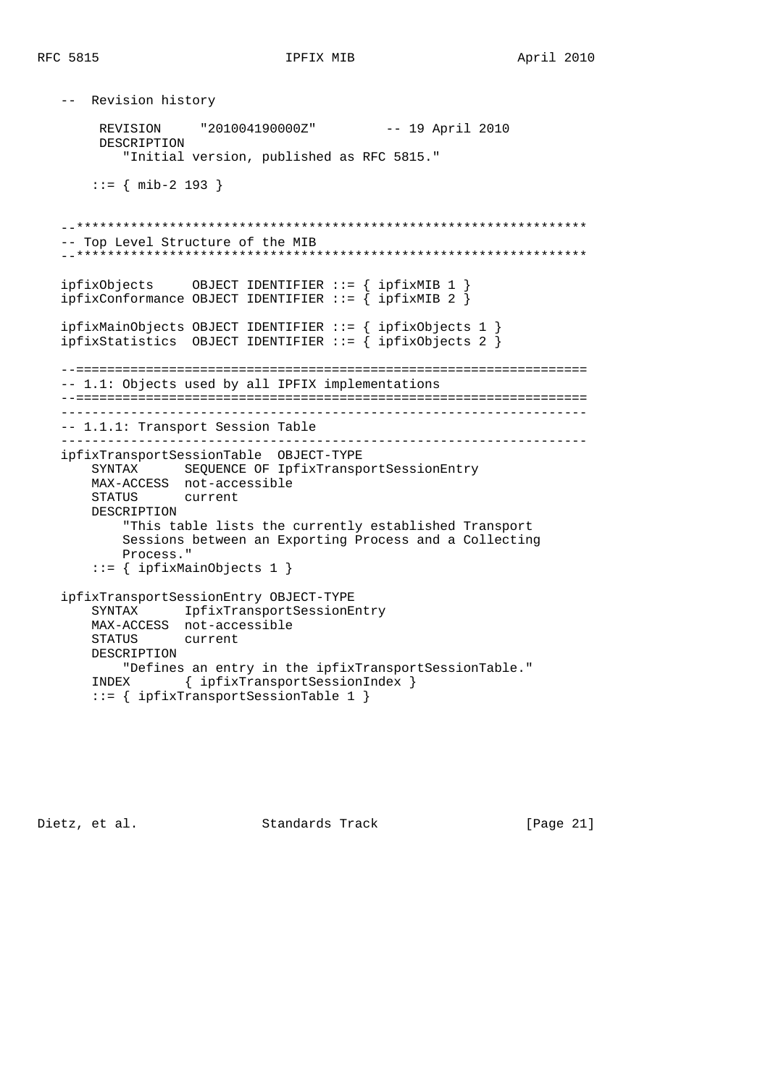```
 -- Revision history
        REVISION "201004190000Z" -- 19 April 2010
        DESCRIPTION
           "Initial version, published as RFC 5815."
       ::= { mib-2 193 }
   --******************************************************************
   -- Top Level Structure of the MIB
   --******************************************************************
 ipfixObjects OBJECT IDENTIFIER ::= { ipfixMIB 1 }
 ipfixConformance OBJECT IDENTIFIER ::= { ipfixMIB 2 }
   ipfixMainObjects OBJECT IDENTIFIER ::= { ipfixObjects 1 }
  ipfixStatistics OBJECT IDENTIFIER ::= { ipfixObjects 2 }
   --==================================================================
   -- 1.1: Objects used by all IPFIX implementations
   --==================================================================
    --------------------------------------------------------------------
   -- 1.1.1: Transport Session Table
    --------------------------------------------------------------------
   ipfixTransportSessionTable OBJECT-TYPE
       SYNTAX SEQUENCE OF IpfixTransportSessionEntry
       MAX-ACCESS not-accessible
       STATUS current
       DESCRIPTION
           "This table lists the currently established Transport
           Sessions between an Exporting Process and a Collecting
           Process."
       ::= { ipfixMainObjects 1 }
   ipfixTransportSessionEntry OBJECT-TYPE
       SYNTAX IpfixTransportSessionEntry
       MAX-ACCESS not-accessible
       STATUS current
       DESCRIPTION
          "Defines an entry in the ipfixTransportSessionTable."
       INDEX { ipfixTransportSessionIndex }
       ::= { ipfixTransportSessionTable 1 }
```
Dietz, et al. Standards Track [Page 21]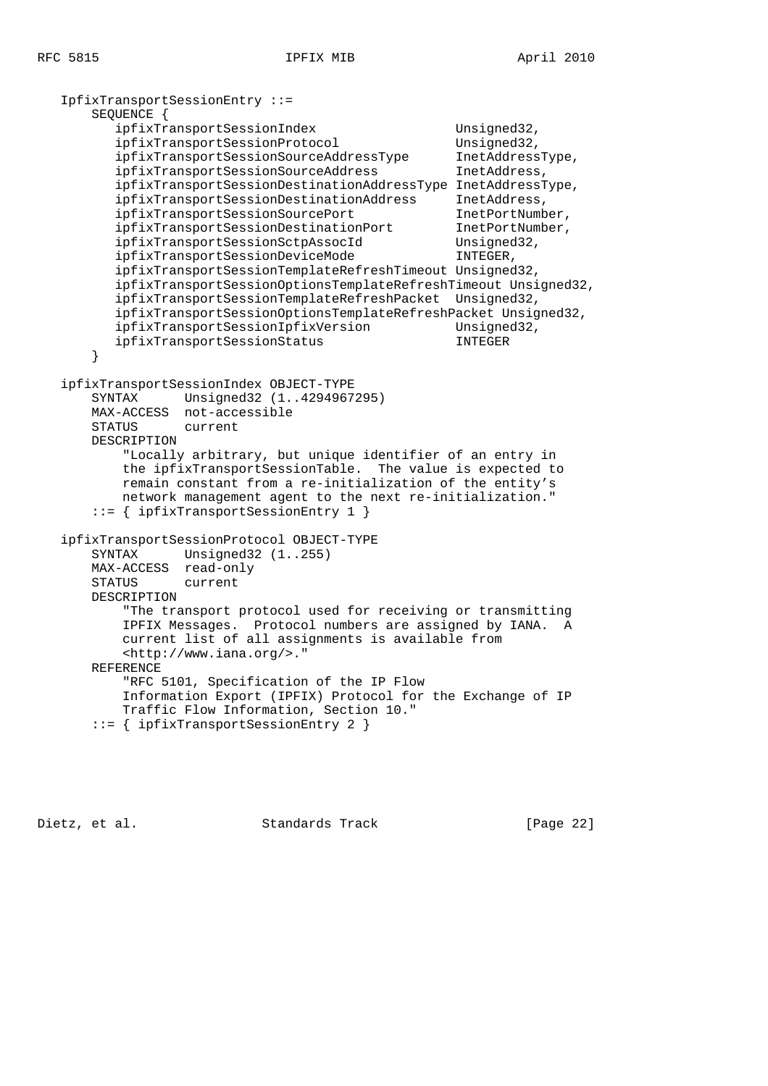IpfixTransportSessionEntry ::= SEQUENCE { ipfixTransportSessionIndex Unsigned32, ipfixTransportSessionProtocol Unsigned32, ipfixTransportSessionSourceAddressType InetAddressType, ipfixTransportSessionSourceAddress InetAddress, ipfixTransportSessionDestinationAddressType InetAddressType, ipfixTransportSessionDestinationAddress InetAddress, ipfixTransportSessionSourcePort InetPortNumber, ipfixTransportSessionDestinationPort ipfixTransportSessionSctpAssocId Unsigned32, ipfixTransportSessionDeviceMode INTEGER, ipfixTransportSessionTemplateRefreshTimeout Unsigned32, ipfixTransportSessionOptionsTemplateRefreshTimeout Unsigned32, ipfixTransportSessionTemplateRefreshPacket Unsigned32, ipfixTransportSessionOptionsTemplateRefreshPacket Unsigned32, ipfixTransportSessionIpfixVersion Unsigned32, ipfixTransportSessionStatus INTEGER } ipfixTransportSessionIndex OBJECT-TYPE SYNTAX Unsigned32 (1..4294967295) MAX-ACCESS not-accessible STATUS current DESCRIPTION "Locally arbitrary, but unique identifier of an entry in the ipfixTransportSessionTable. The value is expected to remain constant from a re-initialization of the entity's network management agent to the next re-initialization." ::= { ipfixTransportSessionEntry 1 } ipfixTransportSessionProtocol OBJECT-TYPE SYNTAX Unsigned32 (1..255) MAX-ACCESS read-only STATUS current DESCRIPTION "The transport protocol used for receiving or transmitting IPFIX Messages. Protocol numbers are assigned by IANA. A current list of all assignments is available from <http://www.iana.org/>." REFERENCE "RFC 5101, Specification of the IP Flow Information Export (IPFIX) Protocol for the Exchange of IP Traffic Flow Information, Section 10." ::= { ipfixTransportSessionEntry 2 }

Dietz, et al. Standards Track [Page 22]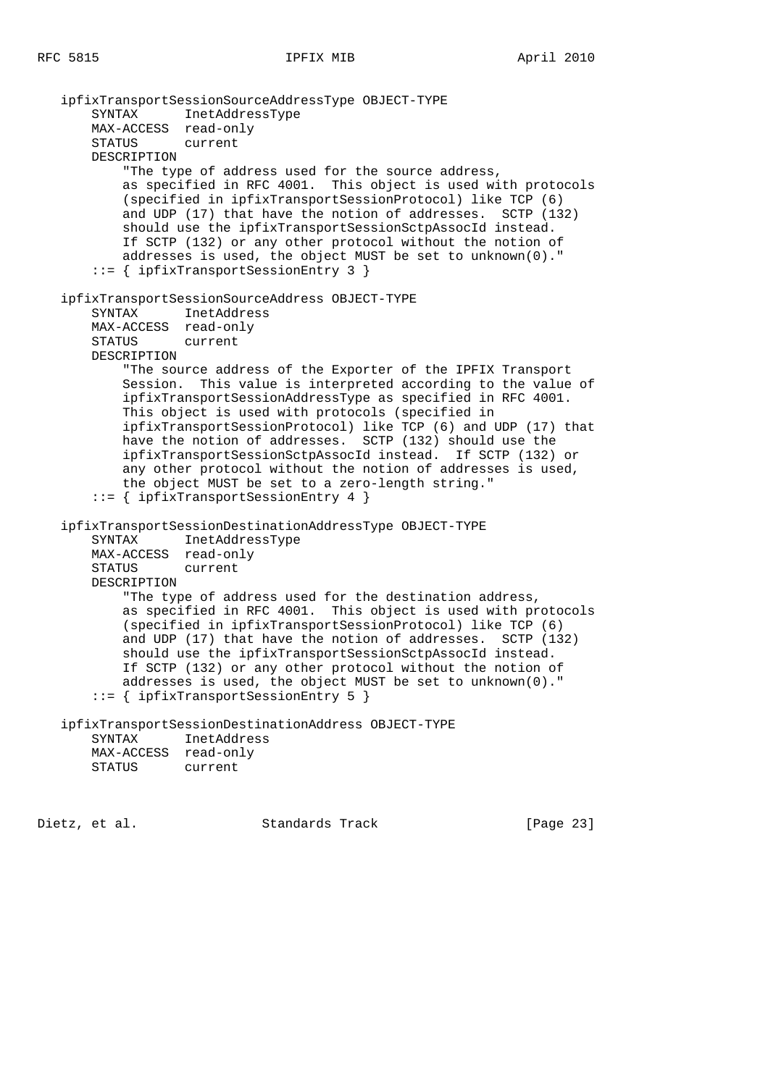```
 ipfixTransportSessionSourceAddressType OBJECT-TYPE
    SYNTAX InetAddressType
    MAX-ACCESS read-only
    STATUS current
    DESCRIPTION
        "The type of address used for the source address,
        as specified in RFC 4001. This object is used with protocols
        (specified in ipfixTransportSessionProtocol) like TCP (6)
        and UDP (17) that have the notion of addresses. SCTP (132)
        should use the ipfixTransportSessionSctpAssocId instead.
        If SCTP (132) or any other protocol without the notion of
        addresses is used, the object MUST be set to unknown(0)."
     ::= { ipfixTransportSessionEntry 3 }
 ipfixTransportSessionSourceAddress OBJECT-TYPE
    SYNTAX InetAddress
    MAX-ACCESS read-only
    STATUS current
    DESCRIPTION
         "The source address of the Exporter of the IPFIX Transport
        Session. This value is interpreted according to the value of
        ipfixTransportSessionAddressType as specified in RFC 4001.
        This object is used with protocols (specified in
        ipfixTransportSessionProtocol) like TCP (6) and UDP (17) that
        have the notion of addresses. SCTP (132) should use the
        ipfixTransportSessionSctpAssocId instead. If SCTP (132) or
        any other protocol without the notion of addresses is used,
        the object MUST be set to a zero-length string."
     ::= { ipfixTransportSessionEntry 4 }
 ipfixTransportSessionDestinationAddressType OBJECT-TYPE
    SYNTAX InetAddressType
    MAX-ACCESS read-only
    STATUS current
    DESCRIPTION
        "The type of address used for the destination address,
        as specified in RFC 4001. This object is used with protocols
        (specified in ipfixTransportSessionProtocol) like TCP (6)
        and UDP (17) that have the notion of addresses. SCTP (132)
        should use the ipfixTransportSessionSctpAssocId instead.
        If SCTP (132) or any other protocol without the notion of
        addresses is used, the object MUST be set to unknown(0)."
     ::= { ipfixTransportSessionEntry 5 }
 ipfixTransportSessionDestinationAddress OBJECT-TYPE
    SYNTAX InetAddress
    MAX-ACCESS read-only
    STATUS current
```
Dietz, et al. Standards Track [Page 23]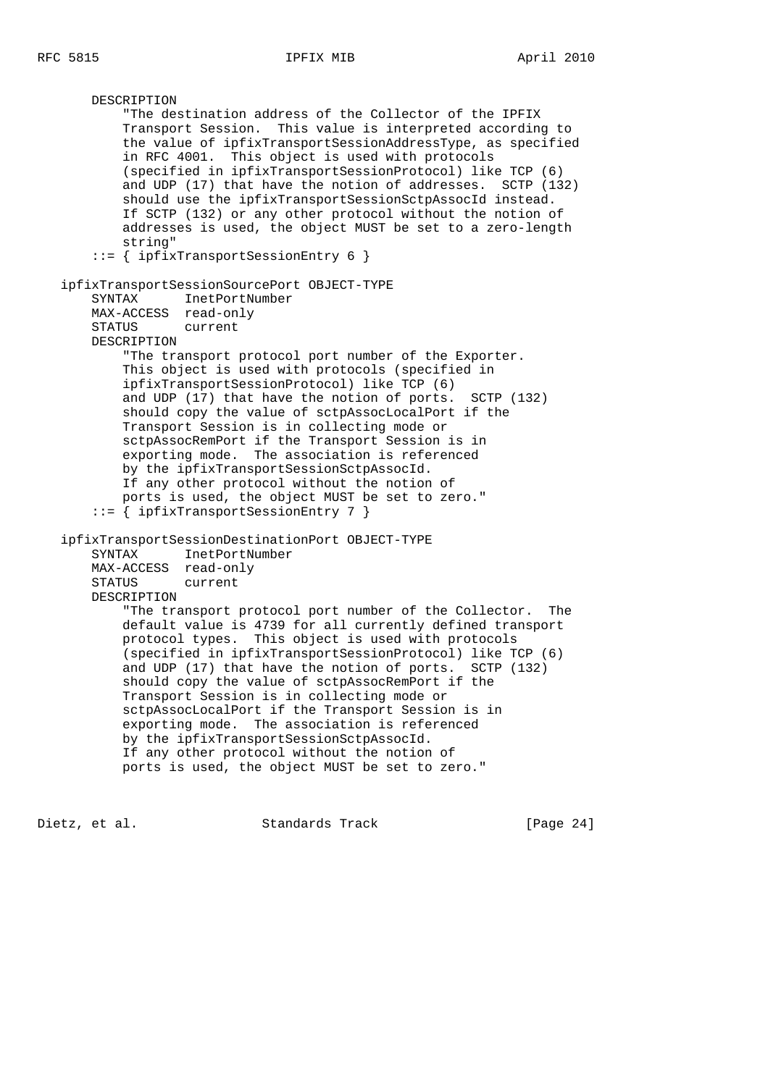DESCRIPTION "The destination address of the Collector of the IPFIX Transport Session. This value is interpreted according to the value of ipfixTransportSessionAddressType, as specified in RFC 4001. This object is used with protocols (specified in ipfixTransportSessionProtocol) like TCP (6) and UDP (17) that have the notion of addresses. SCTP (132) should use the ipfixTransportSessionSctpAssocId instead. If SCTP (132) or any other protocol without the notion of addresses is used, the object MUST be set to a zero-length string" ::= { ipfixTransportSessionEntry 6 } ipfixTransportSessionSourcePort OBJECT-TYPE SYNTAX InetPortNumber MAX-ACCESS read-only STATUS current DESCRIPTION "The transport protocol port number of the Exporter. This object is used with protocols (specified in ipfixTransportSessionProtocol) like TCP (6) and UDP (17) that have the notion of ports. SCTP (132) should copy the value of sctpAssocLocalPort if the Transport Session is in collecting mode or sctpAssocRemPort if the Transport Session is in exporting mode. The association is referenced by the ipfixTransportSessionSctpAssocId. If any other protocol without the notion of ports is used, the object MUST be set to zero." ::= { ipfixTransportSessionEntry 7 } ipfixTransportSessionDestinationPort OBJECT-TYPE SYNTAX InetPortNumber MAX-ACCESS read-only STATUS current DESCRIPTION "The transport protocol port number of the Collector. The default value is 4739 for all currently defined transport protocol types. This object is used with protocols (specified in ipfixTransportSessionProtocol) like TCP (6) and UDP (17) that have the notion of ports. SCTP (132) should copy the value of sctpAssocRemPort if the Transport Session is in collecting mode or sctpAssocLocalPort if the Transport Session is in exporting mode. The association is referenced by the ipfixTransportSessionSctpAssocId. If any other protocol without the notion of ports is used, the object MUST be set to zero."

Dietz, et al. Standards Track [Page 24]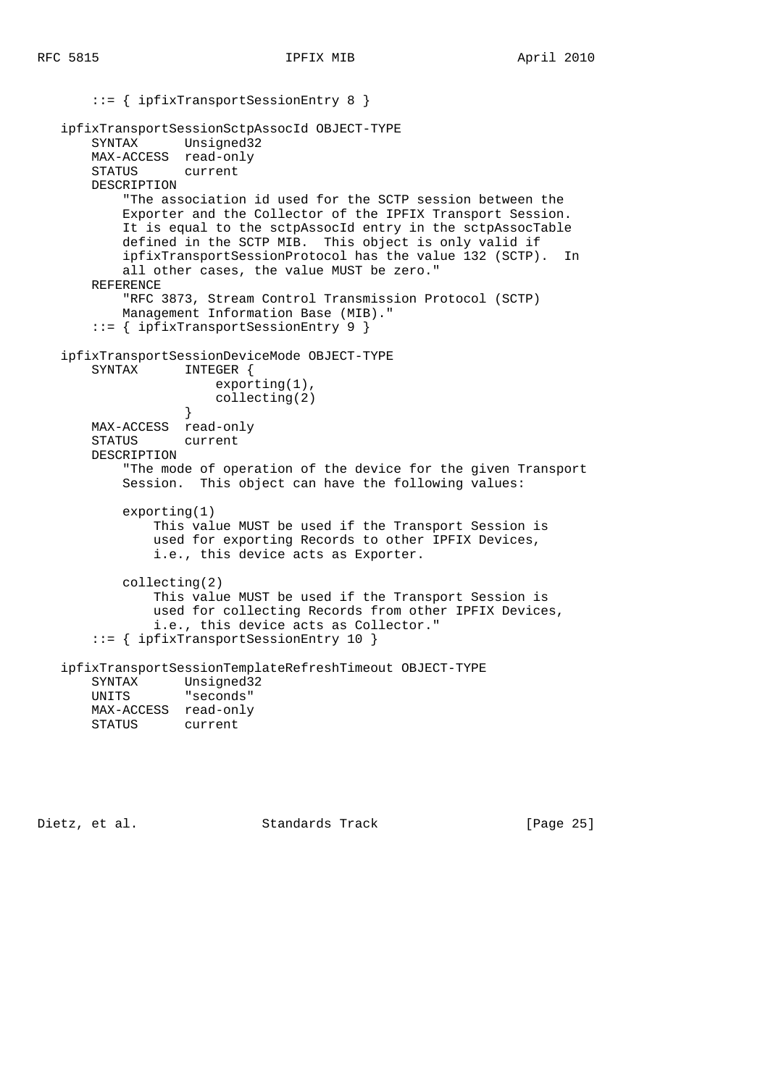```
 ::= { ipfixTransportSessionEntry 8 }
   ipfixTransportSessionSctpAssocId OBJECT-TYPE
       SYNTAX Unsigned32
       MAX-ACCESS read-only
       STATUS current
       DESCRIPTION
           "The association id used for the SCTP session between the
           Exporter and the Collector of the IPFIX Transport Session.
           It is equal to the sctpAssocId entry in the sctpAssocTable
           defined in the SCTP MIB. This object is only valid if
           ipfixTransportSessionProtocol has the value 132 (SCTP). In
           all other cases, the value MUST be zero."
       REFERENCE
           "RFC 3873, Stream Control Transmission Protocol (SCTP)
           Management Information Base (MIB)."
       ::= { ipfixTransportSessionEntry 9 }
   ipfixTransportSessionDeviceMode OBJECT-TYPE
      SYNTAX INTEGER {
                      exporting(1),
                      collecting(2)
 }
      MAX-ACCESS read-only
       STATUS current
       DESCRIPTION
           "The mode of operation of the device for the given Transport
           Session. This object can have the following values:
           exporting(1)
               This value MUST be used if the Transport Session is
               used for exporting Records to other IPFIX Devices,
               i.e., this device acts as Exporter.
           collecting(2)
               This value MUST be used if the Transport Session is
               used for collecting Records from other IPFIX Devices,
               i.e., this device acts as Collector."
       ::= { ipfixTransportSessionEntry 10 }
   ipfixTransportSessionTemplateRefreshTimeout OBJECT-TYPE
       SYNTAX Unsigned32
       UNITS "seconds"
```
MAX-ACCESS read-only<br>STATUS current STATUS

Dietz, et al. Standards Track [Page 25]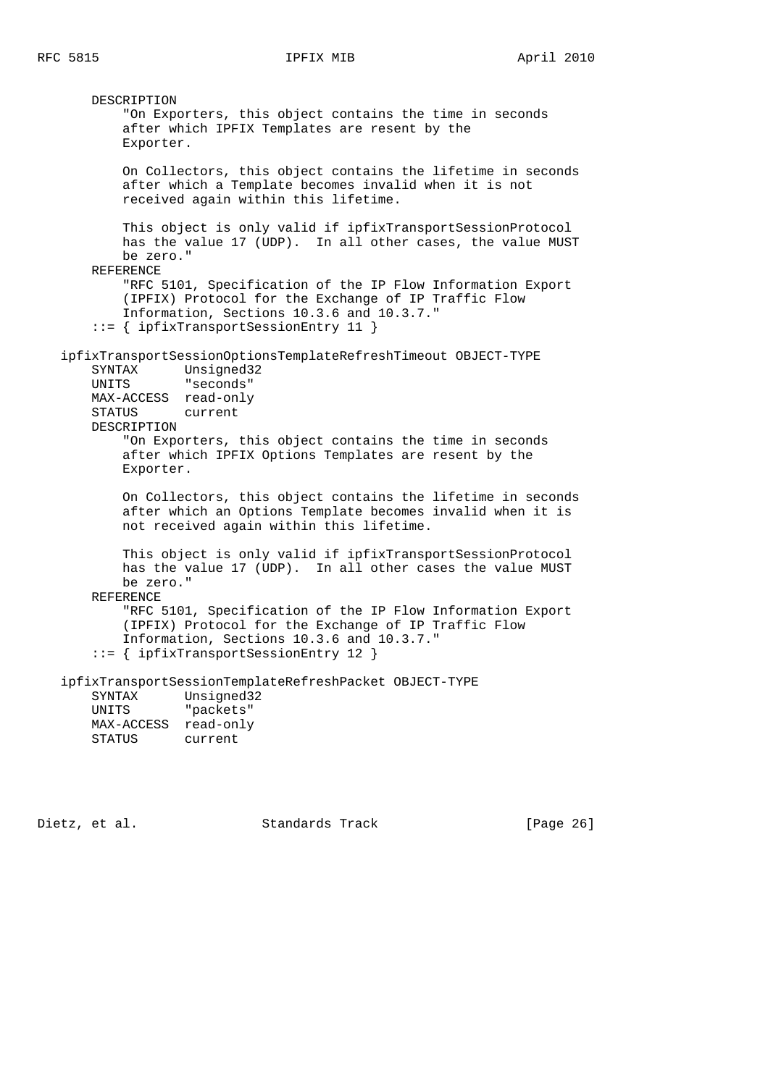DESCRIPTION "On Exporters, this object contains the time in seconds after which IPFIX Templates are resent by the Exporter. On Collectors, this object contains the lifetime in seconds after which a Template becomes invalid when it is not received again within this lifetime. This object is only valid if ipfixTransportSessionProtocol has the value 17 (UDP). In all other cases, the value MUST be zero." REFERENCE "RFC 5101, Specification of the IP Flow Information Export (IPFIX) Protocol for the Exchange of IP Traffic Flow Information, Sections 10.3.6 and 10.3.7." ::= { ipfixTransportSessionEntry 11 } ipfixTransportSessionOptionsTemplateRefreshTimeout OBJECT-TYPE SYNTAX Unsigned32 UNITS "seconds" MAX-ACCESS read-only STATUS current DESCRIPTION "On Exporters, this object contains the time in seconds after which IPFIX Options Templates are resent by the Exporter. On Collectors, this object contains the lifetime in seconds after which an Options Template becomes invalid when it is not received again within this lifetime. This object is only valid if ipfixTransportSessionProtocol has the value 17 (UDP). In all other cases the value MUST be zero." REFERENCE "RFC 5101, Specification of the IP Flow Information Export (IPFIX) Protocol for the Exchange of IP Traffic Flow Information, Sections 10.3.6 and 10.3.7." ::= { ipfixTransportSessionEntry 12 } ipfixTransportSessionTemplateRefreshPacket OBJECT-TYPE SYNTAX Unsigned32 UNITS "packets" MAX-ACCESS read-only STATUS current

Dietz, et al. Standards Track [Page 26]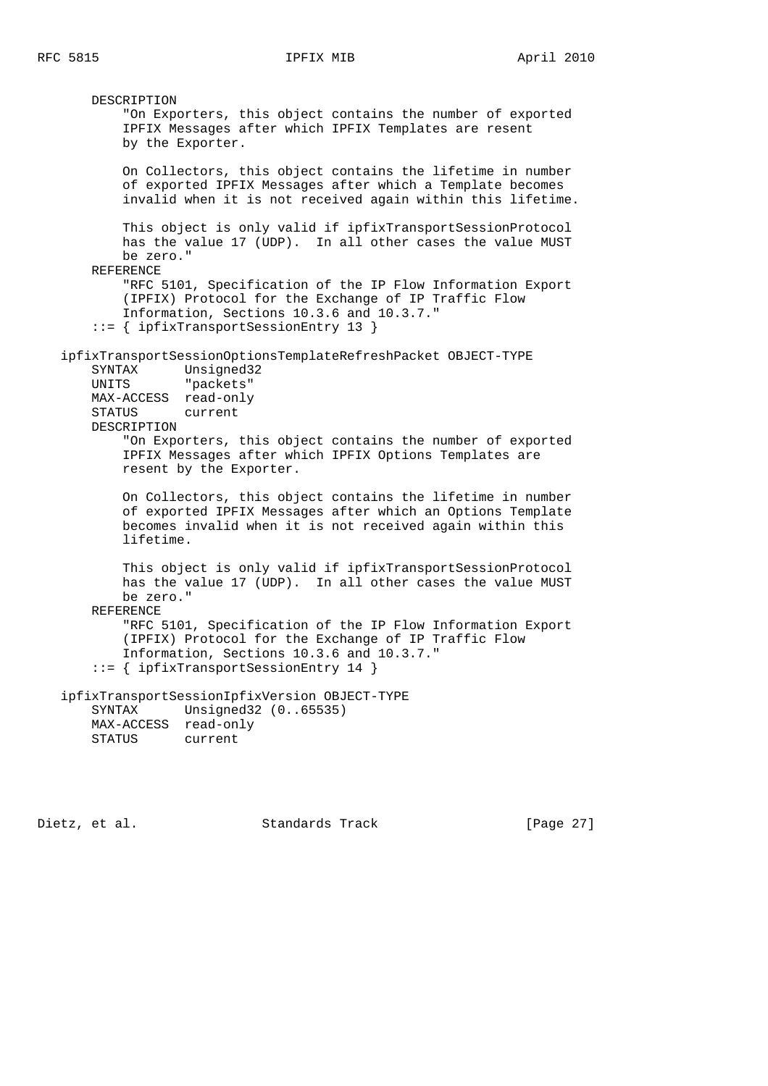DESCRIPTION "On Exporters, this object contains the number of exported IPFIX Messages after which IPFIX Templates are resent by the Exporter. On Collectors, this object contains the lifetime in number of exported IPFIX Messages after which a Template becomes invalid when it is not received again within this lifetime. This object is only valid if ipfixTransportSessionProtocol has the value 17 (UDP). In all other cases the value MUST be zero." REFERENCE "RFC 5101, Specification of the IP Flow Information Export (IPFIX) Protocol for the Exchange of IP Traffic Flow Information, Sections 10.3.6 and 10.3.7." ::= { ipfixTransportSessionEntry 13 } ipfixTransportSessionOptionsTemplateRefreshPacket OBJECT-TYPE SYNTAX Unsigned32 UNITS "packets" MAX-ACCESS read-only STATUS current DESCRIPTION "On Exporters, this object contains the number of exported IPFIX Messages after which IPFIX Options Templates are resent by the Exporter. On Collectors, this object contains the lifetime in number of exported IPFIX Messages after which an Options Template becomes invalid when it is not received again within this lifetime. This object is only valid if ipfixTransportSessionProtocol has the value 17 (UDP). In all other cases the value MUST be zero." REFERENCE "RFC 5101, Specification of the IP Flow Information Export (IPFIX) Protocol for the Exchange of IP Traffic Flow Information, Sections 10.3.6 and 10.3.7." ::= { ipfixTransportSessionEntry 14 } ipfixTransportSessionIpfixVersion OBJECT-TYPE SYNTAX Unsigned32 (0..65535) MAX-ACCESS read-only STATUS current

Dietz, et al. Standards Track [Page 27]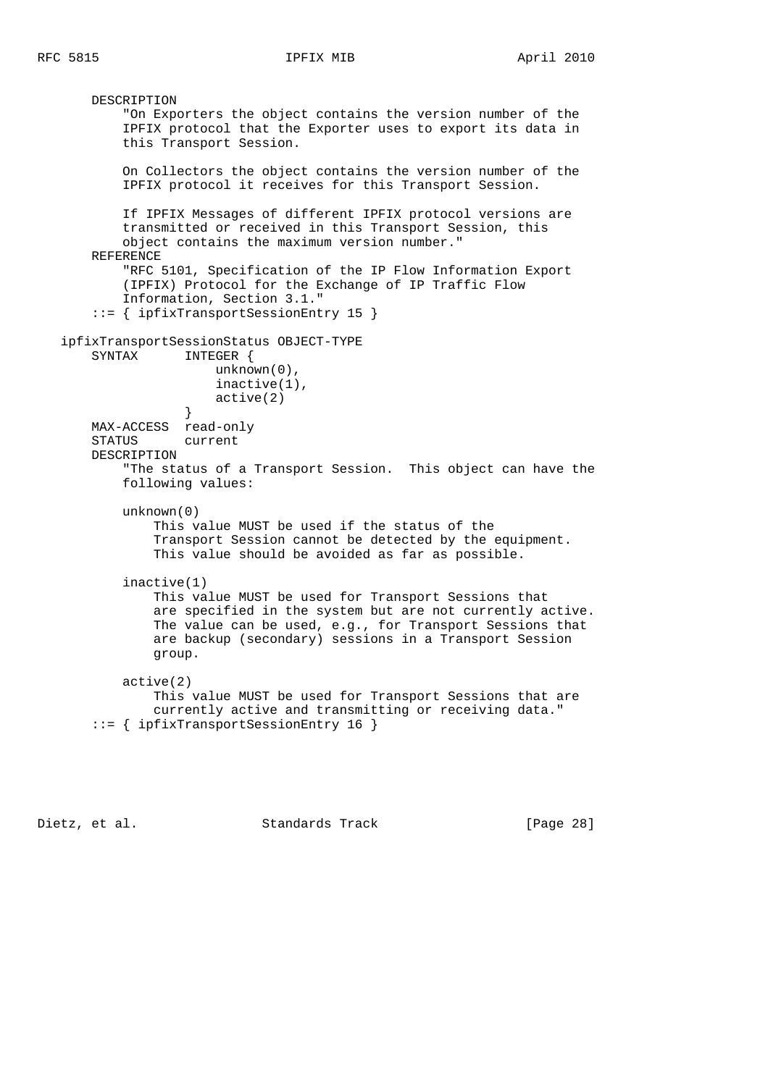DESCRIPTION "On Exporters the object contains the version number of the IPFIX protocol that the Exporter uses to export its data in this Transport Session. On Collectors the object contains the version number of the IPFIX protocol it receives for this Transport Session. If IPFIX Messages of different IPFIX protocol versions are transmitted or received in this Transport Session, this object contains the maximum version number." REFERENCE "RFC 5101, Specification of the IP Flow Information Export (IPFIX) Protocol for the Exchange of IP Traffic Flow Information, Section 3.1." ::= { ipfixTransportSessionEntry 15 } ipfixTransportSessionStatus OBJECT-TYPE SYNTAX INTEGER { unknown(0), inactive(1), active(2) } MAX-ACCESS read-only STATUS current DESCRIPTION "The status of a Transport Session. This object can have the following values: unknown(0) This value MUST be used if the status of the Transport Session cannot be detected by the equipment. This value should be avoided as far as possible. inactive(1) This value MUST be used for Transport Sessions that are specified in the system but are not currently active. The value can be used, e.g., for Transport Sessions that are backup (secondary) sessions in a Transport Session group. active(2) This value MUST be used for Transport Sessions that are currently active and transmitting or receiving data." ::= { ipfixTransportSessionEntry 16 }

Dietz, et al. Standards Track [Page 28]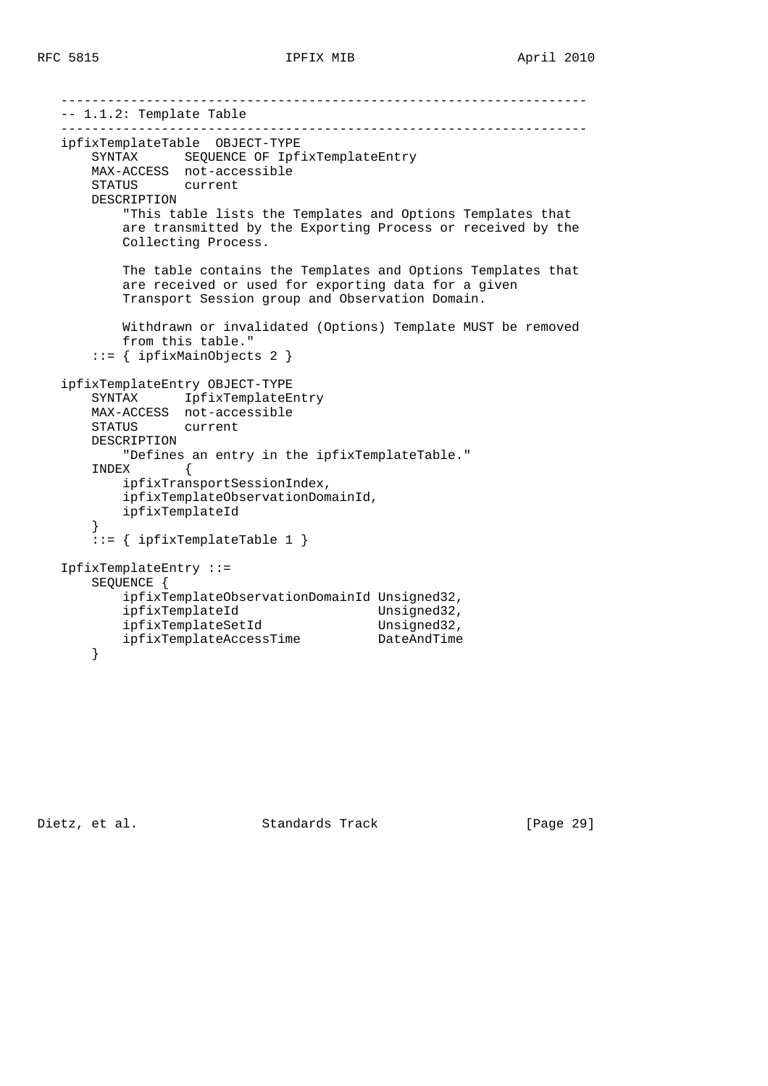```
 --------------------------------------------------------------------
   -- 1.1.2: Template Table
   --------------------------------------------------------------------
   ipfixTemplateTable OBJECT-TYPE
       SYNTAX SEQUENCE OF IpfixTemplateEntry
       MAX-ACCESS not-accessible
       STATUS current
       DESCRIPTION
           "This table lists the Templates and Options Templates that
           are transmitted by the Exporting Process or received by the
           Collecting Process.
           The table contains the Templates and Options Templates that
           are received or used for exporting data for a given
           Transport Session group and Observation Domain.
           Withdrawn or invalidated (Options) Template MUST be removed
           from this table."
       ::= { ipfixMainObjects 2 }
   ipfixTemplateEntry OBJECT-TYPE
 SYNTAX IpfixTemplateEntry
 MAX-ACCESS not-accessible
       STATUS current
       DESCRIPTION
           "Defines an entry in the ipfixTemplateTable."
       INDEX {
           ipfixTransportSessionIndex,
           ipfixTemplateObservationDomainId,
           ipfixTemplateId
       }
       ::= { ipfixTemplateTable 1 }
   IpfixTemplateEntry ::=
       SEQUENCE {
           ipfixTemplateObservationDomainId Unsigned32,
ipfixTemplateId Unsigned32,
ipfixTemplateSetId Unsigned32,
           ipfixTemplateAccessTime DateAndTime
       }
```
Dietz, et al. Standards Track [Page 29]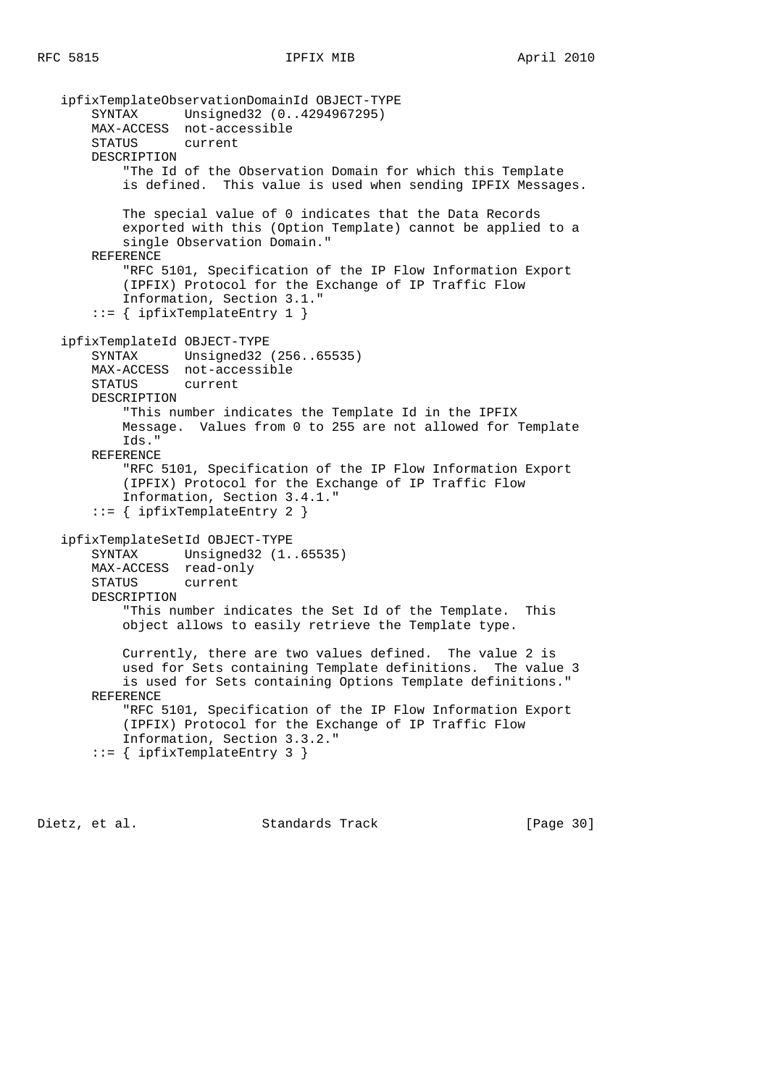ipfixTemplateObservationDomainId OBJECT-TYPE SYNTAX Unsigned32 (0..4294967295) MAX-ACCESS not-accessible STATUS current DESCRIPTION "The Id of the Observation Domain for which this Template is defined. This value is used when sending IPFIX Messages. The special value of 0 indicates that the Data Records exported with this (Option Template) cannot be applied to a single Observation Domain." REFERENCE "RFC 5101, Specification of the IP Flow Information Export (IPFIX) Protocol for the Exchange of IP Traffic Flow Information, Section 3.1." ::= { ipfixTemplateEntry 1 } ipfixTemplateId OBJECT-TYPE SYNTAX Unsigned32 (256..65535) MAX-ACCESS not-accessible STATUS current DESCRIPTION "This number indicates the Template Id in the IPFIX Message. Values from 0 to 255 are not allowed for Template Ids." REFERENCE "RFC 5101, Specification of the IP Flow Information Export (IPFIX) Protocol for the Exchange of IP Traffic Flow Information, Section 3.4.1." ::= { ipfixTemplateEntry 2 } ipfixTemplateSetId OBJECT-TYPE SYNTAX Unsigned32 (1..65535) MAX-ACCESS read-only STATUS current DESCRIPTION "This number indicates the Set Id of the Template. This object allows to easily retrieve the Template type. Currently, there are two values defined. The value 2 is used for Sets containing Template definitions. The value 3 is used for Sets containing Options Template definitions." REFERENCE "RFC 5101, Specification of the IP Flow Information Export (IPFIX) Protocol for the Exchange of IP Traffic Flow Information, Section 3.3.2." ::= { ipfixTemplateEntry 3 }

Dietz, et al. Standards Track [Page 30]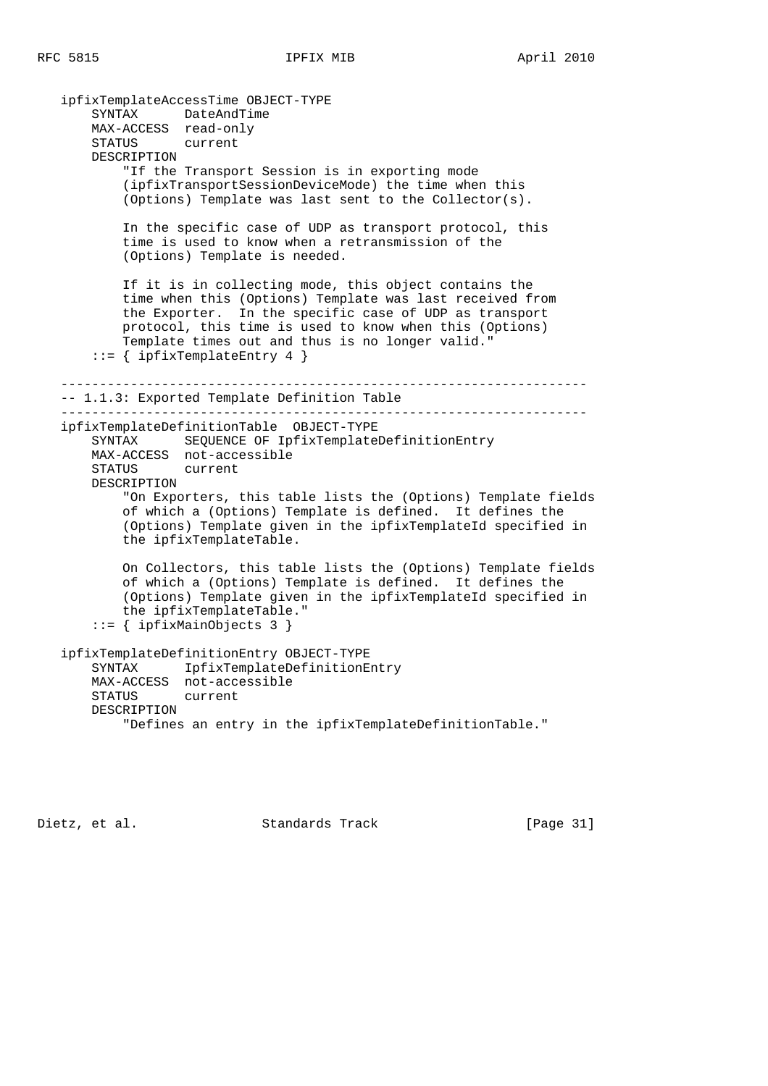ipfixTemplateAccessTime OBJECT-TYPE SYNTAX DateAndTime MAX-ACCESS read-only STATUS current DESCRIPTION "If the Transport Session is in exporting mode (ipfixTransportSessionDeviceMode) the time when this (Options) Template was last sent to the Collector(s). In the specific case of UDP as transport protocol, this time is used to know when a retransmission of the (Options) Template is needed. If it is in collecting mode, this object contains the time when this (Options) Template was last received from the Exporter. In the specific case of UDP as transport protocol, this time is used to know when this (Options) Template times out and thus is no longer valid."  $::=$  { ipfixTemplateEntry 4 } -------------------------------------------------------------------- -- 1.1.3: Exported Template Definition Table ------------------------------------------------------------------- ipfixTemplateDefinitionTable OBJECT-TYPE SYNTAX SEQUENCE OF IpfixTemplateDefinitionEntry MAX-ACCESS not-accessible STATUS current DESCRIPTION "On Exporters, this table lists the (Options) Template fields of which a (Options) Template is defined. It defines the (Options) Template given in the ipfixTemplateId specified in the ipfixTemplateTable. On Collectors, this table lists the (Options) Template fields of which a (Options) Template is defined. It defines the (Options) Template given in the ipfixTemplateId specified in the ipfixTemplateTable." ::= { ipfixMainObjects 3 } ipfixTemplateDefinitionEntry OBJECT-TYPE SYNTAX IpfixTemplateDefinitionEntry MAX-ACCESS not-accessible STATUS current DESCRIPTION "Defines an entry in the ipfixTemplateDefinitionTable."

Dietz, et al. Standards Track [Page 31]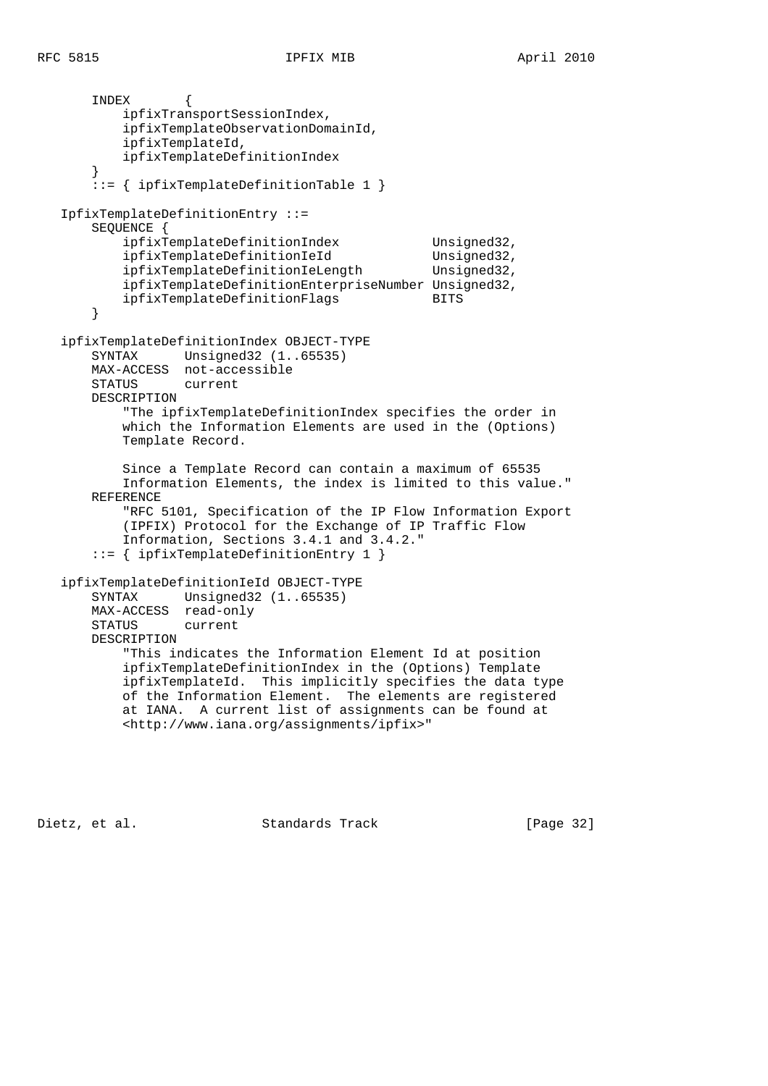```
RFC 5815 IPFIX MIB April 2010
```
 INDEX { ipfixTransportSessionIndex, ipfixTemplateObservationDomainId, ipfixTemplateId, ipfixTemplateDefinitionIndex } ::= { ipfixTemplateDefinitionTable 1 } IpfixTemplateDefinitionEntry ::= SEQUENCE { ipfixTemplateDefinitionIndex Unsigned32, ipfixTemplateDefinitionIeId Unsigned32, ipfixTemplateDefinitionIeLength Unsigned32, ipfixTemplateDefinitionEnterpriseNumber Unsigned32, ipfixTemplateDefinitionFlags BITS } ipfixTemplateDefinitionIndex OBJECT-TYPE SYNTAX Unsigned32 (1..65535) MAX-ACCESS not-accessible STATUS current DESCRIPTION "The ipfixTemplateDefinitionIndex specifies the order in which the Information Elements are used in the (Options) Template Record. Since a Template Record can contain a maximum of 65535 Information Elements, the index is limited to this value." REFERENCE "RFC 5101, Specification of the IP Flow Information Export (IPFIX) Protocol for the Exchange of IP Traffic Flow Information, Sections 3.4.1 and 3.4.2." ::= { ipfixTemplateDefinitionEntry 1 } ipfixTemplateDefinitionIeId OBJECT-TYPE SYNTAX Unsigned32 (1..65535) MAX-ACCESS read-only STATUS current DESCRIPTION "This indicates the Information Element Id at position ipfixTemplateDefinitionIndex in the (Options) Template ipfixTemplateId. This implicitly specifies the data type of the Information Element. The elements are registered at IANA. A current list of assignments can be found at <http://www.iana.org/assignments/ipfix>"

Dietz, et al. Standards Track [Page 32]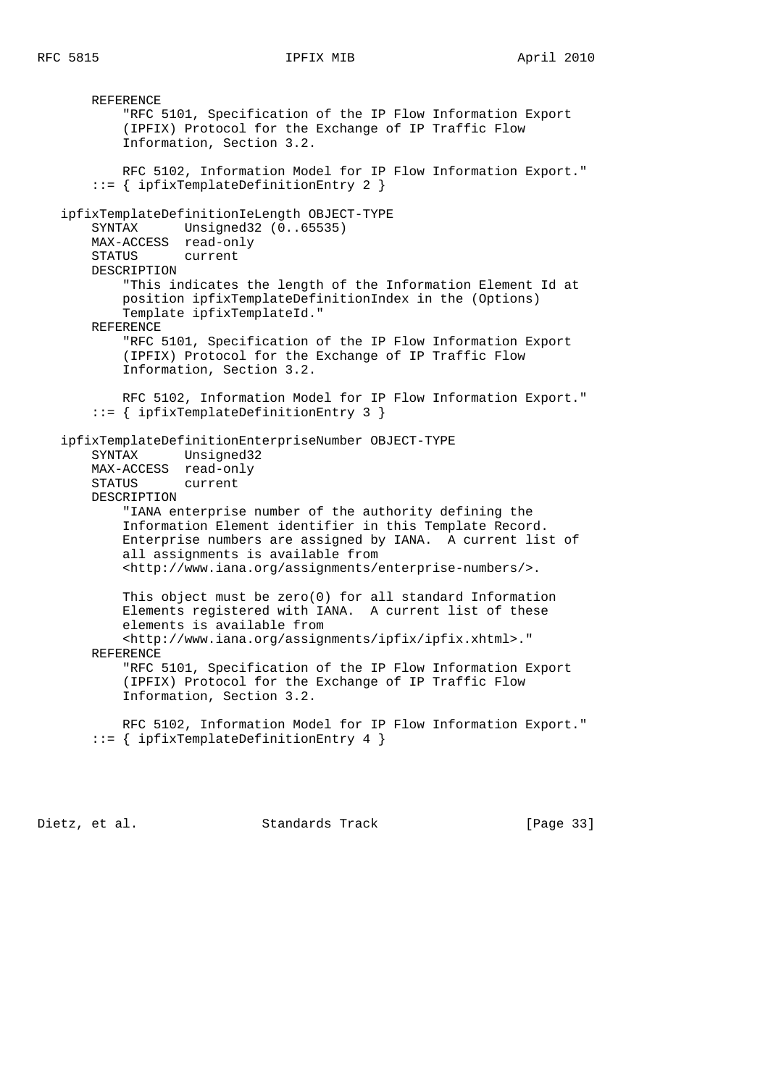REFERENCE "RFC 5101, Specification of the IP Flow Information Export (IPFIX) Protocol for the Exchange of IP Traffic Flow Information, Section 3.2. RFC 5102, Information Model for IP Flow Information Export." ::= { ipfixTemplateDefinitionEntry 2 } ipfixTemplateDefinitionIeLength OBJECT-TYPE SYNTAX Unsigned32 (0..65535) MAX-ACCESS read-only STATUS current DESCRIPTION "This indicates the length of the Information Element Id at position ipfixTemplateDefinitionIndex in the (Options) Template ipfixTemplateId." REFERENCE "RFC 5101, Specification of the IP Flow Information Export (IPFIX) Protocol for the Exchange of IP Traffic Flow Information, Section 3.2. RFC 5102, Information Model for IP Flow Information Export." ::= { ipfixTemplateDefinitionEntry 3 } ipfixTemplateDefinitionEnterpriseNumber OBJECT-TYPE SYNTAX Unsigned32 MAX-ACCESS read-only STATUS current DESCRIPTION "IANA enterprise number of the authority defining the Information Element identifier in this Template Record. Enterprise numbers are assigned by IANA. A current list of all assignments is available from <http://www.iana.org/assignments/enterprise-numbers/>. This object must be zero(0) for all standard Information Elements registered with IANA. A current list of these elements is available from <http://www.iana.org/assignments/ipfix/ipfix.xhtml>." REFERENCE "RFC 5101, Specification of the IP Flow Information Export (IPFIX) Protocol for the Exchange of IP Traffic Flow Information, Section 3.2. RFC 5102, Information Model for IP Flow Information Export." ::= { ipfixTemplateDefinitionEntry 4 }

Dietz, et al. Standards Track [Page 33]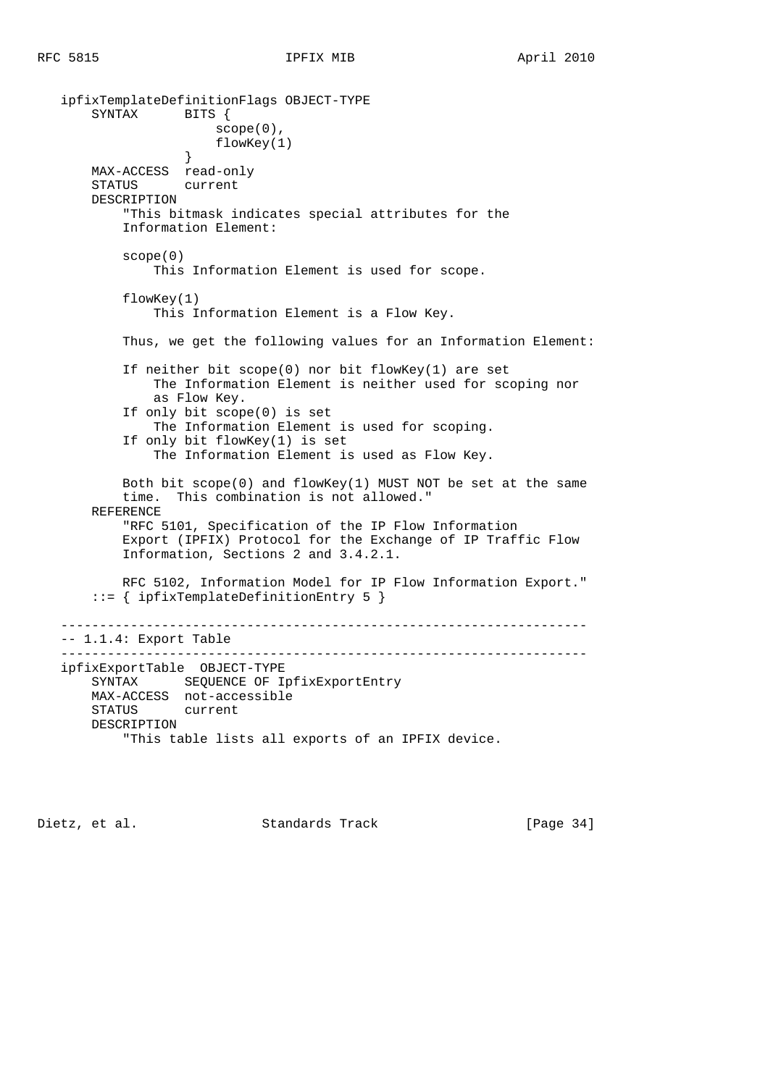```
 ipfixTemplateDefinitionFlags OBJECT-TYPE
      SYNTAX BITS {
                      scope(0),
                   flowKey(1)
 }
       MAX-ACCESS read-only
       STATUS current
       DESCRIPTION
           "This bitmask indicates special attributes for the
           Information Element:
           scope(0)
               This Information Element is used for scope.
           flowKey(1)
               This Information Element is a Flow Key.
           Thus, we get the following values for an Information Element:
           If neither bit scope(0) nor bit flowKey(1) are set
               The Information Element is neither used for scoping nor
               as Flow Key.
           If only bit scope(0) is set
               The Information Element is used for scoping.
           If only bit flowKey(1) is set
               The Information Element is used as Flow Key.
          Both bit scope(0) and flowKey(1) MUST NOT be set at the same
           time. This combination is not allowed."
       REFERENCE
           "RFC 5101, Specification of the IP Flow Information
           Export (IPFIX) Protocol for the Exchange of IP Traffic Flow
           Information, Sections 2 and 3.4.2.1.
           RFC 5102, Information Model for IP Flow Information Export."
       ::= { ipfixTemplateDefinitionEntry 5 }
   --------------------------------------------------------------------
   -- 1.1.4: Export Table
   --------------------------------------------------------------------
   ipfixExportTable OBJECT-TYPE
       SYNTAX SEQUENCE OF IpfixExportEntry
       MAX-ACCESS not-accessible
       STATUS current
       DESCRIPTION
           "This table lists all exports of an IPFIX device.
```
Dietz, et al. Standards Track [Page 34]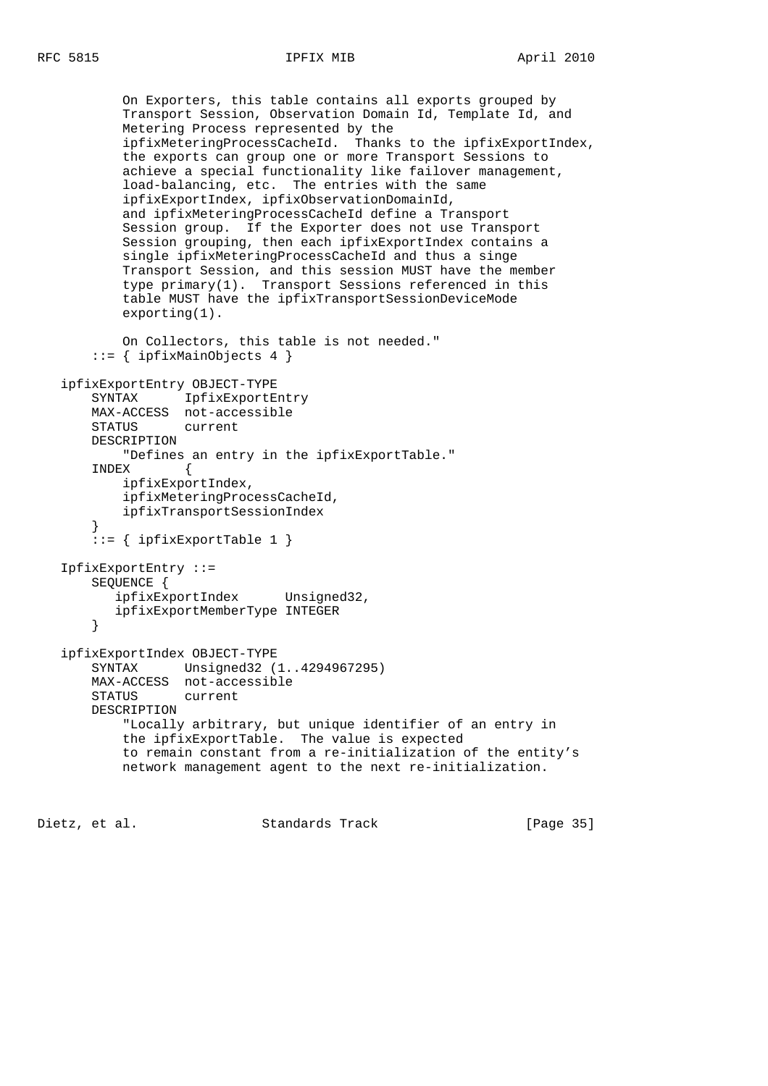On Exporters, this table contains all exports grouped by Transport Session, Observation Domain Id, Template Id, and Metering Process represented by the ipfixMeteringProcessCacheId. Thanks to the ipfixExportIndex, the exports can group one or more Transport Sessions to achieve a special functionality like failover management, load-balancing, etc. The entries with the same ipfixExportIndex, ipfixObservationDomainId, and ipfixMeteringProcessCacheId define a Transport Session group. If the Exporter does not use Transport Session grouping, then each ipfixExportIndex contains a single ipfixMeteringProcessCacheId and thus a singe Transport Session, and this session MUST have the member type primary(1). Transport Sessions referenced in this table MUST have the ipfixTransportSessionDeviceMode exporting(1). On Collectors, this table is not needed." ::= { ipfixMainObjects 4 } ipfixExportEntry OBJECT-TYPE SYNTAX IpfixExportEntry MAX-ACCESS not-accessible STATUS current DESCRIPTION "Defines an entry in the ipfixExportTable." INDEX { ipfixExportIndex, ipfixMeteringProcessCacheId, ipfixTransportSessionIndex } ::= { ipfixExportTable 1 } IpfixExportEntry ::= SEQUENCE { ipfixExportIndex Unsigned32, ipfixExportMemberType INTEGER } ipfixExportIndex OBJECT-TYPE SYNTAX Unsigned32 (1..4294967295) MAX-ACCESS not-accessible STATUS current DESCRIPTION "Locally arbitrary, but unique identifier of an entry in the ipfixExportTable. The value is expected to remain constant from a re-initialization of the entity's network management agent to the next re-initialization.

Dietz, et al. Standards Track [Page 35]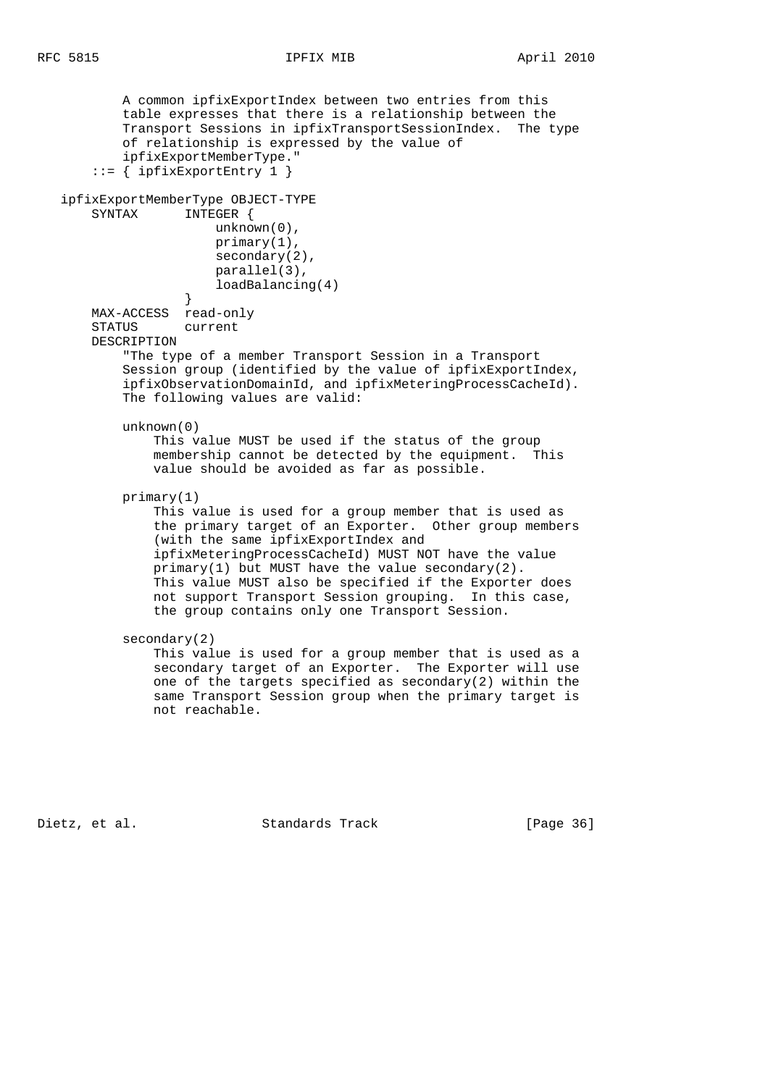```
 A common ipfixExportIndex between two entries from this
           table expresses that there is a relationship between the
           Transport Sessions in ipfixTransportSessionIndex. The type
           of relationship is expressed by the value of
           ipfixExportMemberType."
        ::= { ipfixExportEntry 1 }
   ipfixExportMemberType OBJECT-TYPE
       SYNTAX INTEGER {
                       unknown(0),
                       primary(1),
                       secondary(2),
                       parallel(3),
                       loadBalancing(4)
 }
       MAX-ACCESS read-only
       STATUS current
       DESCRIPTION
            "The type of a member Transport Session in a Transport
           Session group (identified by the value of ipfixExportIndex,
           ipfixObservationDomainId, and ipfixMeteringProcessCacheId).
           The following values are valid:
           unknown(0)
                This value MUST be used if the status of the group
               membership cannot be detected by the equipment. This
               value should be avoided as far as possible.
           primary(1)
               This value is used for a group member that is used as
               the primary target of an Exporter. Other group members
                (with the same ipfixExportIndex and
               ipfixMeteringProcessCacheId) MUST NOT have the value
              primary(1) but MUST have the value secondary(2).
               This value MUST also be specified if the Exporter does
               not support Transport Session grouping. In this case,
               the group contains only one Transport Session.
           secondary(2)
               This value is used for a group member that is used as a
               secondary target of an Exporter. The Exporter will use
               one of the targets specified as secondary(2) within the
               same Transport Session group when the primary target is
               not reachable.
```
Dietz, et al. Standards Track [Page 36]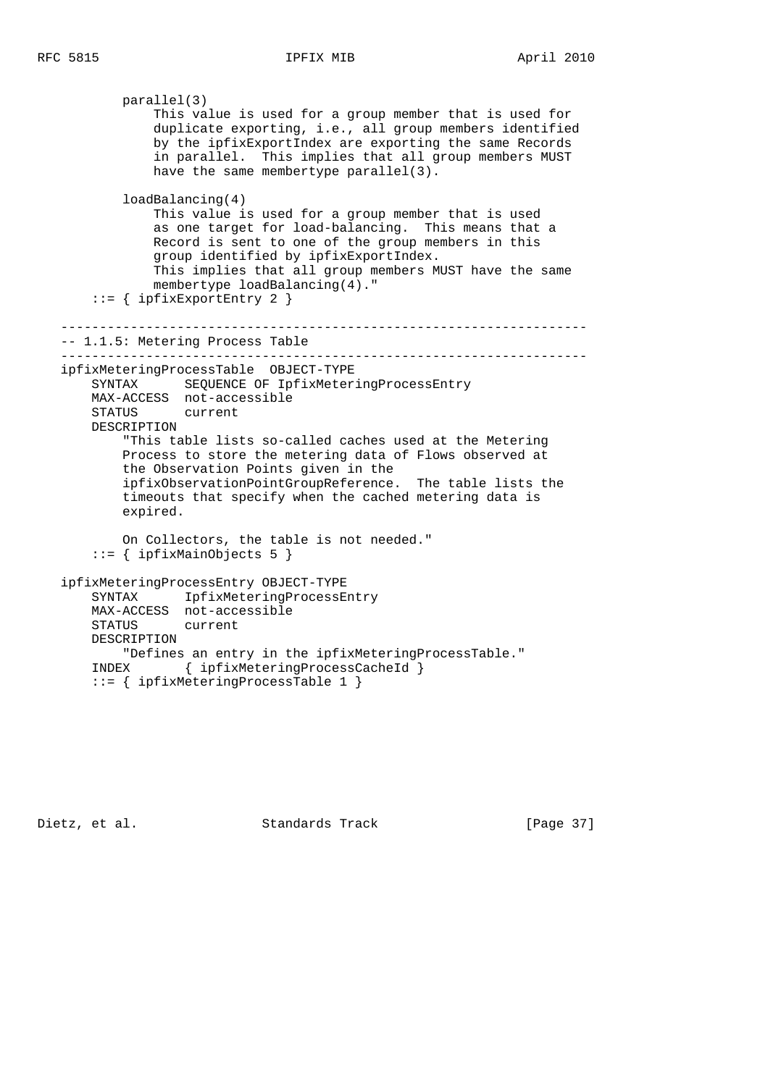parallel(3) This value is used for a group member that is used for duplicate exporting, i.e., all group members identified by the ipfixExportIndex are exporting the same Records in parallel. This implies that all group members MUST have the same membertype parallel(3). loadBalancing(4) This value is used for a group member that is used as one target for load-balancing. This means that a Record is sent to one of the group members in this group identified by ipfixExportIndex. This implies that all group members MUST have the same membertype loadBalancing(4)." ::= { ipfixExportEntry 2 } -------------------------------------------------------------------- -- 1.1.5: Metering Process Table ------------------------------------------------------------------- ipfixMeteringProcessTable OBJECT-TYPE SYNTAX SEQUENCE OF IpfixMeteringProcessEntry MAX-ACCESS not-accessible STATUS current DESCRIPTION "This table lists so-called caches used at the Metering Process to store the metering data of Flows observed at the Observation Points given in the ipfixObservationPointGroupReference. The table lists the timeouts that specify when the cached metering data is expired. On Collectors, the table is not needed." ::= { ipfixMainObjects 5 } ipfixMeteringProcessEntry OBJECT-TYPE SYNTAX IpfixMeteringProcessEntry MAX-ACCESS not-accessible STATUS current DESCRIPTION "Defines an entry in the ipfixMeteringProcessTable." INDEX { ipfixMeteringProcessCacheId }

```
 ::= { ipfixMeteringProcessTable 1 }
```
Dietz, et al. Standards Track [Page 37]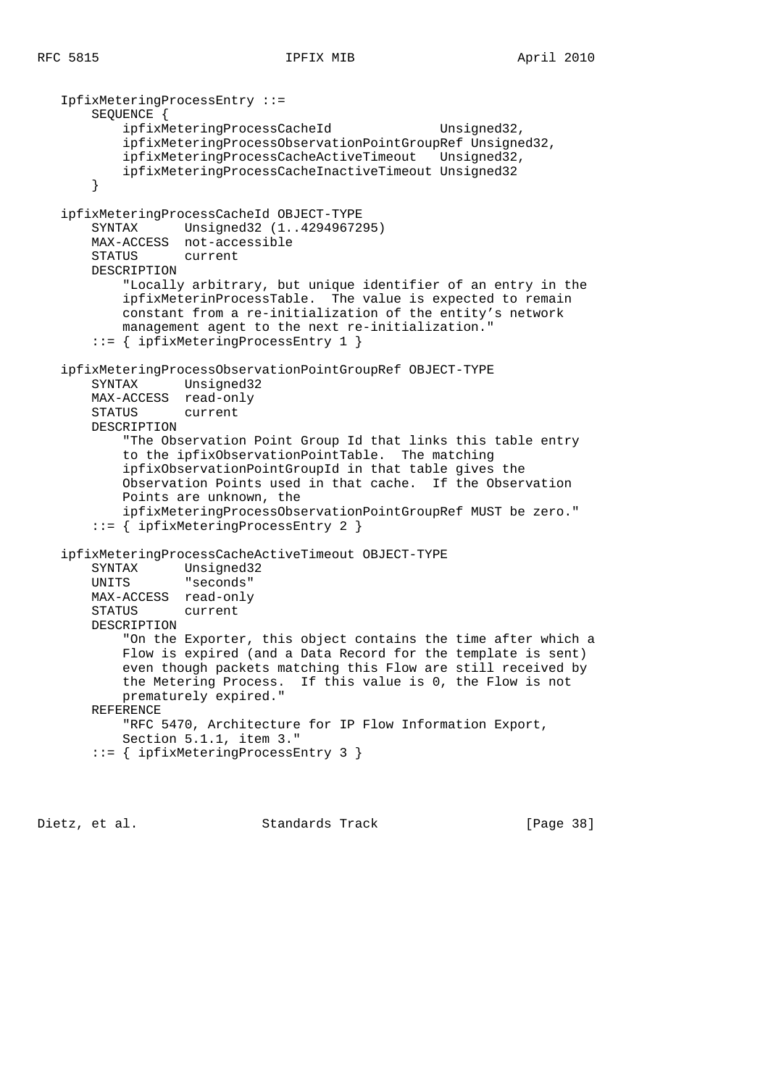```
 IpfixMeteringProcessEntry ::=
     SEQUENCE {
       ipfixMeteringProcessCacheId Unsigned32,
         ipfixMeteringProcessObservationPointGroupRef Unsigned32,
         ipfixMeteringProcessCacheActiveTimeout Unsigned32,
         ipfixMeteringProcessCacheInactiveTimeout Unsigned32
     }
 ipfixMeteringProcessCacheId OBJECT-TYPE
     SYNTAX Unsigned32 (1..4294967295)
    MAX-ACCESS not-accessible
    STATUS current
    DESCRIPTION
         "Locally arbitrary, but unique identifier of an entry in the
         ipfixMeterinProcessTable. The value is expected to remain
        constant from a re-initialization of the entity's network
        management agent to the next re-initialization."
     ::= { ipfixMeteringProcessEntry 1 }
 ipfixMeteringProcessObservationPointGroupRef OBJECT-TYPE
    SYNTAX Unsigned32
    MAX-ACCESS read-only
    STATUS current
    DESCRIPTION
         "The Observation Point Group Id that links this table entry
         to the ipfixObservationPointTable. The matching
         ipfixObservationPointGroupId in that table gives the
        Observation Points used in that cache. If the Observation
        Points are unknown, the
        ipfixMeteringProcessObservationPointGroupRef MUST be zero."
     ::= { ipfixMeteringProcessEntry 2 }
 ipfixMeteringProcessCacheActiveTimeout OBJECT-TYPE
    SYNTAX Unsigned32
    UNITS "seconds"
    MAX-ACCESS read-only
    STATUS current
    DESCRIPTION
         "On the Exporter, this object contains the time after which a
         Flow is expired (and a Data Record for the template is sent)
         even though packets matching this Flow are still received by
         the Metering Process. If this value is 0, the Flow is not
        prematurely expired."
    REFERENCE
        "RFC 5470, Architecture for IP Flow Information Export,
        Section 5.1.1, item 3."
     ::= { ipfixMeteringProcessEntry 3 }
```
Dietz, et al. Standards Track [Page 38]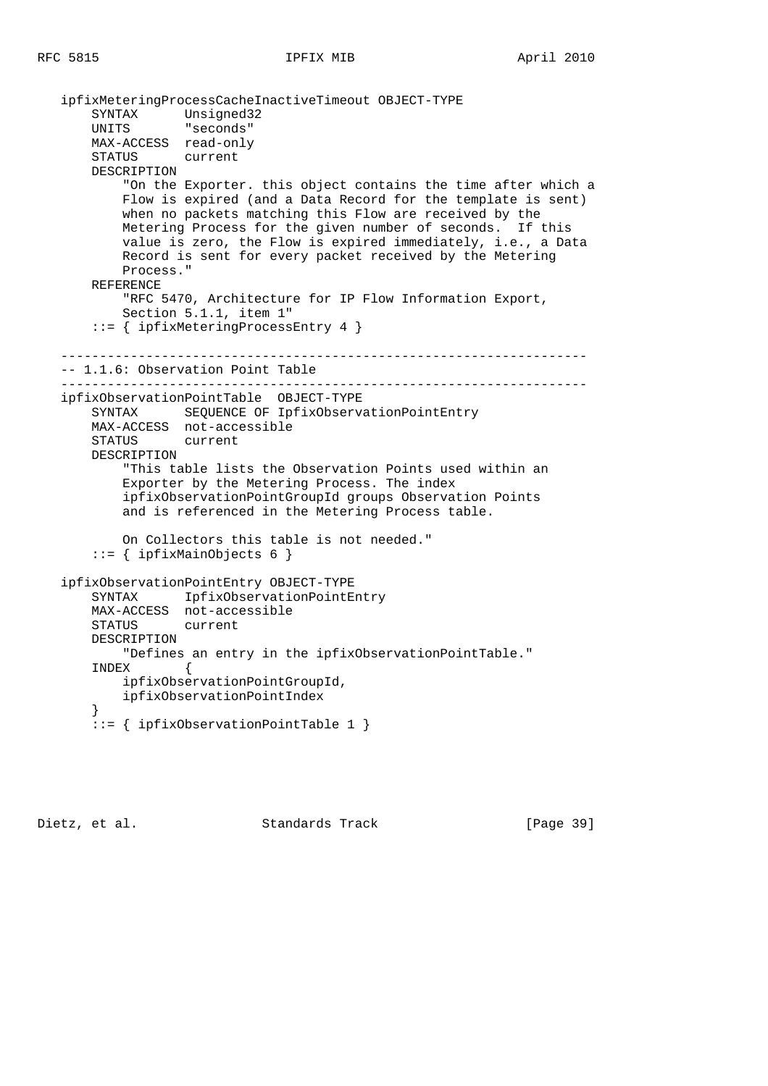ipfixMeteringProcessCacheInactiveTimeout OBJECT-TYPE SYNTAX Unsigned32 UNITS "seconds" MAX-ACCESS read-only STATUS current DESCRIPTION "On the Exporter. this object contains the time after which a Flow is expired (and a Data Record for the template is sent) when no packets matching this Flow are received by the Metering Process for the given number of seconds. If this value is zero, the Flow is expired immediately, i.e., a Data Record is sent for every packet received by the Metering Process." REFERENCE "RFC 5470, Architecture for IP Flow Information Export, Section 5.1.1, item 1" ::= { ipfixMeteringProcessEntry 4 } -------------------------------------------------------------------- -- 1.1.6: Observation Point Table ------------------------------------------------------------------- ipfixObservationPointTable OBJECT-TYPE SYNTAX SEQUENCE OF IpfixObservationPointEntry MAX-ACCESS not-accessible STATUS current DESCRIPTION "This table lists the Observation Points used within an Exporter by the Metering Process. The index ipfixObservationPointGroupId groups Observation Points and is referenced in the Metering Process table. On Collectors this table is not needed." ::= { ipfixMainObjects 6 } ipfixObservationPointEntry OBJECT-TYPE SYNTAX IpfixObservationPointEntry MAX-ACCESS not-accessible STATUS current DESCRIPTION "Defines an entry in the ipfixObservationPointTable." INDEX { ipfixObservationPointGroupId, ipfixObservationPointIndex } ::= { ipfixObservationPointTable 1 }

Dietz, et al. Standards Track [Page 39]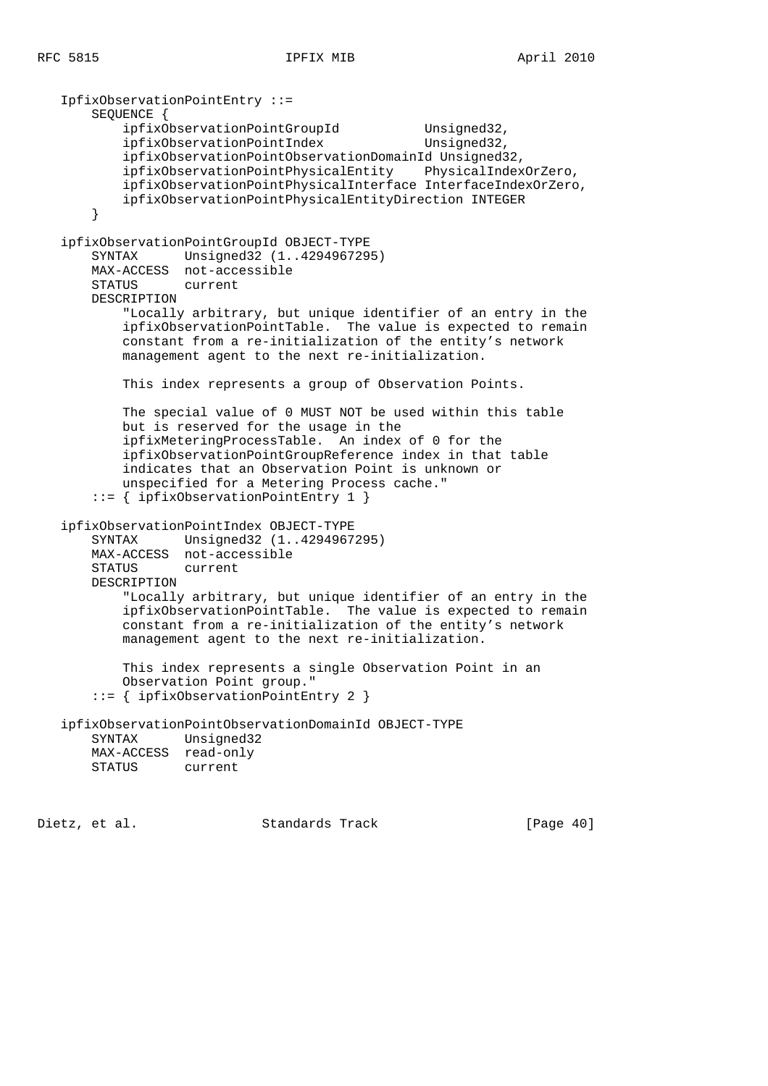```
 IpfixObservationPointEntry ::=
        SEQUENCE {
           ipfixObservationPointGroupId Unsigned32,
           ipfixObservationPointIndex Unsigned32,
            ipfixObservationPointObservationDomainId Unsigned32,
            ipfixObservationPointPhysicalEntity PhysicalIndexOrZero,
            ipfixObservationPointPhysicalInterface InterfaceIndexOrZero,
            ipfixObservationPointPhysicalEntityDirection INTEGER
        }
    ipfixObservationPointGroupId OBJECT-TYPE
        SYNTAX Unsigned32 (1..4294967295)
       MAX-ACCESS not-accessible
       STATUS current
       DESCRIPTION
            "Locally arbitrary, but unique identifier of an entry in the
            ipfixObservationPointTable. The value is expected to remain
            constant from a re-initialization of the entity's network
            management agent to the next re-initialization.
            This index represents a group of Observation Points.
            The special value of 0 MUST NOT be used within this table
            but is reserved for the usage in the
            ipfixMeteringProcessTable. An index of 0 for the
            ipfixObservationPointGroupReference index in that table
            indicates that an Observation Point is unknown or
            unspecified for a Metering Process cache."
        ::= { ipfixObservationPointEntry 1 }
    ipfixObservationPointIndex OBJECT-TYPE
        SYNTAX Unsigned32 (1..4294967295)
       MAX-ACCESS not-accessible
        STATUS current
        DESCRIPTION
            "Locally arbitrary, but unique identifier of an entry in the
            ipfixObservationPointTable. The value is expected to remain
            constant from a re-initialization of the entity's network
           management agent to the next re-initialization.
           This index represents a single Observation Point in an
            Observation Point group."
        ::= { ipfixObservationPointEntry 2 }
    ipfixObservationPointObservationDomainId OBJECT-TYPE
        SYNTAX Unsigned32
        MAX-ACCESS read-only
        STATUS current
Dietz, et al.                 Standards Track               [Page 40]
```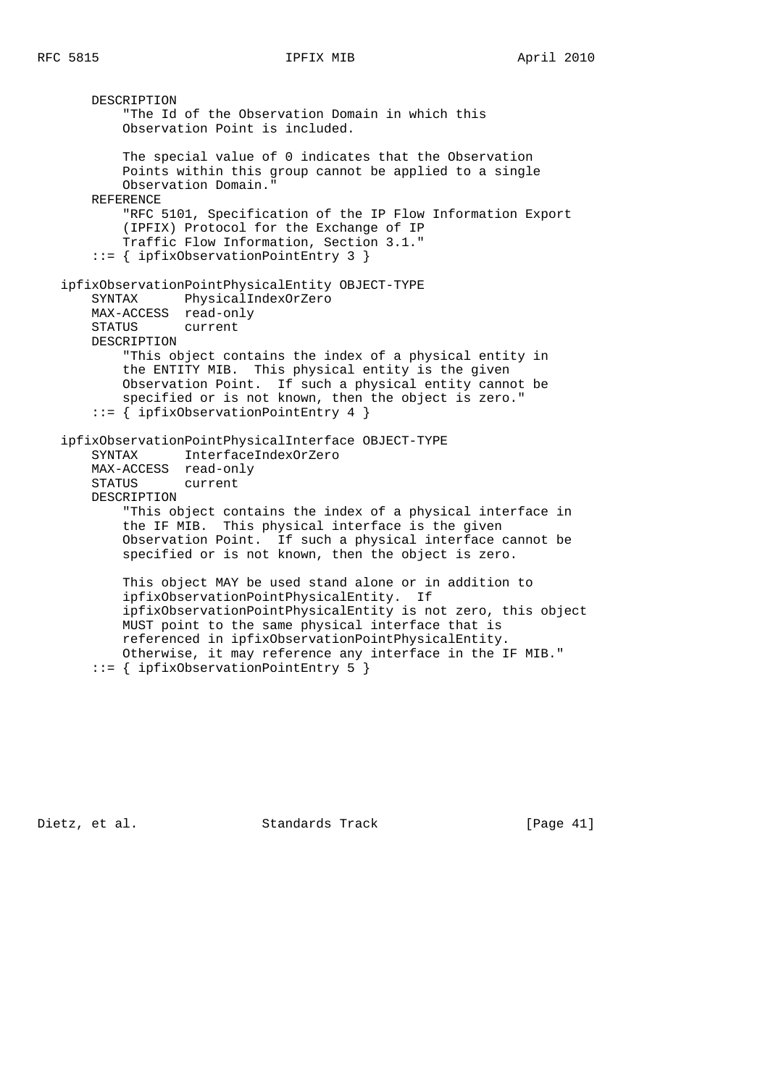DESCRIPTION "The Id of the Observation Domain in which this Observation Point is included. The special value of 0 indicates that the Observation Points within this group cannot be applied to a single Observation Domain." REFERENCE "RFC 5101, Specification of the IP Flow Information Export (IPFIX) Protocol for the Exchange of IP Traffic Flow Information, Section 3.1." ::= { ipfixObservationPointEntry 3 } ipfixObservationPointPhysicalEntity OBJECT-TYPE SYNTAX PhysicalIndexOrZero MAX-ACCESS read-only STATUS current DESCRIPTION "This object contains the index of a physical entity in the ENTITY MIB. This physical entity is the given Observation Point. If such a physical entity cannot be specified or is not known, then the object is zero." ::= { ipfixObservationPointEntry 4 } ipfixObservationPointPhysicalInterface OBJECT-TYPE SYNTAX InterfaceIndexOrZero MAX-ACCESS read-only STATUS current DESCRIPTION "This object contains the index of a physical interface in the IF MIB. This physical interface is the given Observation Point. If such a physical interface cannot be specified or is not known, then the object is zero. This object MAY be used stand alone or in addition to ipfixObservationPointPhysicalEntity. If ipfixObservationPointPhysicalEntity is not zero, this object MUST point to the same physical interface that is referenced in ipfixObservationPointPhysicalEntity. Otherwise, it may reference any interface in the IF MIB."

::= { ipfixObservationPointEntry 5 }

Dietz, et al. Standards Track [Page 41]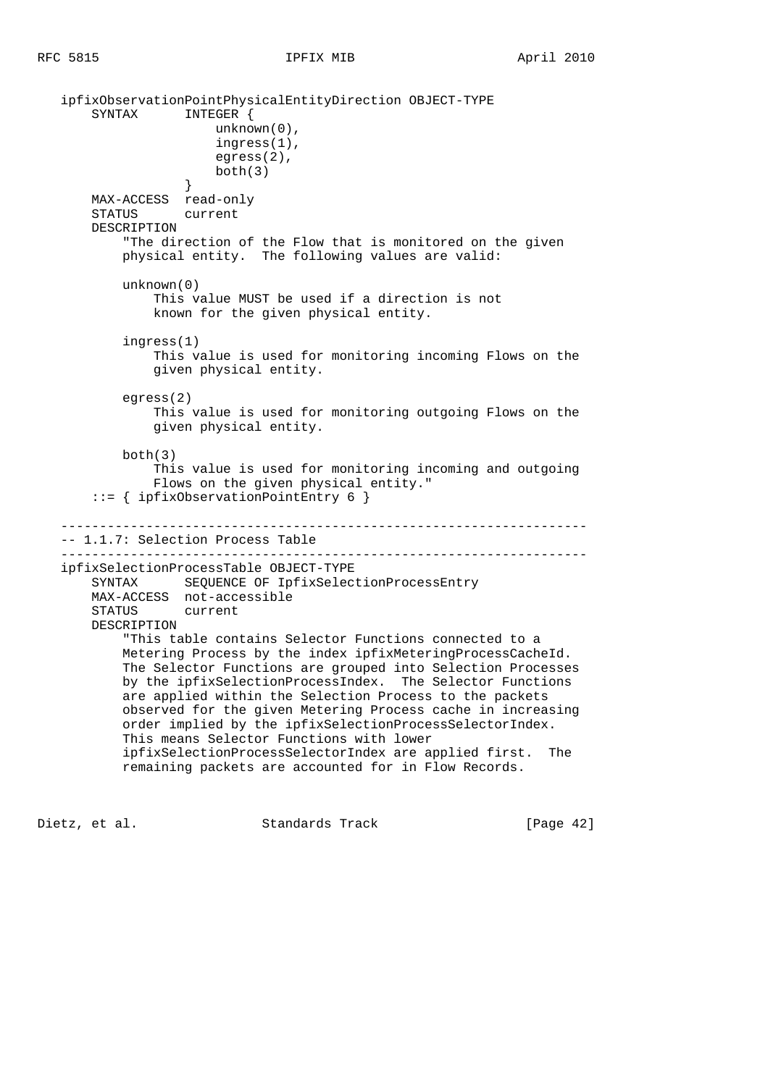```
 ipfixObservationPointPhysicalEntityDirection OBJECT-TYPE
       SYNTAX INTEGER {
                       unknown(0),
                       ingress(1),
                       egress(2),
                      both(3) }
       MAX-ACCESS read-only
       STATUS current
       DESCRIPTION
            "The direction of the Flow that is monitored on the given
           physical entity. The following values are valid:
           unknown(0)
               This value MUST be used if a direction is not
               known for the given physical entity.
           ingress(1)
               This value is used for monitoring incoming Flows on the
               given physical entity.
           egress(2)
               This value is used for monitoring outgoing Flows on the
               given physical entity.
          both(3) This value is used for monitoring incoming and outgoing
               Flows on the given physical entity."
       ::= { ipfixObservationPointEntry 6 }
    --------------------------------------------------------------------
   -- 1.1.7: Selection Process Table
    --------------------------------------------------------------------
   ipfixSelectionProcessTable OBJECT-TYPE
       SYNTAX SEQUENCE OF IpfixSelectionProcessEntry
       MAX-ACCESS not-accessible
       STATUS current
       DESCRIPTION
           "This table contains Selector Functions connected to a
           Metering Process by the index ipfixMeteringProcessCacheId.
           The Selector Functions are grouped into Selection Processes
           by the ipfixSelectionProcessIndex. The Selector Functions
           are applied within the Selection Process to the packets
           observed for the given Metering Process cache in increasing
           order implied by the ipfixSelectionProcessSelectorIndex.
           This means Selector Functions with lower
           ipfixSelectionProcessSelectorIndex are applied first. The
           remaining packets are accounted for in Flow Records.
```
Dietz, et al. Standards Track [Page 42]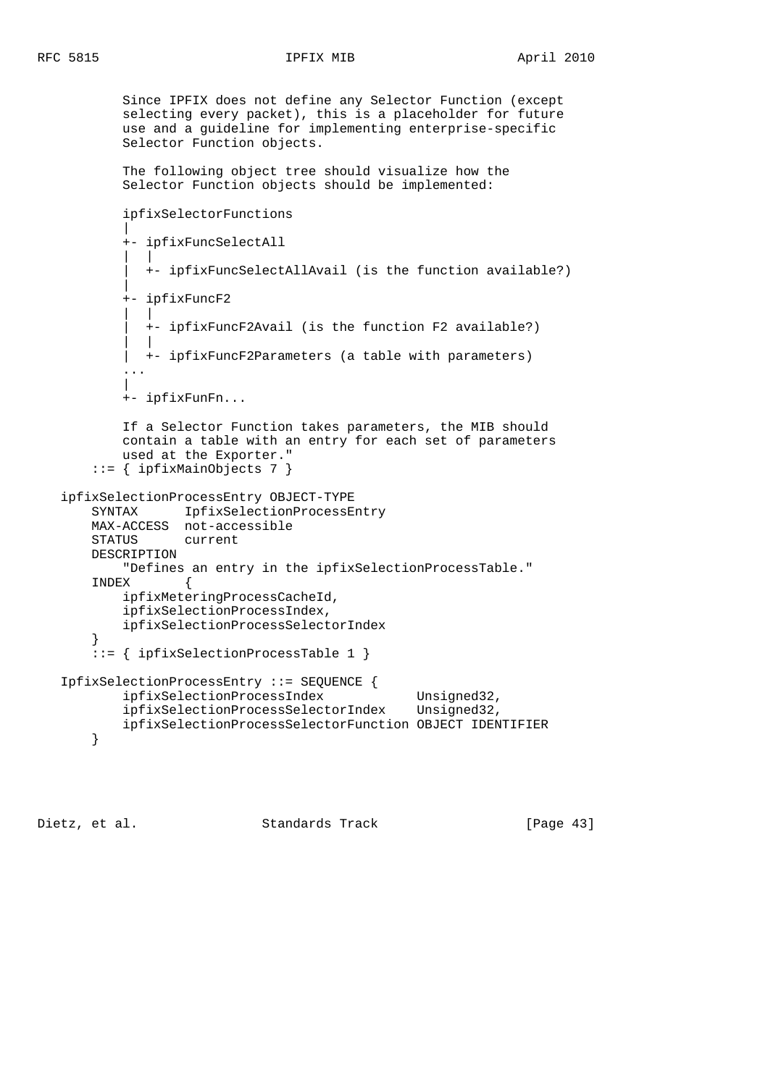Since IPFIX does not define any Selector Function (except selecting every packet), this is a placeholder for future use and a guideline for implementing enterprise-specific Selector Function objects. The following object tree should visualize how the Selector Function objects should be implemented: ipfixSelectorFunctions | +- ipfixFuncSelectAll | | | +- ipfixFuncSelectAllAvail (is the function available?) | +- ipfixFuncF2 | | | +- ipfixFuncF2Avail (is the function F2 available?) | | | +- ipfixFuncF2Parameters (a table with parameters) ... | +- ipfixFunFn... If a Selector Function takes parameters, the MIB should contain a table with an entry for each set of parameters used at the Exporter." ::= { ipfixMainObjects 7 } ipfixSelectionProcessEntry OBJECT-TYPE SYNTAX IpfixSelectionProcessEntry MAX-ACCESS not-accessible STATUS current DESCRIPTION "Defines an entry in the ipfixSelectionProcessTable." INDEX { ipfixMeteringProcessCacheId, ipfixSelectionProcessIndex, ipfixSelectionProcessSelectorIndex }  $\therefore$  := { ipfixSelectionProcessTable 1 } IpfixSelectionProcessEntry ::= SEQUENCE { ipfixSelectionProcessIndex Unsigned32, ipfixSelectionProcessSelectorIndex Unsigned32, ipfixSelectionProcessSelectorFunction OBJECT IDENTIFIER }

Dietz, et al. Standards Track [Page 43]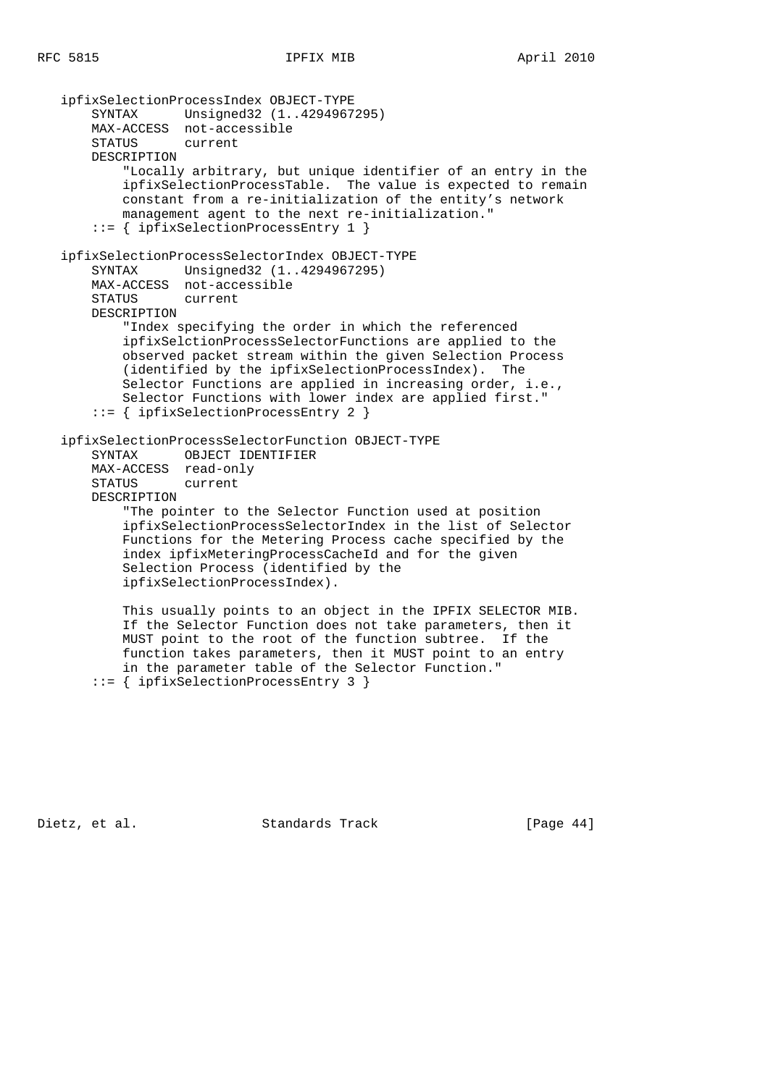ipfixSelectionProcessIndex OBJECT-TYPE SYNTAX Unsigned32 (1..4294967295) MAX-ACCESS not-accessible STATUS current DESCRIPTION "Locally arbitrary, but unique identifier of an entry in the ipfixSelectionProcessTable. The value is expected to remain constant from a re-initialization of the entity's network management agent to the next re-initialization." ::= { ipfixSelectionProcessEntry 1 } ipfixSelectionProcessSelectorIndex OBJECT-TYPE SYNTAX Unsigned32 (1..4294967295) MAX-ACCESS not-accessible STATUS current DESCRIPTION "Index specifying the order in which the referenced ipfixSelctionProcessSelectorFunctions are applied to the observed packet stream within the given Selection Process (identified by the ipfixSelectionProcessIndex). The Selector Functions are applied in increasing order, i.e., Selector Functions with lower index are applied first." ::= { ipfixSelectionProcessEntry 2 } ipfixSelectionProcessSelectorFunction OBJECT-TYPE SYNTAX OBJECT IDENTIFIER MAX-ACCESS read-only STATUS current DESCRIPTION "The pointer to the Selector Function used at position ipfixSelectionProcessSelectorIndex in the list of Selector Functions for the Metering Process cache specified by the index ipfixMeteringProcessCacheId and for the given Selection Process (identified by the ipfixSelectionProcessIndex). This usually points to an object in the IPFIX SELECTOR MIB. If the Selector Function does not take parameters, then it MUST point to the root of the function subtree. If the function takes parameters, then it MUST point to an entry

Dietz, et al. Standards Track [Page 44]

in the parameter table of the Selector Function."

::= { ipfixSelectionProcessEntry 3 }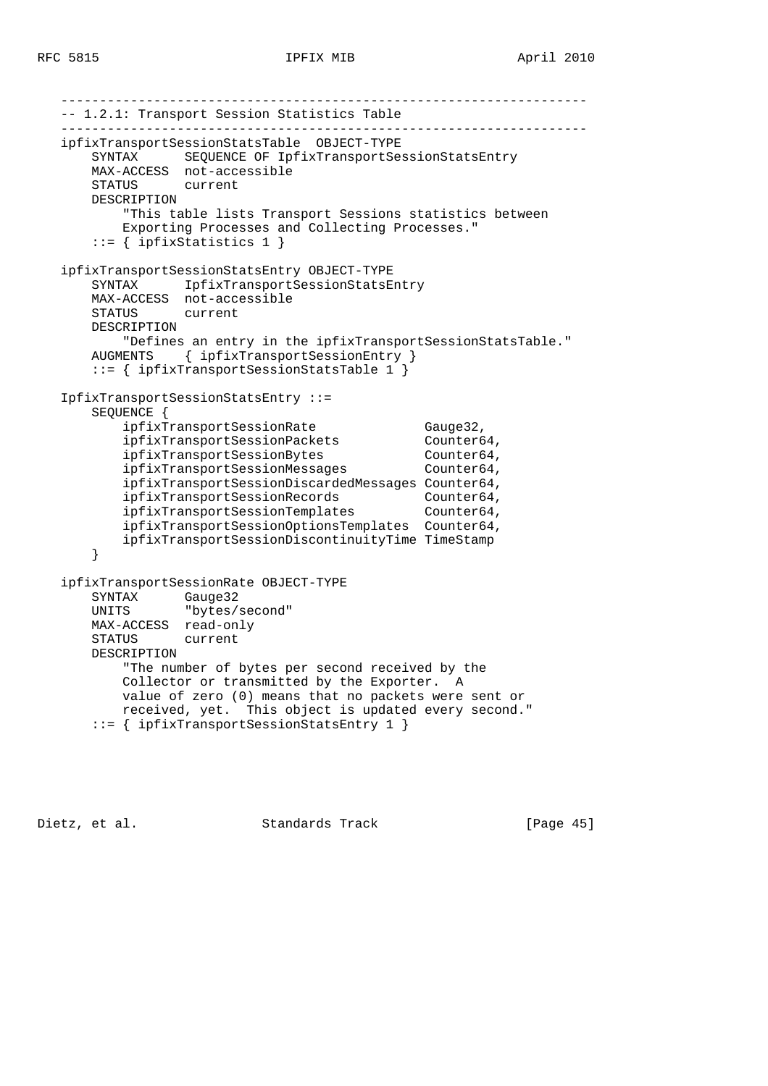-------------------------------------------------------------------- -- 1.2.1: Transport Session Statistics Table ------------------------------------------------------------------- ipfixTransportSessionStatsTable OBJECT-TYPE SYNTAX SEQUENCE OF IpfixTransportSessionStatsEntry MAX-ACCESS not-accessible STATUS current DESCRIPTION "This table lists Transport Sessions statistics between Exporting Processes and Collecting Processes."  $::=$  { ipfixStatistics 1 } ipfixTransportSessionStatsEntry OBJECT-TYPE SYNTAX IpfixTransportSessionStatsEntry MAX-ACCESS not-accessible STATUS current DESCRIPTION "Defines an entry in the ipfixTransportSessionStatsTable." AUGMENTS { ipfixTransportSessionEntry } ::= { ipfixTransportSessionStatsTable 1 } IpfixTransportSessionStatsEntry ::= SEQUENCE { ipfixTransportSessionRate Gauge32, ipfixTransportSessionPackets Counter64, ipfixTransportSessionBytes Counter64, ipfixTransportSessionMessages Counter64, ipfixTransportSessionDiscardedMessages Counter64, ipfixTransportSessionRecords Counter64, ipfixTransportSessionTemplates Counter64, ipfixTransportSessionOptionsTemplates Counter64, ipfixTransportSessionDiscontinuityTime TimeStamp } ipfixTransportSessionRate OBJECT-TYPE SYNTAX Gauge32<br>UNITS "bytes/ "bytes/second" MAX-ACCESS read-only STATUS current DESCRIPTION "The number of bytes per second received by the Collector or transmitted by the Exporter. A value of zero (0) means that no packets were sent or received, yet. This object is updated every second." ::= { ipfixTransportSessionStatsEntry 1 }

Dietz, et al. Standards Track [Page 45]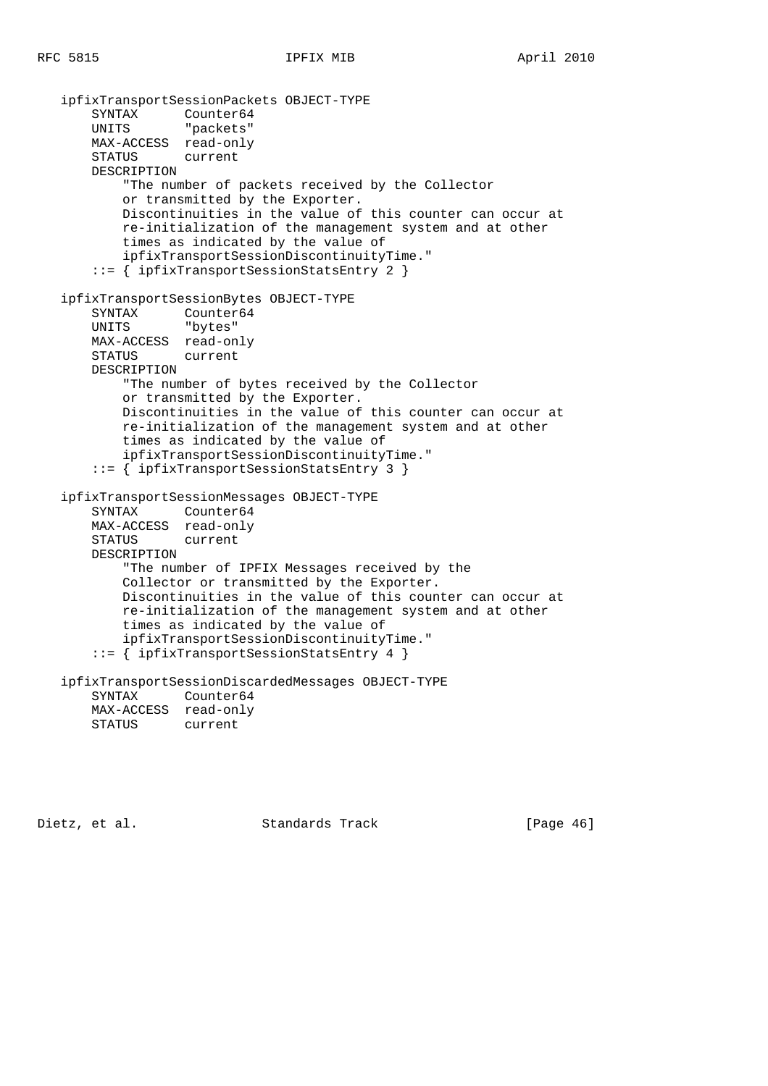ipfixTransportSessionPackets OBJECT-TYPE SYNTAX Counter64 UNITS "packets" MAX-ACCESS read-only STATUS current DESCRIPTION "The number of packets received by the Collector or transmitted by the Exporter. Discontinuities in the value of this counter can occur at re-initialization of the management system and at other times as indicated by the value of ipfixTransportSessionDiscontinuityTime." ::= { ipfixTransportSessionStatsEntry 2 } ipfixTransportSessionBytes OBJECT-TYPE SYNTAX Counter64 UNITS "bytes" MAX-ACCESS read-only STATUS current DESCRIPTION "The number of bytes received by the Collector or transmitted by the Exporter. Discontinuities in the value of this counter can occur at re-initialization of the management system and at other times as indicated by the value of ipfixTransportSessionDiscontinuityTime." ::= { ipfixTransportSessionStatsEntry 3 } ipfixTransportSessionMessages OBJECT-TYPE SYNTAX Counter64 MAX-ACCESS read-only STATUS current DESCRIPTION "The number of IPFIX Messages received by the Collector or transmitted by the Exporter. Discontinuities in the value of this counter can occur at re-initialization of the management system and at other times as indicated by the value of ipfixTransportSessionDiscontinuityTime." ::= { ipfixTransportSessionStatsEntry 4 } ipfixTransportSessionDiscardedMessages OBJECT-TYPE SYNTAX Counter64 MAX-ACCESS read-only<br>STATUS current STATUS

Dietz, et al. Standards Track [Page 46]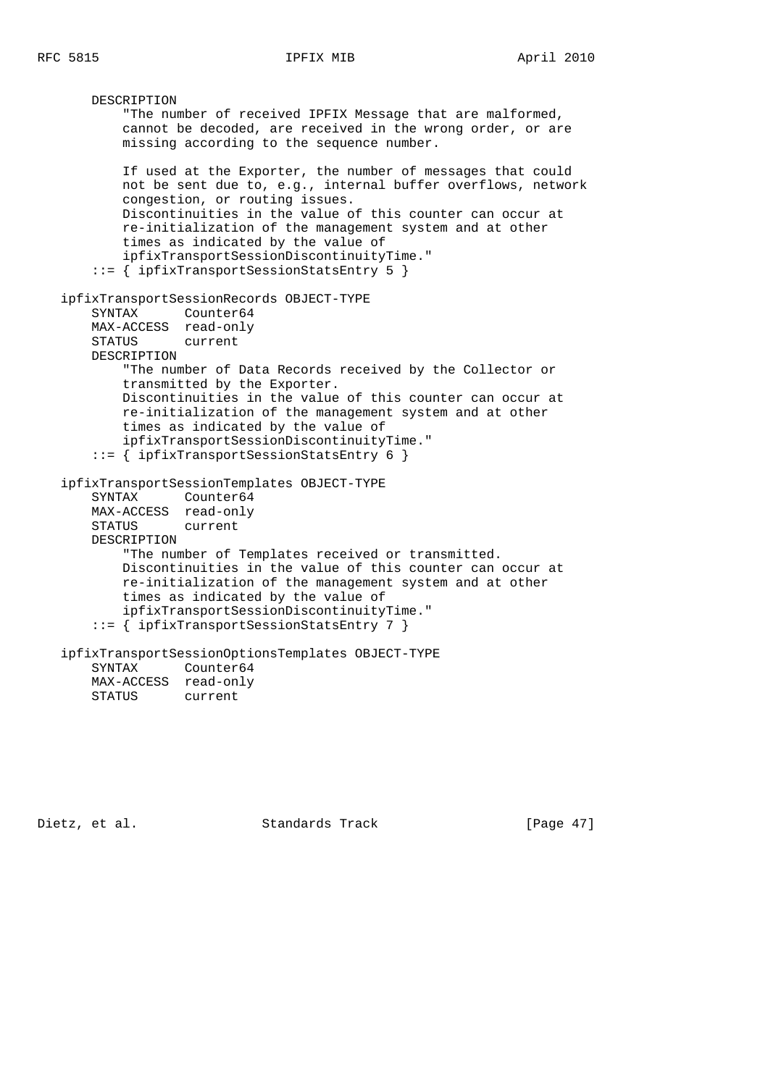```
 DESCRIPTION
         "The number of received IPFIX Message that are malformed,
         cannot be decoded, are received in the wrong order, or are
        missing according to the sequence number.
        If used at the Exporter, the number of messages that could
        not be sent due to, e.g., internal buffer overflows, network
        congestion, or routing issues.
        Discontinuities in the value of this counter can occur at
        re-initialization of the management system and at other
         times as indicated by the value of
         ipfixTransportSessionDiscontinuityTime."
     ::= { ipfixTransportSessionStatsEntry 5 }
 ipfixTransportSessionRecords OBJECT-TYPE
    SYNTAX Counter64
    MAX-ACCESS read-only
    STATUS current
    DESCRIPTION
         "The number of Data Records received by the Collector or
         transmitted by the Exporter.
        Discontinuities in the value of this counter can occur at
        re-initialization of the management system and at other
         times as indicated by the value of
         ipfixTransportSessionDiscontinuityTime."
     ::= { ipfixTransportSessionStatsEntry 6 }
 ipfixTransportSessionTemplates OBJECT-TYPE
    SYNTAX Counter64
    MAX-ACCESS read-only
    STATUS current
    DESCRIPTION
         "The number of Templates received or transmitted.
        Discontinuities in the value of this counter can occur at
        re-initialization of the management system and at other
         times as indicated by the value of
        ipfixTransportSessionDiscontinuityTime."
     ::= { ipfixTransportSessionStatsEntry 7 }
 ipfixTransportSessionOptionsTemplates OBJECT-TYPE
    SYNTAX Counter64
   MAX-ACCESS read-only<br>STATUS current
   STATUS
```
Dietz, et al. Standards Track [Page 47]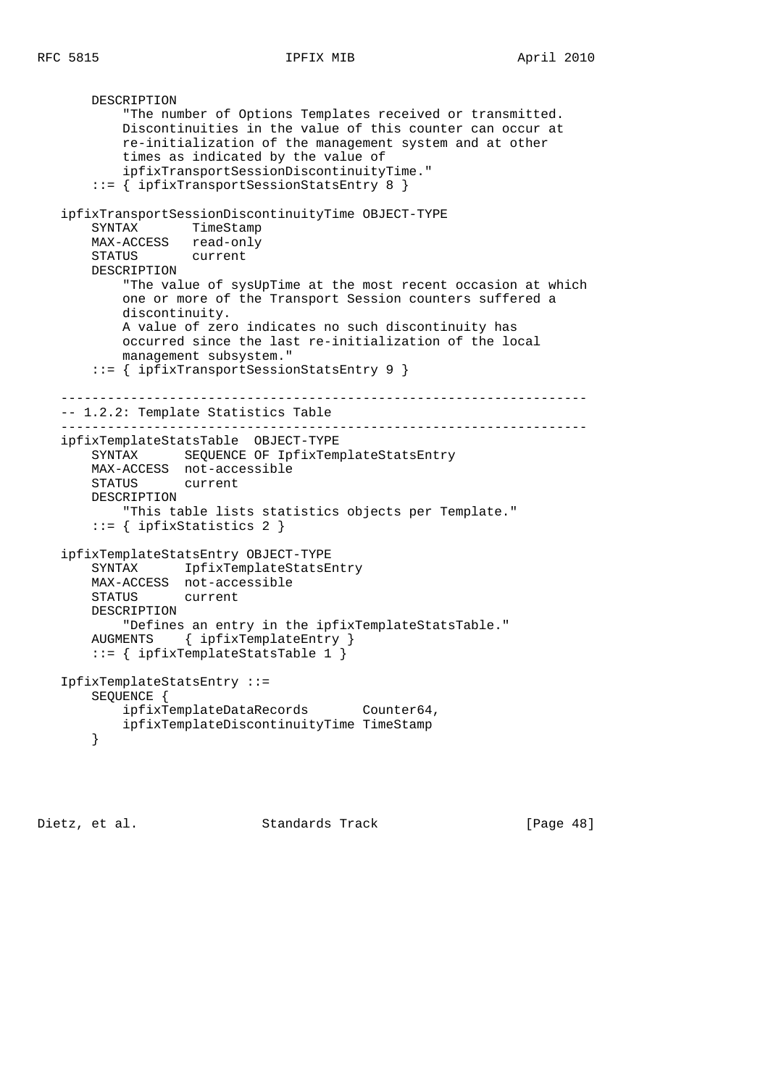```
 DESCRIPTION
           "The number of Options Templates received or transmitted.
           Discontinuities in the value of this counter can occur at
           re-initialization of the management system and at other
           times as indicated by the value of
           ipfixTransportSessionDiscontinuityTime."
       ::= { ipfixTransportSessionStatsEntry 8 }
   ipfixTransportSessionDiscontinuityTime OBJECT-TYPE
       SYNTAX TimeStamp
       MAX-ACCESS read-only
       STATUS current
       DESCRIPTION
           "The value of sysUpTime at the most recent occasion at which
           one or more of the Transport Session counters suffered a
           discontinuity.
           A value of zero indicates no such discontinuity has
           occurred since the last re-initialization of the local
           management subsystem."
       ::= { ipfixTransportSessionStatsEntry 9 }
    --------------------------------------------------------------------
   -- 1.2.2: Template Statistics Table
    --------------------------------------------------------------------
   ipfixTemplateStatsTable OBJECT-TYPE
 SYNTAX SEQUENCE OF IpfixTemplateStatsEntry
 MAX-ACCESS not-accessible
       STATUS current
       DESCRIPTION
           "This table lists statistics objects per Template."
       ::= { ipfixStatistics 2 }
   ipfixTemplateStatsEntry OBJECT-TYPE
       SYNTAX IpfixTemplateStatsEntry
       MAX-ACCESS not-accessible
       STATUS current
       DESCRIPTION
           "Defines an entry in the ipfixTemplateStatsTable."
       AUGMENTS { ipfixTemplateEntry }
       ::= { ipfixTemplateStatsTable 1 }
   IpfixTemplateStatsEntry ::=
       SEQUENCE {
           ipfixTemplateDataRecords Counter64,
           ipfixTemplateDiscontinuityTime TimeStamp
       }
```
Dietz, et al. Standards Track [Page 48]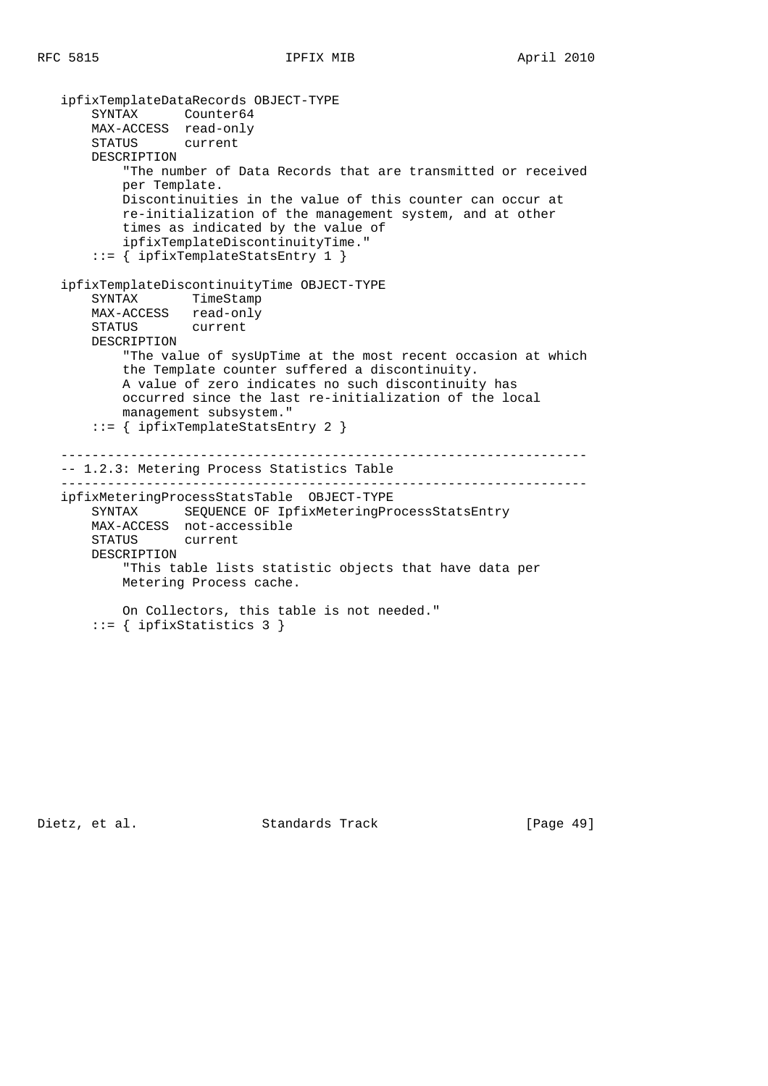```
 ipfixTemplateDataRecords OBJECT-TYPE
    SYNTAX Counter64
    MAX-ACCESS read-only
    STATUS current
    DESCRIPTION
        "The number of Data Records that are transmitted or received
        per Template.
        Discontinuities in the value of this counter can occur at
        re-initialization of the management system, and at other
        times as indicated by the value of
        ipfixTemplateDiscontinuityTime."
     ::= { ipfixTemplateStatsEntry 1 }
 ipfixTemplateDiscontinuityTime OBJECT-TYPE
    SYNTAX TimeStamp
    MAX-ACCESS read-only
    STATUS current
    DESCRIPTION
         "The value of sysUpTime at the most recent occasion at which
        the Template counter suffered a discontinuity.
        A value of zero indicates no such discontinuity has
        occurred since the last re-initialization of the local
        management subsystem."
    ::= { ipfixTemplateStatsEntry 2 }
 --------------------------------------------------------------------
 -- 1.2.3: Metering Process Statistics Table
 --------------------------------------------------------------------
 ipfixMeteringProcessStatsTable OBJECT-TYPE
    SYNTAX SEQUENCE OF IpfixMeteringProcessStatsEntry
    MAX-ACCESS not-accessible
    STATUS current
    DESCRIPTION
        "This table lists statistic objects that have data per
        Metering Process cache.
        On Collectors, this table is not needed."
    ::= { ipfixStatistics 3 }
```
Dietz, et al. Standards Track [Page 49]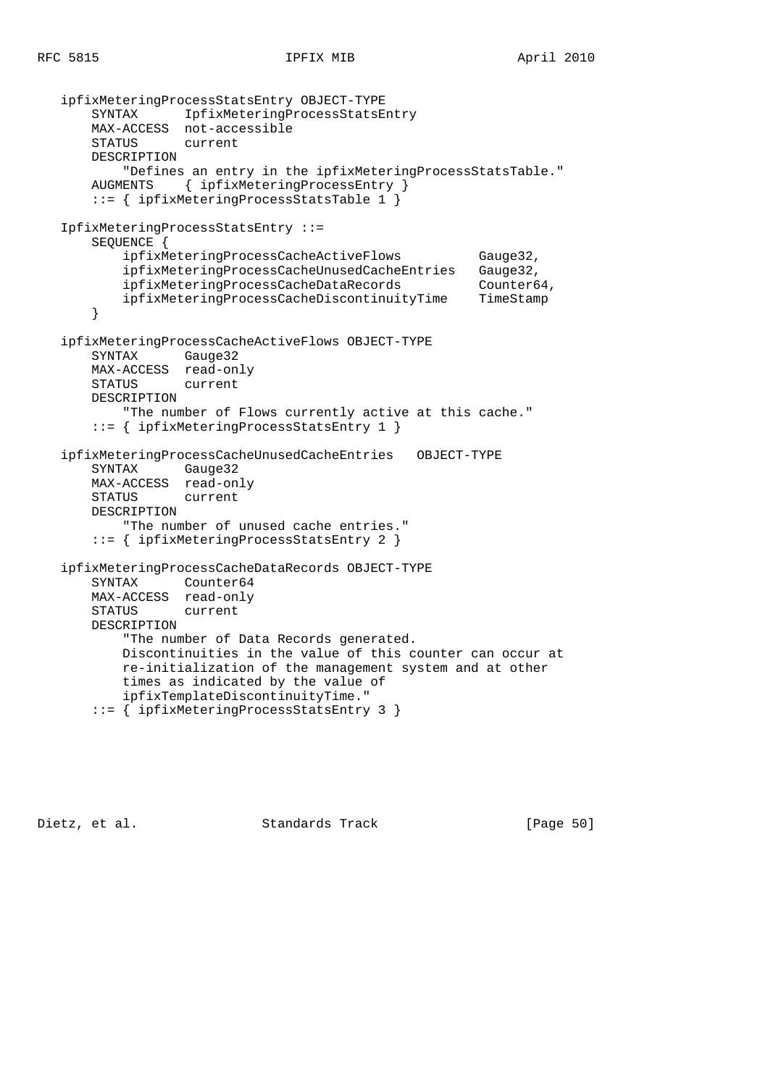```
 ipfixMeteringProcessStatsEntry OBJECT-TYPE
    SYNTAX IpfixMeteringProcessStatsEntry
    MAX-ACCESS not-accessible
    STATUS current
    DESCRIPTION
        "Defines an entry in the ipfixMeteringProcessStatsTable."
    AUGMENTS { ipfixMeteringProcessEntry }
    ::= { ipfixMeteringProcessStatsTable 1 }
 IpfixMeteringProcessStatsEntry ::=
    SEQUENCE {
        ipfixMeteringProcessCacheActiveFlows Gauge32,
        ipfixMeteringProcessCacheUnusedCacheEntries Gauge32,
       ipfixMeteringProcessCacheDataRecords Counter64,
        ipfixMeteringProcessCacheDiscontinuityTime TimeStamp
     }
 ipfixMeteringProcessCacheActiveFlows OBJECT-TYPE
    SYNTAX Gauge32
    MAX-ACCESS read-only
    STATUS current
    DESCRIPTION
        "The number of Flows currently active at this cache."
     ::= { ipfixMeteringProcessStatsEntry 1 }
 ipfixMeteringProcessCacheUnusedCacheEntries OBJECT-TYPE
    SYNTAX Gauge32
    MAX-ACCESS read-only
    STATUS current
    DESCRIPTION
        "The number of unused cache entries."
     ::= { ipfixMeteringProcessStatsEntry 2 }
 ipfixMeteringProcessCacheDataRecords OBJECT-TYPE
    SYNTAX Counter64
    MAX-ACCESS read-only
    STATUS current
    DESCRIPTION
        "The number of Data Records generated.
        Discontinuities in the value of this counter can occur at
        re-initialization of the management system and at other
        times as indicated by the value of
        ipfixTemplateDiscontinuityTime."
     ::= { ipfixMeteringProcessStatsEntry 3 }
```
Dietz, et al. Standards Track [Page 50]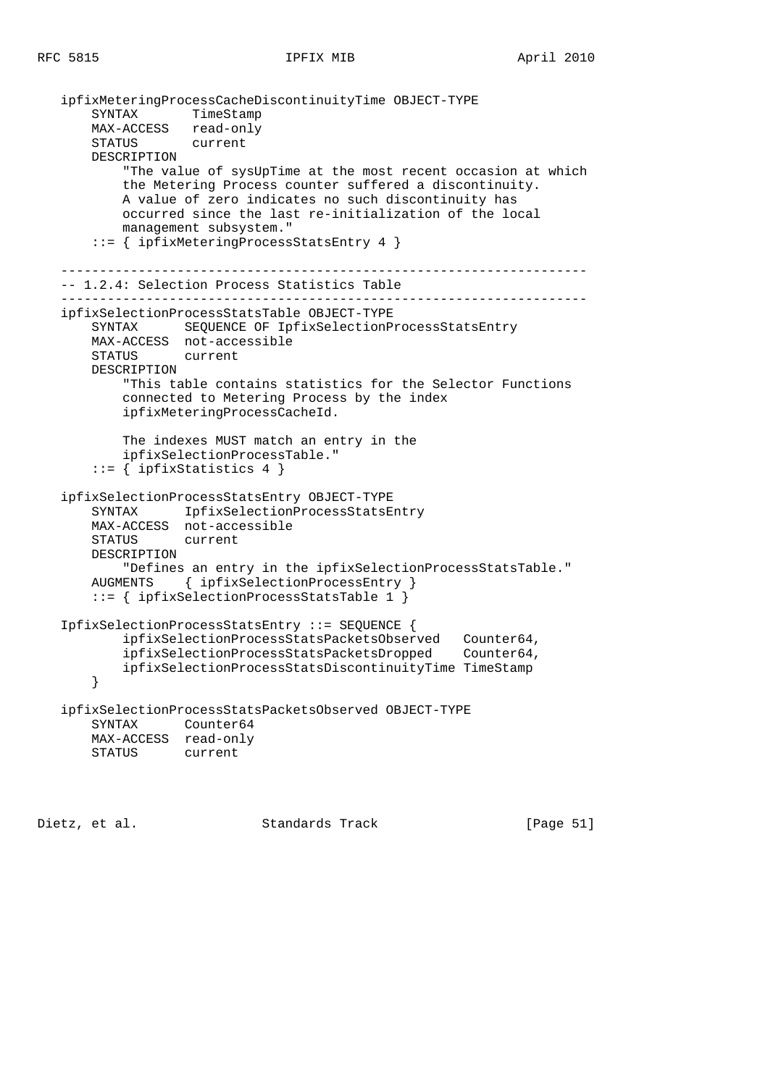|                                | ipfixMeteringProcessCacheDiscontinuityTime OBJECT-TYPE                                                                                                                                                                                                                                                                |  |  |  |
|--------------------------------|-----------------------------------------------------------------------------------------------------------------------------------------------------------------------------------------------------------------------------------------------------------------------------------------------------------------------|--|--|--|
| SYNTAX                         | TimeStamp                                                                                                                                                                                                                                                                                                             |  |  |  |
| MAX-ACCESS read-only<br>STATUS | current                                                                                                                                                                                                                                                                                                               |  |  |  |
| DESCRIPTION                    |                                                                                                                                                                                                                                                                                                                       |  |  |  |
|                                | "The value of sysUpTime at the most recent occasion at which<br>the Metering Process counter suffered a discontinuity.<br>A value of zero indicates no such discontinuity has<br>occurred since the last re-initialization of the local<br>management subsystem."<br>$ ::= \{ \text{ipfixMeteringProcessStatus} 4 \}$ |  |  |  |
|                                | -- 1.2.4: Selection Process Statistics Table                                                                                                                                                                                                                                                                          |  |  |  |
|                                | ipfixSelectionProcessStatsTable OBJECT-TYPE                                                                                                                                                                                                                                                                           |  |  |  |
| SYNTAX                         | SEQUENCE OF IpfixSelectionProcessStatsEntry                                                                                                                                                                                                                                                                           |  |  |  |
|                                | MAX-ACCESS not-accessible                                                                                                                                                                                                                                                                                             |  |  |  |
| STATUS                         | current                                                                                                                                                                                                                                                                                                               |  |  |  |
| DESCRIPTION                    |                                                                                                                                                                                                                                                                                                                       |  |  |  |
|                                | "This table contains statistics for the Selector Functions<br>connected to Metering Process by the index                                                                                                                                                                                                              |  |  |  |
|                                | ipfixMeteringProcessCacheId.                                                                                                                                                                                                                                                                                          |  |  |  |
|                                |                                                                                                                                                                                                                                                                                                                       |  |  |  |
|                                | The indexes MUST match an entry in the                                                                                                                                                                                                                                                                                |  |  |  |
|                                | ipfixSelectionProcessTable."                                                                                                                                                                                                                                                                                          |  |  |  |
|                                | $::=$ { ipfixStatistics 4 }                                                                                                                                                                                                                                                                                           |  |  |  |
|                                |                                                                                                                                                                                                                                                                                                                       |  |  |  |
|                                | ipfixSelectionProcessStatsEntry OBJECT-TYPE<br>SYNTAX IpfixSelectionProcessStatsEntry                                                                                                                                                                                                                                 |  |  |  |
|                                | MAX-ACCESS not-accessible                                                                                                                                                                                                                                                                                             |  |  |  |
| STATUS                         | current                                                                                                                                                                                                                                                                                                               |  |  |  |
| DESCRIPTION                    |                                                                                                                                                                                                                                                                                                                       |  |  |  |
|                                | "Defines an entry in the ipfixSelectionProcessStatsTable."                                                                                                                                                                                                                                                            |  |  |  |
| AUGMENTS                       | { ipfixSelectionProcessEntry }                                                                                                                                                                                                                                                                                        |  |  |  |
|                                | $::=$ { ipfixSelectionProcessStatsTable 1 }                                                                                                                                                                                                                                                                           |  |  |  |
|                                | IpfixSelectionProcessStatsEntry ::= SEQUENCE {                                                                                                                                                                                                                                                                        |  |  |  |
|                                | ipfixSelectionProcessStatsPacketsObserved Counter64,                                                                                                                                                                                                                                                                  |  |  |  |
|                                | ipfixSelectionProcessStatsPacketsDropped Counter64,                                                                                                                                                                                                                                                                   |  |  |  |
|                                | ipfixSelectionProcessStatsDiscontinuityTime TimeStamp                                                                                                                                                                                                                                                                 |  |  |  |
| $\}$                           |                                                                                                                                                                                                                                                                                                                       |  |  |  |
|                                | ipfixSelectionProcessStatsPacketsObserved OBJECT-TYPE                                                                                                                                                                                                                                                                 |  |  |  |
| SYNTAX                         | Counter64                                                                                                                                                                                                                                                                                                             |  |  |  |
| MAX-ACCESS read-only           |                                                                                                                                                                                                                                                                                                                       |  |  |  |
| STATUS                         | current                                                                                                                                                                                                                                                                                                               |  |  |  |
|                                |                                                                                                                                                                                                                                                                                                                       |  |  |  |

Dietz, et al. Standards Track [Page 51]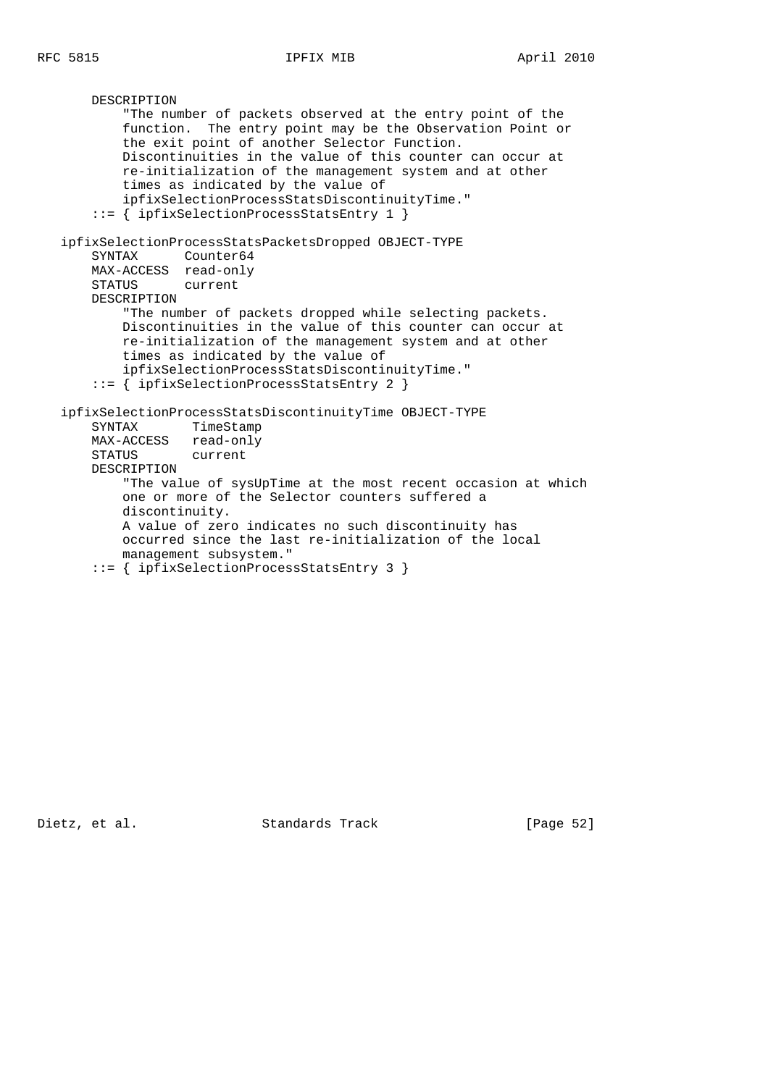```
 DESCRIPTION
           "The number of packets observed at the entry point of the
           function. The entry point may be the Observation Point or
           the exit point of another Selector Function.
           Discontinuities in the value of this counter can occur at
           re-initialization of the management system and at other
           times as indicated by the value of
           ipfixSelectionProcessStatsDiscontinuityTime."
       ::= { ipfixSelectionProcessStatsEntry 1 }
   ipfixSelectionProcessStatsPacketsDropped OBJECT-TYPE
       SYNTAX Counter64
       MAX-ACCESS read-only
       STATUS current
       DESCRIPTION
           "The number of packets dropped while selecting packets.
           Discontinuities in the value of this counter can occur at
           re-initialization of the management system and at other
           times as indicated by the value of
           ipfixSelectionProcessStatsDiscontinuityTime."
       ::= { ipfixSelectionProcessStatsEntry 2 }
   ipfixSelectionProcessStatsDiscontinuityTime OBJECT-TYPE
 SYNTAX TimeStamp
 MAX-ACCESS read-only
       STATUS current
       DESCRIPTION
           "The value of sysUpTime at the most recent occasion at which
           one or more of the Selector counters suffered a
           discontinuity.
           A value of zero indicates no such discontinuity has
           occurred since the last re-initialization of the local
           management subsystem."
       ::= { ipfixSelectionProcessStatsEntry 3 }
```
Dietz, et al. Standards Track [Page 52]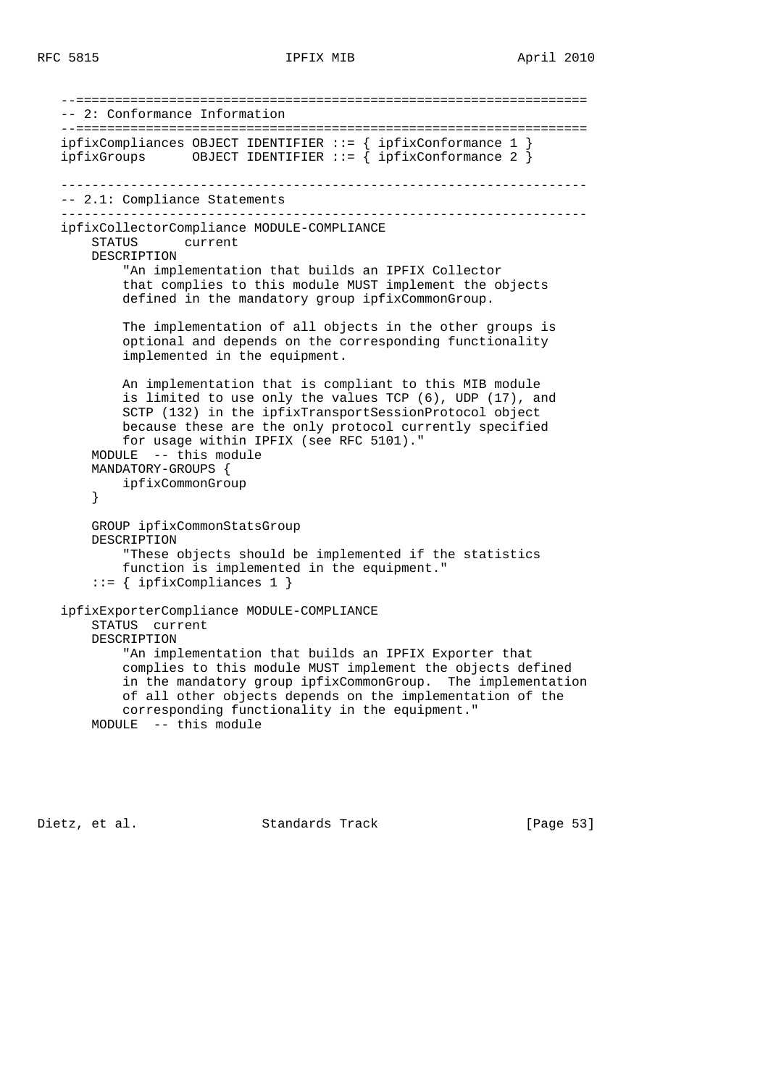```
 --==================================================================
 -- 2: Conformance Information
 --==================================================================
 ipfixCompliances OBJECT IDENTIFIER ::= { ipfixConformance 1 }
 ipfixGroups OBJECT IDENTIFIER ::= { ipfixConformance 2 }
  --------------------------------------------------------------------
 -- 2.1: Compliance Statements
 --------------------------------------------------------------------
 ipfixCollectorCompliance MODULE-COMPLIANCE
    STATUS current
    DESCRIPTION
         "An implementation that builds an IPFIX Collector
         that complies to this module MUST implement the objects
        defined in the mandatory group ipfixCommonGroup.
        The implementation of all objects in the other groups is
         optional and depends on the corresponding functionality
         implemented in the equipment.
        An implementation that is compliant to this MIB module
         is limited to use only the values TCP (6), UDP (17), and
         SCTP (132) in the ipfixTransportSessionProtocol object
        because these are the only protocol currently specified
        for usage within IPFIX (see RFC 5101)."
    MODULE -- this module
    MANDATORY-GROUPS {
        ipfixCommonGroup
    }
    GROUP ipfixCommonStatsGroup
    DESCRIPTION
         "These objects should be implemented if the statistics
         function is implemented in the equipment."
     ::= { ipfixCompliances 1 }
 ipfixExporterCompliance MODULE-COMPLIANCE
    STATUS current
    DESCRIPTION
         "An implementation that builds an IPFIX Exporter that
         complies to this module MUST implement the objects defined
         in the mandatory group ipfixCommonGroup. The implementation
        of all other objects depends on the implementation of the
        corresponding functionality in the equipment."
    MODULE -- this module
```
Dietz, et al. Standards Track [Page 53]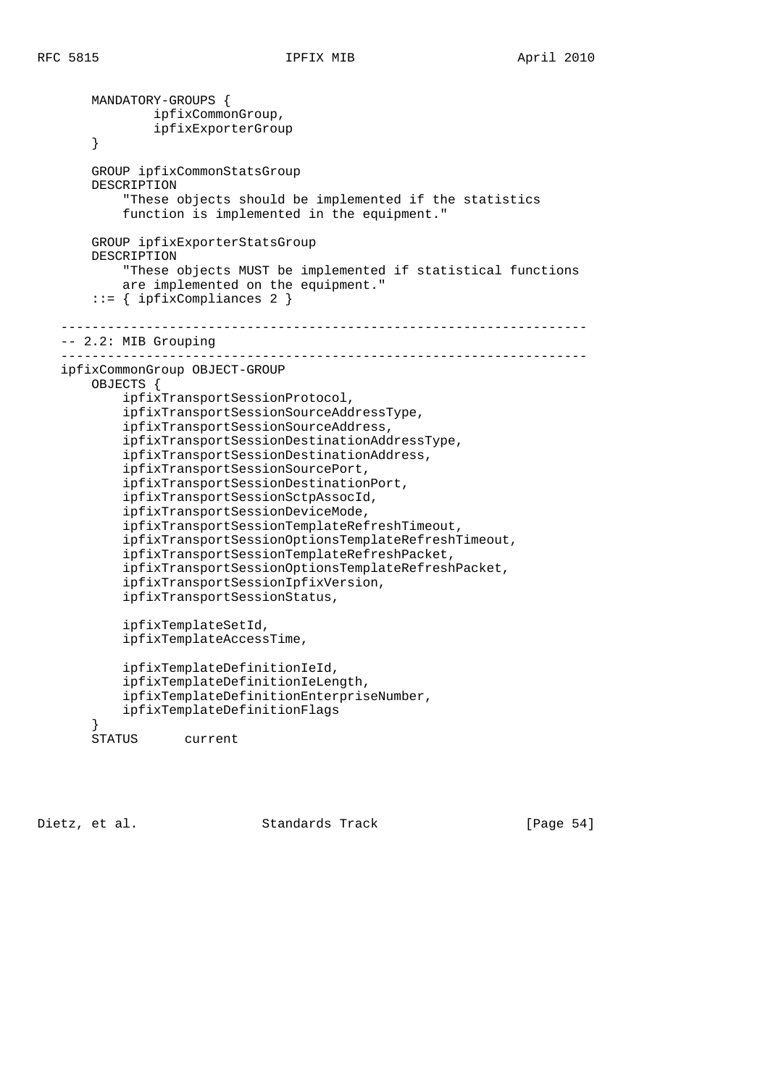MANDATORY-GROUPS { ipfixCommonGroup, ipfixExporterGroup } GROUP ipfixCommonStatsGroup DESCRIPTION "These objects should be implemented if the statistics function is implemented in the equipment." GROUP ipfixExporterStatsGroup DESCRIPTION "These objects MUST be implemented if statistical functions are implemented on the equipment." ::= { ipfixCompliances 2 } -------------------------------------------------------------------- -- 2.2: MIB Grouping ------------------------------------------------------------------- ipfixCommonGroup OBJECT-GROUP OBJECTS { ipfixTransportSessionProtocol, ipfixTransportSessionSourceAddressType, ipfixTransportSessionSourceAddress, ipfixTransportSessionDestinationAddressType, ipfixTransportSessionDestinationAddress, ipfixTransportSessionSourcePort, ipfixTransportSessionDestinationPort, ipfixTransportSessionSctpAssocId, ipfixTransportSessionDeviceMode, ipfixTransportSessionTemplateRefreshTimeout, ipfixTransportSessionOptionsTemplateRefreshTimeout, ipfixTransportSessionTemplateRefreshPacket, ipfixTransportSessionOptionsTemplateRefreshPacket, ipfixTransportSessionIpfixVersion, ipfixTransportSessionStatus, ipfixTemplateSetId, ipfixTemplateAccessTime, ipfixTemplateDefinitionIeId, ipfixTemplateDefinitionIeLength, ipfixTemplateDefinitionEnterpriseNumber, ipfixTemplateDefinitionFlags } STATUS current

Dietz, et al. Standards Track [Page 54]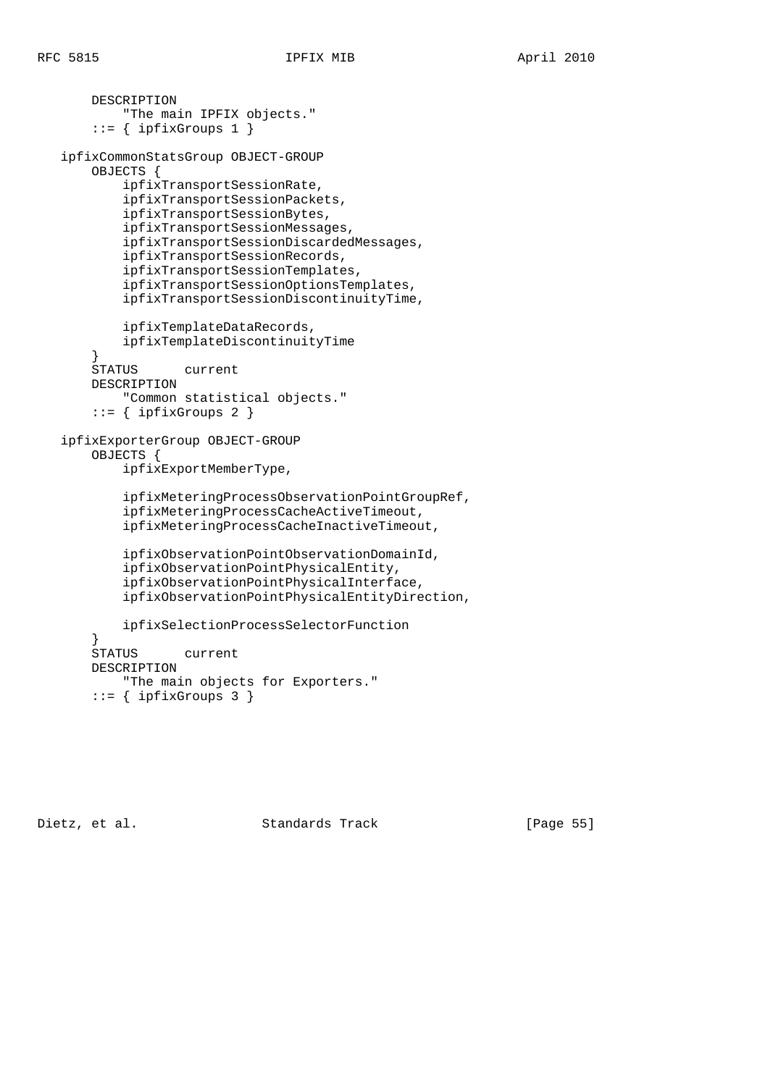```
 DESCRIPTION
            "The main IPFIX objects."
        ::= { ipfixGroups 1 }
   ipfixCommonStatsGroup OBJECT-GROUP
        OBJECTS {
            ipfixTransportSessionRate,
            ipfixTransportSessionPackets,
            ipfixTransportSessionBytes,
            ipfixTransportSessionMessages,
            ipfixTransportSessionDiscardedMessages,
            ipfixTransportSessionRecords,
            ipfixTransportSessionTemplates,
            ipfixTransportSessionOptionsTemplates,
            ipfixTransportSessionDiscontinuityTime,
            ipfixTemplateDataRecords,
            ipfixTemplateDiscontinuityTime
        }
       STATUS current
       DESCRIPTION
            "Common statistical objects."
       ::= { ipfixGroups 2 }
    ipfixExporterGroup OBJECT-GROUP
        OBJECTS {
            ipfixExportMemberType,
            ipfixMeteringProcessObservationPointGroupRef,
            ipfixMeteringProcessCacheActiveTimeout,
            ipfixMeteringProcessCacheInactiveTimeout,
            ipfixObservationPointObservationDomainId,
            ipfixObservationPointPhysicalEntity,
            ipfixObservationPointPhysicalInterface,
            ipfixObservationPointPhysicalEntityDirection,
            ipfixSelectionProcessSelectorFunction
 }
        STATUS current
       DESCRIPTION
           "The main objects for Exporters."
```
 $::=$  { ipfixGroups 3 }

Dietz, et al. Standards Track [Page 55]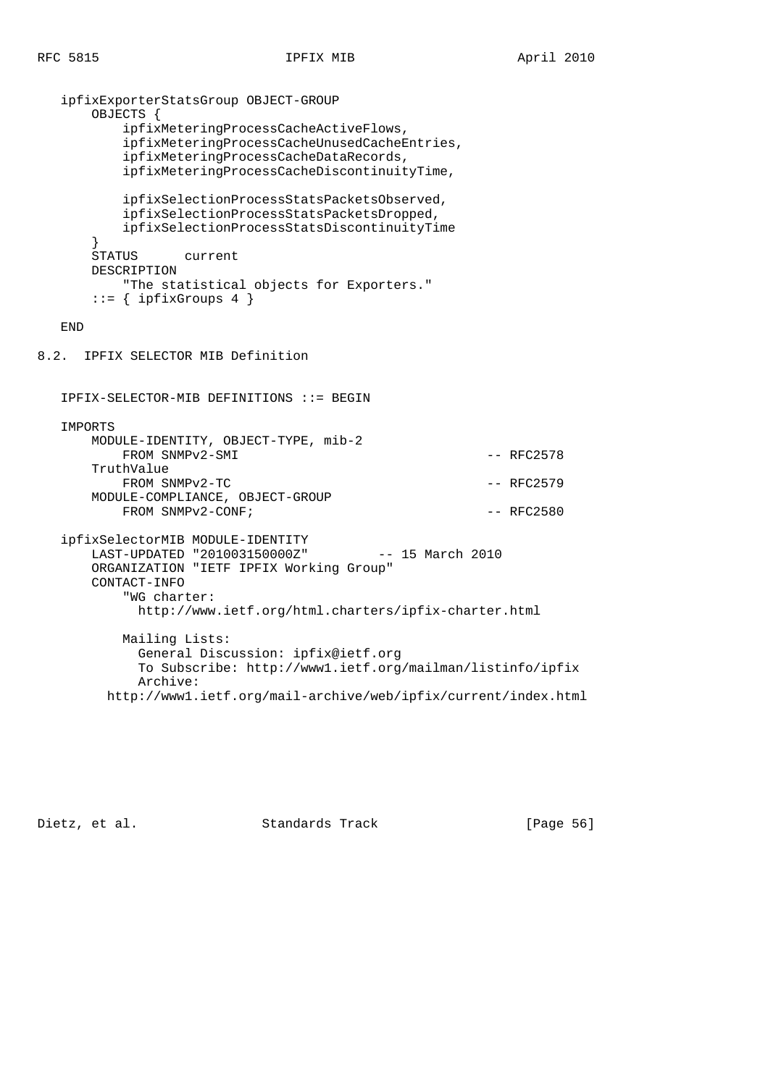RFC 5815 IPFIX MIB April 2010

```
 ipfixExporterStatsGroup OBJECT-GROUP
       OBJECTS {
           ipfixMeteringProcessCacheActiveFlows,
           ipfixMeteringProcessCacheUnusedCacheEntries,
           ipfixMeteringProcessCacheDataRecords,
           ipfixMeteringProcessCacheDiscontinuityTime,
           ipfixSelectionProcessStatsPacketsObserved,
           ipfixSelectionProcessStatsPacketsDropped,
           ipfixSelectionProcessStatsDiscontinuityTime
       }
       STATUS current
       DESCRIPTION
           "The statistical objects for Exporters."
      ::= { ipfixGroups 4 }
   END
8.2. IPFIX SELECTOR MIB Definition
   IPFIX-SELECTOR-MIB DEFINITIONS ::= BEGIN
   IMPORTS
       MODULE-IDENTITY, OBJECT-TYPE, mib-2
          FROM SNMPv2-SMI - RFC2578
       TruthValue
          FROM SNMPv2-TC - RFC2579
       MODULE-COMPLIANCE, OBJECT-GROUP
          FROM SNMPv2-CONF; - RFC2580
   ipfixSelectorMIB MODULE-IDENTITY
       LAST-UPDATED "201003150000Z" -- 15 March 2010
       ORGANIZATION "IETF IPFIX Working Group"
       CONTACT-INFO
           "WG charter:
            http://www.ietf.org/html.charters/ipfix-charter.html
           Mailing Lists:
             General Discussion: ipfix@ietf.org
             To Subscribe: http://www1.ietf.org/mailman/listinfo/ipfix
             Archive:
         http://www1.ietf.org/mail-archive/web/ipfix/current/index.html
```
Dietz, et al. Standards Track [Page 56]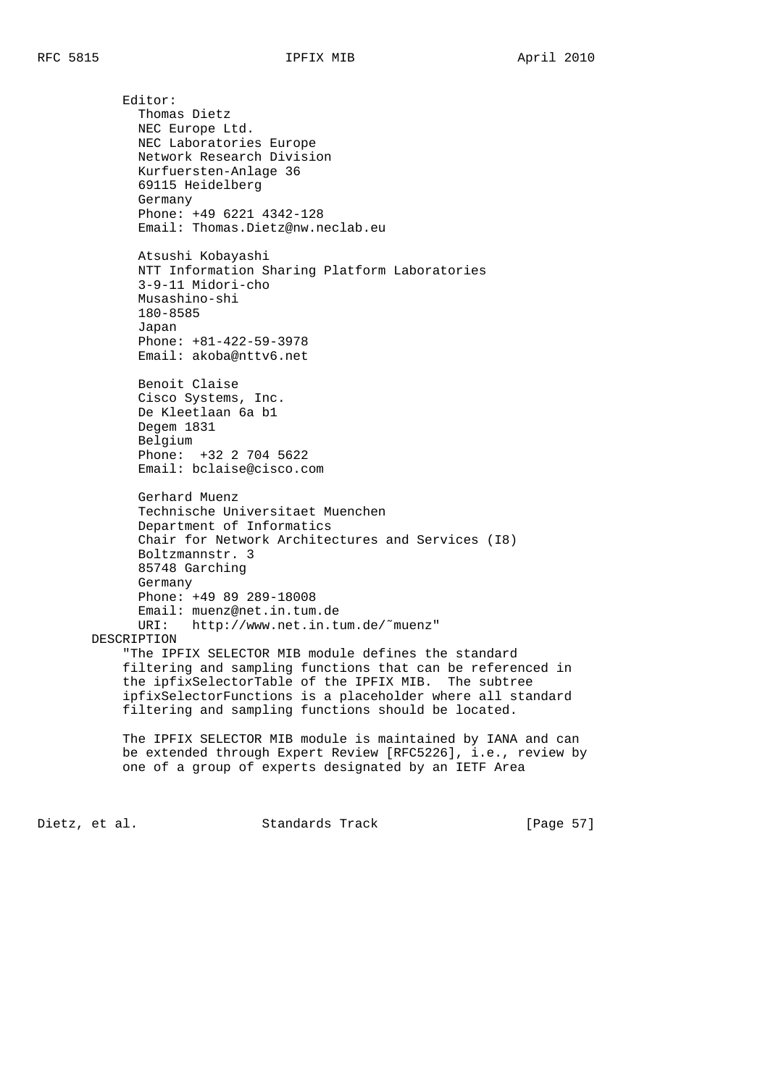Editor: Thomas Dietz NEC Europe Ltd. NEC Laboratories Europe Network Research Division Kurfuersten-Anlage 36 69115 Heidelberg Germany Phone: +49 6221 4342-128 Email: Thomas.Dietz@nw.neclab.eu Atsushi Kobayashi NTT Information Sharing Platform Laboratories 3-9-11 Midori-cho Musashino-shi 180-8585 Japan Phone: +81-422-59-3978 Email: akoba@nttv6.net Benoit Claise Cisco Systems, Inc. De Kleetlaan 6a b1 Degem 1831 Belgium Phone: +32 2 704 5622 Email: bclaise@cisco.com Gerhard Muenz Technische Universitaet Muenchen Department of Informatics Chair for Network Architectures and Services (I8) Boltzmannstr. 3 85748 Garching Germany Phone: +49 89 289-18008 Email: muenz@net.in.tum.de URI: http://www.net.in.tum.de/˜muenz" DESCRIPTION "The IPFIX SELECTOR MIB module defines the standard filtering and sampling functions that can be referenced in the ipfixSelectorTable of the IPFIX MIB. The subtree ipfixSelectorFunctions is a placeholder where all standard filtering and sampling functions should be located. The IPFIX SELECTOR MIB module is maintained by IANA and can

 be extended through Expert Review [RFC5226], i.e., review by one of a group of experts designated by an IETF Area

Dietz, et al. Standards Track [Page 57]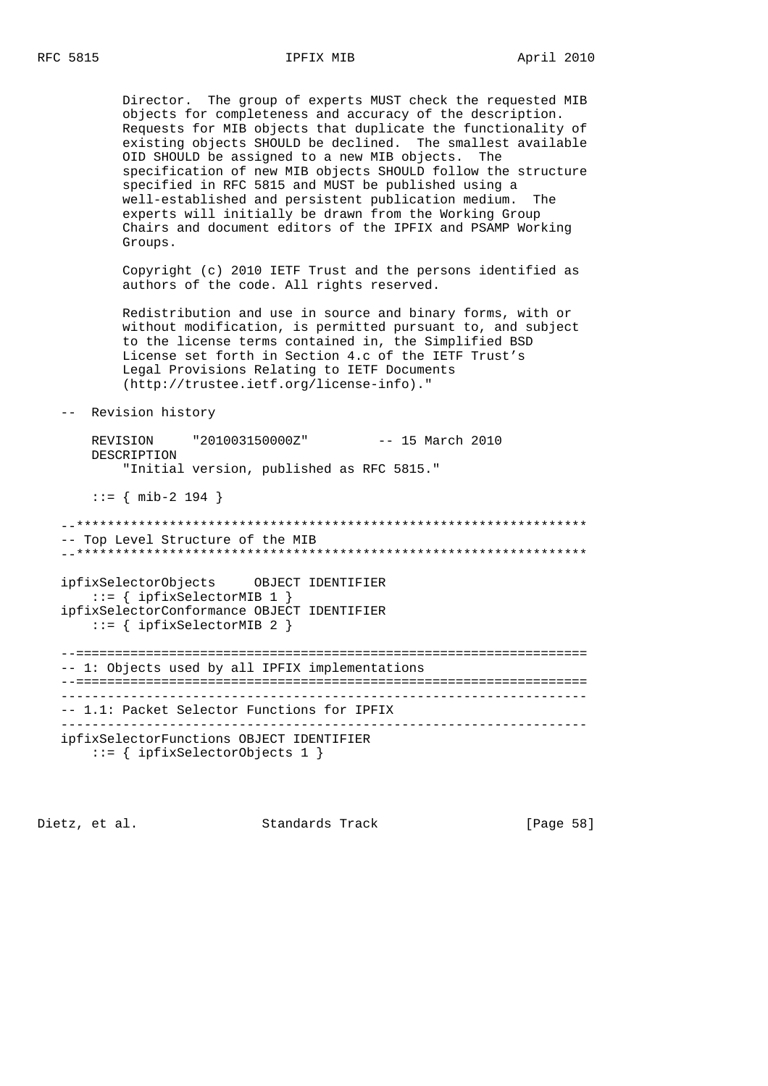Director. The group of experts MUST check the requested MIB objects for completeness and accuracy of the description. Requests for MIB objects that duplicate the functionality of existing objects SHOULD be declined. The smallest available OID SHOULD be assigned to a new MIB objects. The specification of new MIB objects SHOULD follow the structure specified in RFC 5815 and MUST be published using a well-established and persistent publication medium. The experts will initially be drawn from the Working Group Chairs and document editors of the IPFIX and PSAMP Working Groups.

 Copyright (c) 2010 IETF Trust and the persons identified as authors of the code. All rights reserved.

 Redistribution and use in source and binary forms, with or without modification, is permitted pursuant to, and subject to the license terms contained in, the Simplified BSD License set forth in Section 4.c of the IETF Trust's Legal Provisions Relating to IETF Documents (http://trustee.ietf.org/license-info)."

```
 -- Revision history
```
 REVISION "201003150000Z" -- 15 March 2010 DESCRIPTION "Initial version, published as RFC 5815."

::= { mib-2 194 }

 --\*\*\*\*\*\*\*\*\*\*\*\*\*\*\*\*\*\*\*\*\*\*\*\*\*\*\*\*\*\*\*\*\*\*\*\*\*\*\*\*\*\*\*\*\*\*\*\*\*\*\*\*\*\*\*\*\*\*\*\*\*\*\*\*\*\* -- Top Level Structure of the MIB --\*\*\*\*\*\*\*\*\*\*\*\*\*\*\*\*\*\*\*\*\*\*\*\*\*\*\*\*\*\*\*\*\*\*\*\*\*\*\*\*\*\*\*\*\*\*\*\*\*\*\*\*\*\*\*\*\*\*\*\*\*\*\*\*\*\*

 ipfixSelectorObjects OBJECT IDENTIFIER ::= { ipfixSelectorMIB 1 } ipfixSelectorConformance OBJECT IDENTIFIER ::= { ipfixSelectorMIB 2 }

 --================================================================== -- 1: Objects used by all IPFIX implementations --================================================================== -------------------------------------------------------------------- -- 1.1: Packet Selector Functions for IPFIX ------------------------------------------------------------------- ipfixSelectorFunctions OBJECT IDENTIFIER ::= { ipfixSelectorObjects 1 }

Dietz, et al. Standards Track [Page 58]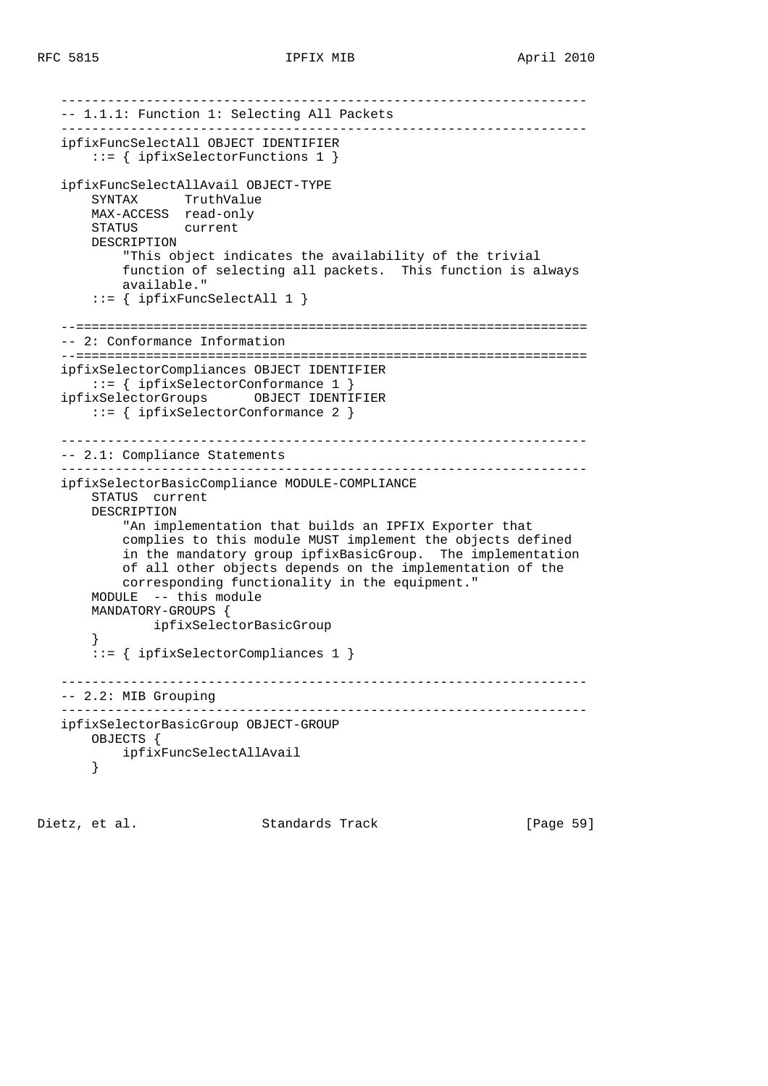```
 --------------------------------------------------------------------
    -- 1.1.1: Function 1: Selecting All Packets
   --------------------------------------------------------------------
   ipfixFuncSelectAll OBJECT IDENTIFIER
       ::= { ipfixSelectorFunctions 1 }
   ipfixFuncSelectAllAvail OBJECT-TYPE
       SYNTAX TruthValue
       MAX-ACCESS read-only
       STATUS current
       DESCRIPTION
            "This object indicates the availability of the trivial
            function of selecting all packets. This function is always
           available."
        ::= { ipfixFuncSelectAll 1 }
   --==================================================================
   -- 2: Conformance Information
   --==================================================================
   ipfixSelectorCompliances OBJECT IDENTIFIER
       ::= { ipfixSelectorConformance 1 }
   ipfixSelectorGroups OBJECT IDENTIFIER
       ::= { ipfixSelectorConformance 2 }
     --------------------------------------------------------------------
    -- 2.1: Compliance Statements
    --------------------------------------------------------------------
   ipfixSelectorBasicCompliance MODULE-COMPLIANCE
       STATUS current
       DESCRIPTION
            "An implementation that builds an IPFIX Exporter that
           complies to this module MUST implement the objects defined
            in the mandatory group ipfixBasicGroup. The implementation
           of all other objects depends on the implementation of the
           corresponding functionality in the equipment."
       MODULE -- this module
       MANDATORY-GROUPS {
                ipfixSelectorBasicGroup
        }
        ::= { ipfixSelectorCompliances 1 }
   --------------------------------------------------------------------
   -- 2.2: MIB Grouping
   --------------------------------------------------------------------
   ipfixSelectorBasicGroup OBJECT-GROUP
       OBJECTS {
           ipfixFuncSelectAllAvail
       }
```
Dietz, et al. Standards Track [Page 59]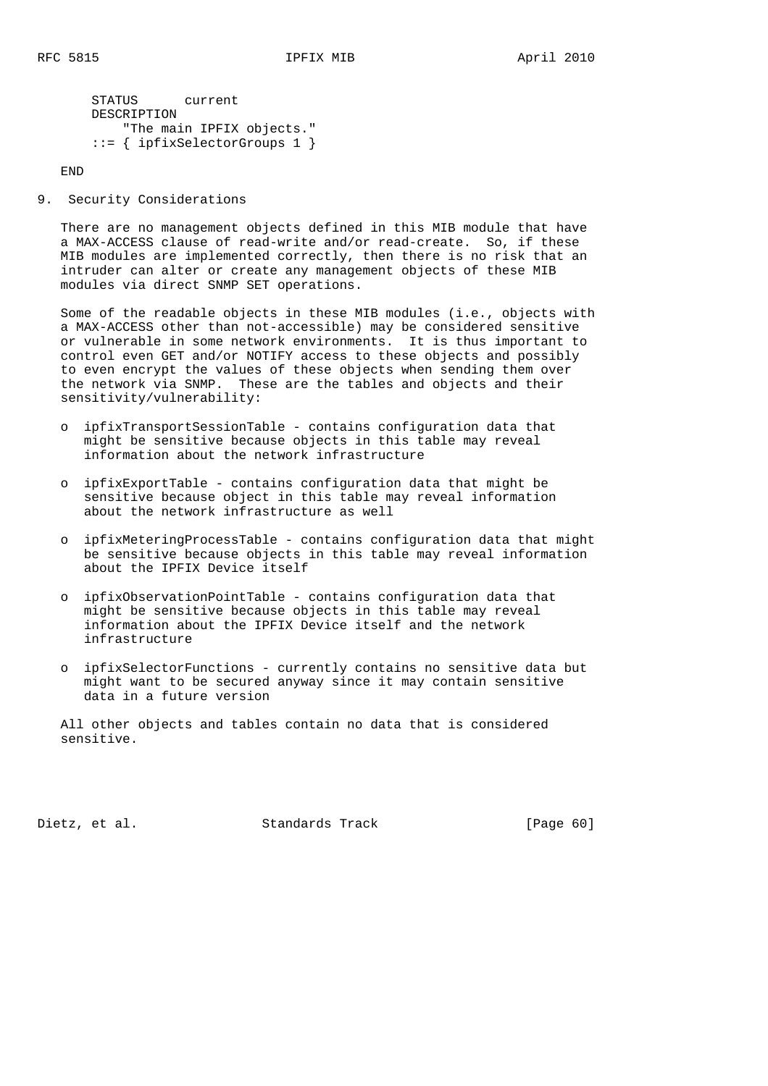```
 STATUS current
 DESCRIPTION
  "The main IPFIX objects."
 ::= { ipfixSelectorGroups 1 }
```
END

9. Security Considerations

 There are no management objects defined in this MIB module that have a MAX-ACCESS clause of read-write and/or read-create. So, if these MIB modules are implemented correctly, then there is no risk that an intruder can alter or create any management objects of these MIB modules via direct SNMP SET operations.

 Some of the readable objects in these MIB modules (i.e., objects with a MAX-ACCESS other than not-accessible) may be considered sensitive or vulnerable in some network environments. It is thus important to control even GET and/or NOTIFY access to these objects and possibly to even encrypt the values of these objects when sending them over the network via SNMP. These are the tables and objects and their sensitivity/vulnerability:

- o ipfixTransportSessionTable contains configuration data that might be sensitive because objects in this table may reveal information about the network infrastructure
- o ipfixExportTable contains configuration data that might be sensitive because object in this table may reveal information about the network infrastructure as well
- o ipfixMeteringProcessTable contains configuration data that might be sensitive because objects in this table may reveal information about the IPFIX Device itself
- o ipfixObservationPointTable contains configuration data that might be sensitive because objects in this table may reveal information about the IPFIX Device itself and the network infrastructure
- o ipfixSelectorFunctions currently contains no sensitive data but might want to be secured anyway since it may contain sensitive data in a future version

 All other objects and tables contain no data that is considered sensitive.

Dietz, et al. Standards Track [Page 60]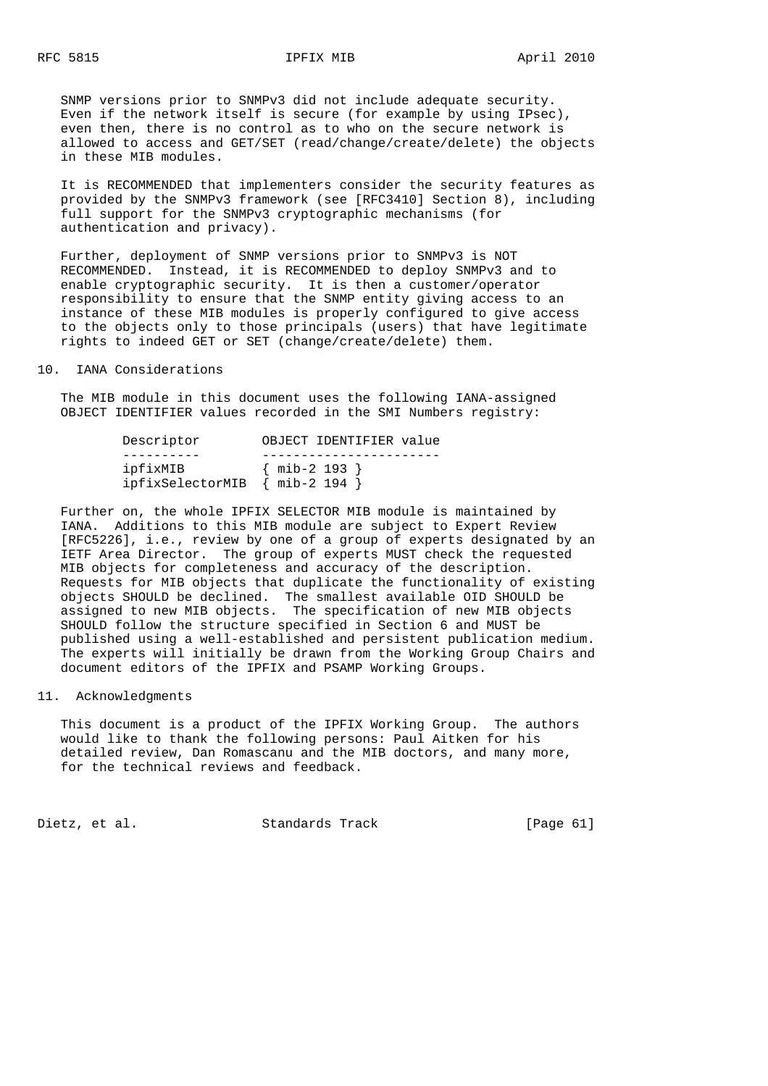SNMP versions prior to SNMPv3 did not include adequate security. Even if the network itself is secure (for example by using IPsec), even then, there is no control as to who on the secure network is allowed to access and GET/SET (read/change/create/delete) the objects in these MIB modules.

 It is RECOMMENDED that implementers consider the security features as provided by the SNMPv3 framework (see [RFC3410] Section 8), including full support for the SNMPv3 cryptographic mechanisms (for authentication and privacy).

 Further, deployment of SNMP versions prior to SNMPv3 is NOT RECOMMENDED. Instead, it is RECOMMENDED to deploy SNMPv3 and to enable cryptographic security. It is then a customer/operator responsibility to ensure that the SNMP entity giving access to an instance of these MIB modules is properly configured to give access to the objects only to those principals (users) that have legitimate rights to indeed GET or SET (change/create/delete) them.

10. IANA Considerations

 The MIB module in this document uses the following IANA-assigned OBJECT IDENTIFIER values recorded in the SMI Numbers registry:

| Descriptor                                 | OBJECT IDENTIFIER value |
|--------------------------------------------|-------------------------|
|                                            |                         |
| ipfixMIB<br>ipfixSelectorMIB { mib-2 194 } | $\{$ mib-2 193 $\}$     |

 Further on, the whole IPFIX SELECTOR MIB module is maintained by IANA. Additions to this MIB module are subject to Expert Review [RFC5226], i.e., review by one of a group of experts designated by an IETF Area Director. The group of experts MUST check the requested MIB objects for completeness and accuracy of the description. Requests for MIB objects that duplicate the functionality of existing objects SHOULD be declined. The smallest available OID SHOULD be assigned to new MIB objects. The specification of new MIB objects SHOULD follow the structure specified in Section 6 and MUST be published using a well-established and persistent publication medium. The experts will initially be drawn from the Working Group Chairs and document editors of the IPFIX and PSAMP Working Groups.

## 11. Acknowledgments

 This document is a product of the IPFIX Working Group. The authors would like to thank the following persons: Paul Aitken for his detailed review, Dan Romascanu and the MIB doctors, and many more, for the technical reviews and feedback.

Dietz, et al. Standards Track [Page 61]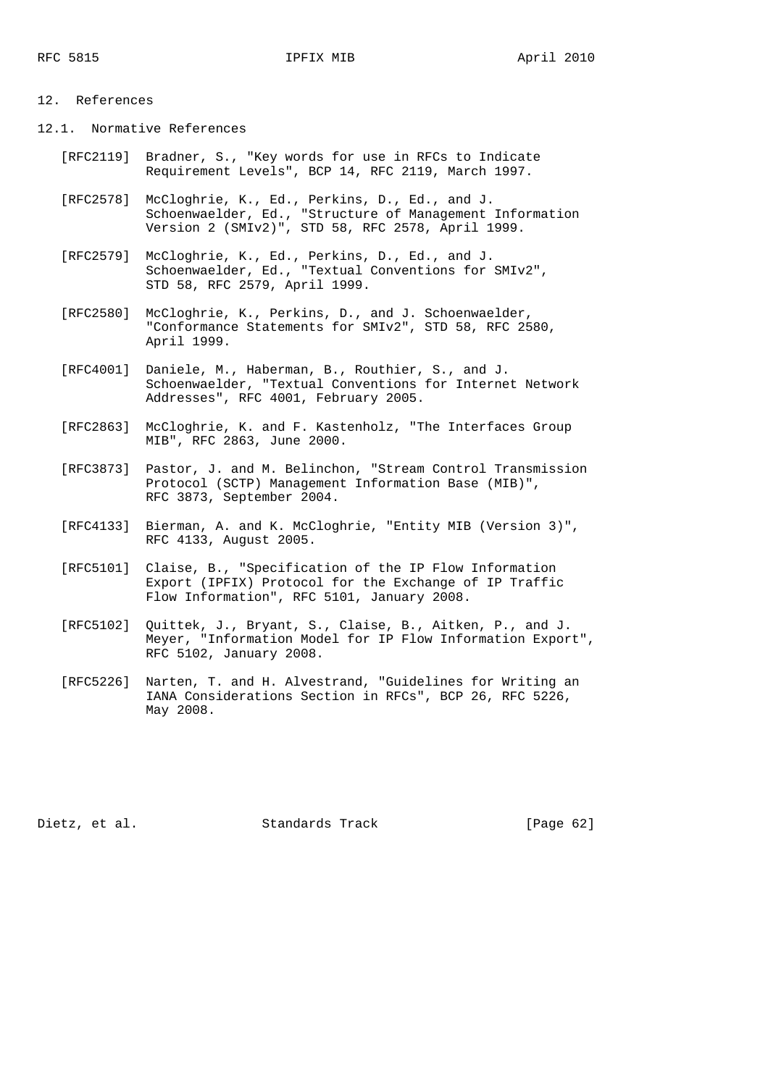# 12. References

12.1. Normative References

- [RFC2119] Bradner, S., "Key words for use in RFCs to Indicate Requirement Levels", BCP 14, RFC 2119, March 1997.
- [RFC2578] McCloghrie, K., Ed., Perkins, D., Ed., and J. Schoenwaelder, Ed., "Structure of Management Information Version 2 (SMIv2)", STD 58, RFC 2578, April 1999.
- [RFC2579] McCloghrie, K., Ed., Perkins, D., Ed., and J. Schoenwaelder, Ed., "Textual Conventions for SMIv2", STD 58, RFC 2579, April 1999.
- [RFC2580] McCloghrie, K., Perkins, D., and J. Schoenwaelder, "Conformance Statements for SMIv2", STD 58, RFC 2580, April 1999.
- [RFC4001] Daniele, M., Haberman, B., Routhier, S., and J. Schoenwaelder, "Textual Conventions for Internet Network Addresses", RFC 4001, February 2005.
- [RFC2863] McCloghrie, K. and F. Kastenholz, "The Interfaces Group MIB", RFC 2863, June 2000.
- [RFC3873] Pastor, J. and M. Belinchon, "Stream Control Transmission Protocol (SCTP) Management Information Base (MIB)", RFC 3873, September 2004.
- [RFC4133] Bierman, A. and K. McCloghrie, "Entity MIB (Version 3)", RFC 4133, August 2005.
- [RFC5101] Claise, B., "Specification of the IP Flow Information Export (IPFIX) Protocol for the Exchange of IP Traffic Flow Information", RFC 5101, January 2008.
- [RFC5102] Quittek, J., Bryant, S., Claise, B., Aitken, P., and J. Meyer, "Information Model for IP Flow Information Export", RFC 5102, January 2008.
- [RFC5226] Narten, T. and H. Alvestrand, "Guidelines for Writing an IANA Considerations Section in RFCs", BCP 26, RFC 5226, May 2008.

Dietz, et al. Standards Track [Page 62]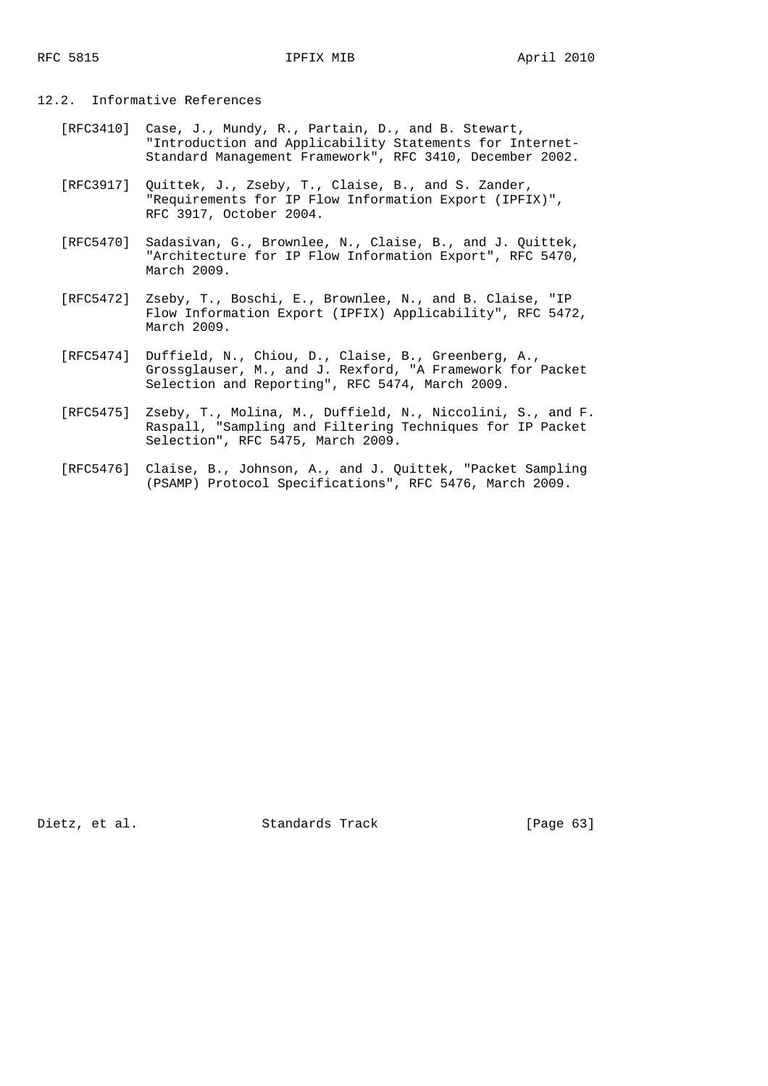### 12.2. Informative References

- [RFC3410] Case, J., Mundy, R., Partain, D., and B. Stewart, "Introduction and Applicability Statements for Internet- Standard Management Framework", RFC 3410, December 2002.
- [RFC3917] Quittek, J., Zseby, T., Claise, B., and S. Zander, "Requirements for IP Flow Information Export (IPFIX)", RFC 3917, October 2004.
- [RFC5470] Sadasivan, G., Brownlee, N., Claise, B., and J. Quittek, "Architecture for IP Flow Information Export", RFC 5470, March 2009.
- [RFC5472] Zseby, T., Boschi, E., Brownlee, N., and B. Claise, "IP Flow Information Export (IPFIX) Applicability", RFC 5472, March 2009.
- [RFC5474] Duffield, N., Chiou, D., Claise, B., Greenberg, A., Grossglauser, M., and J. Rexford, "A Framework for Packet Selection and Reporting", RFC 5474, March 2009.
- [RFC5475] Zseby, T., Molina, M., Duffield, N., Niccolini, S., and F. Raspall, "Sampling and Filtering Techniques for IP Packet Selection", RFC 5475, March 2009.
	- [RFC5476] Claise, B., Johnson, A., and J. Quittek, "Packet Sampling (PSAMP) Protocol Specifications", RFC 5476, March 2009.

Dietz, et al. Standards Track [Page 63]